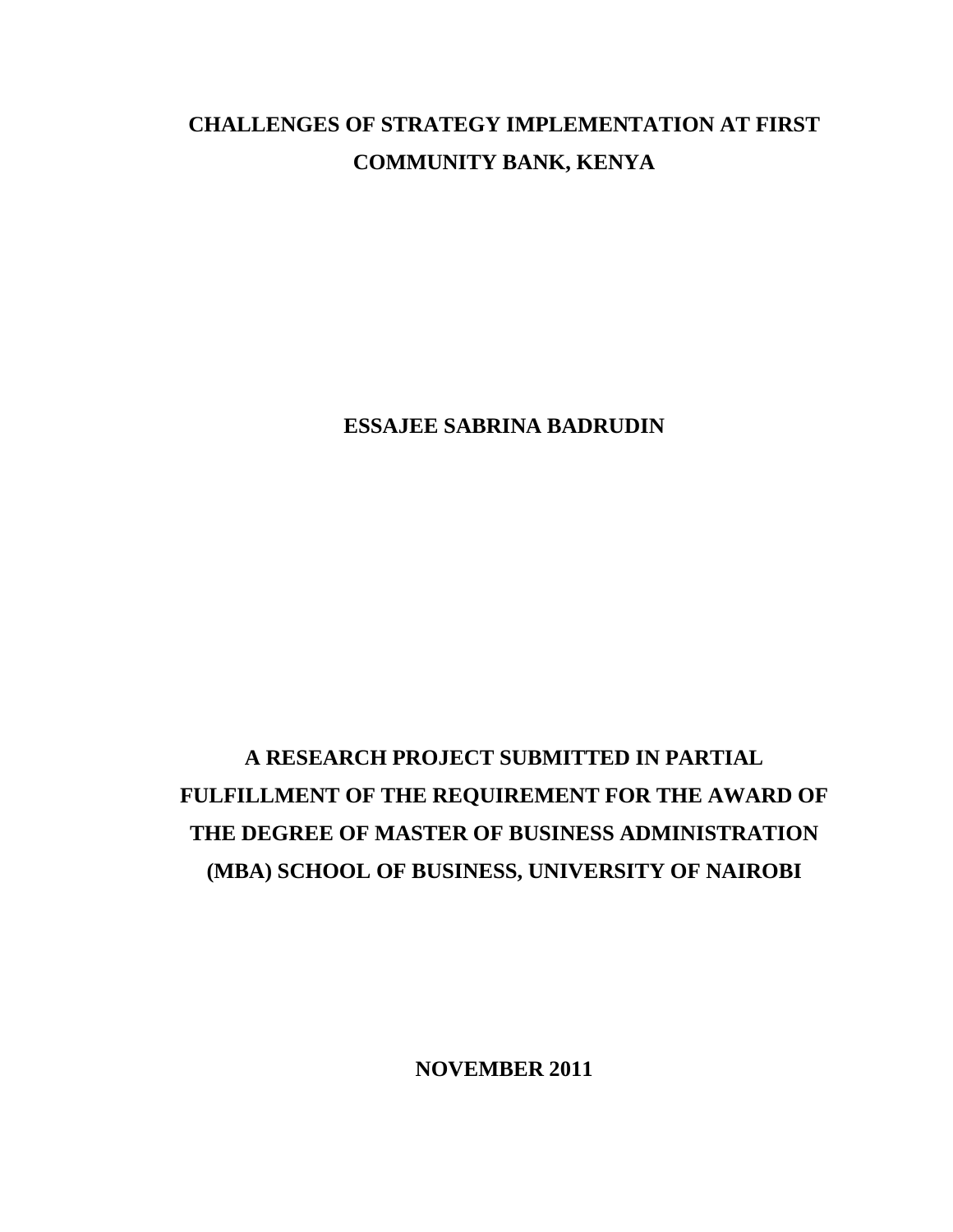# **CHALLENGES OF STRATEGY IMPLEMENTATION AT FIRST COMMUNITY BANK, KENYA**

**ESSAJEE SABRINA BADRUDIN**

# **A RESEARCH PROJECT SUBMITTED IN PARTIAL FULFILLMENT OF THE REQUIREMENT FOR THE AWARD OF THE DEGREE OF MASTER OF BUSINESS ADMINISTRATION (MBA) SCHOOL OF BUSINESS, UNIVERSITY OF NAIROBI**

**NOVEMBER 2011**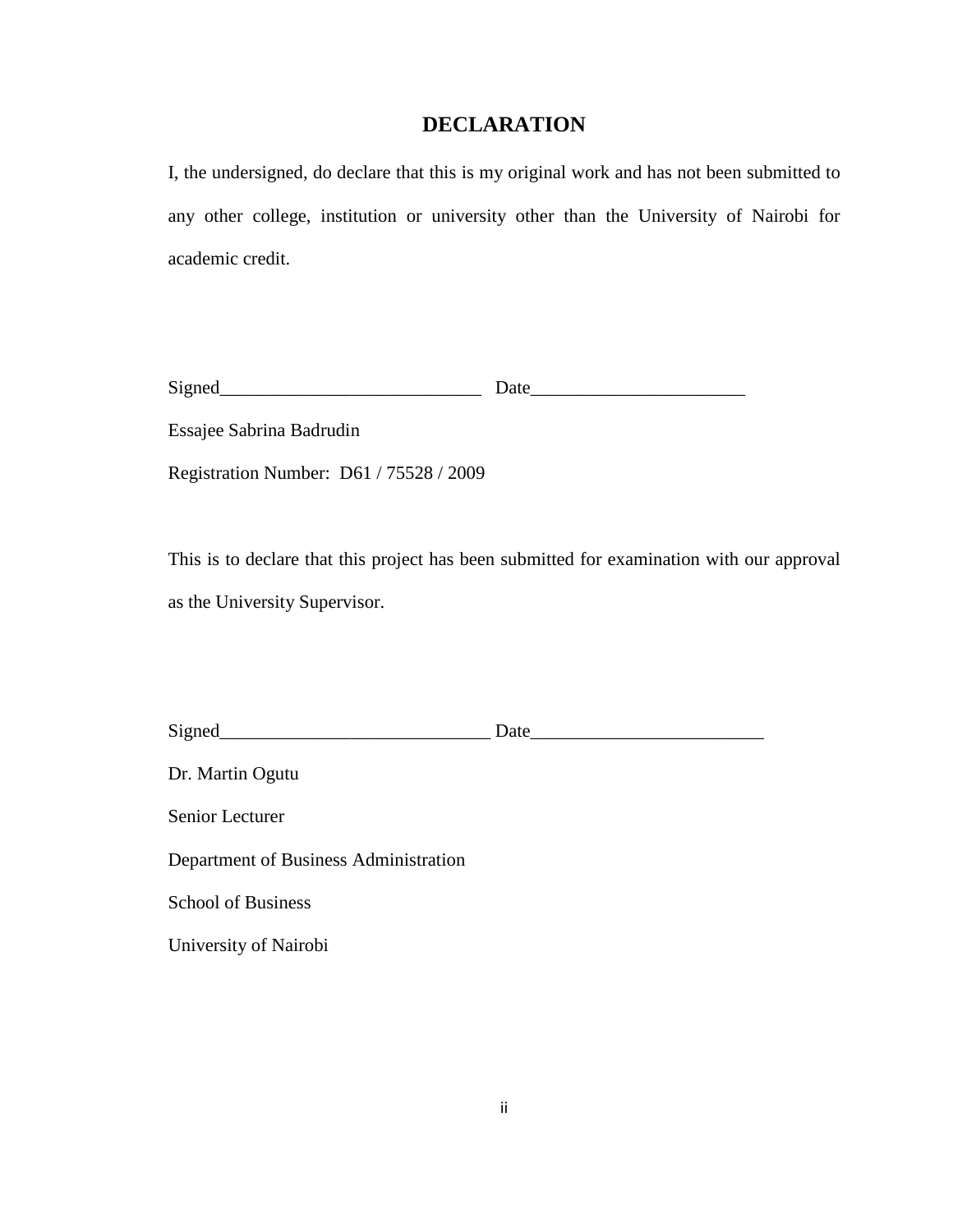## **DECLARATION**

<span id="page-1-0"></span>I, the undersigned, do declare that this is my original work and has not been submitted to any other college, institution or university other than the University of Nairobi for academic credit.

| $\mathbf{C}$<br>ມ∡ | $\sim$ $\sim$ |
|--------------------|---------------|
|                    | . .           |

Essajee Sabrina Badrudin

Registration Number: D61 / 75528 / 2009

This is to declare that this project has been submitted for examination with our approval as the University Supervisor.

| Signed           | Date |
|------------------|------|
| Dr. Martin Ogutu |      |

Senior Lecturer

Department of Business Administration

School of Business

University of Nairobi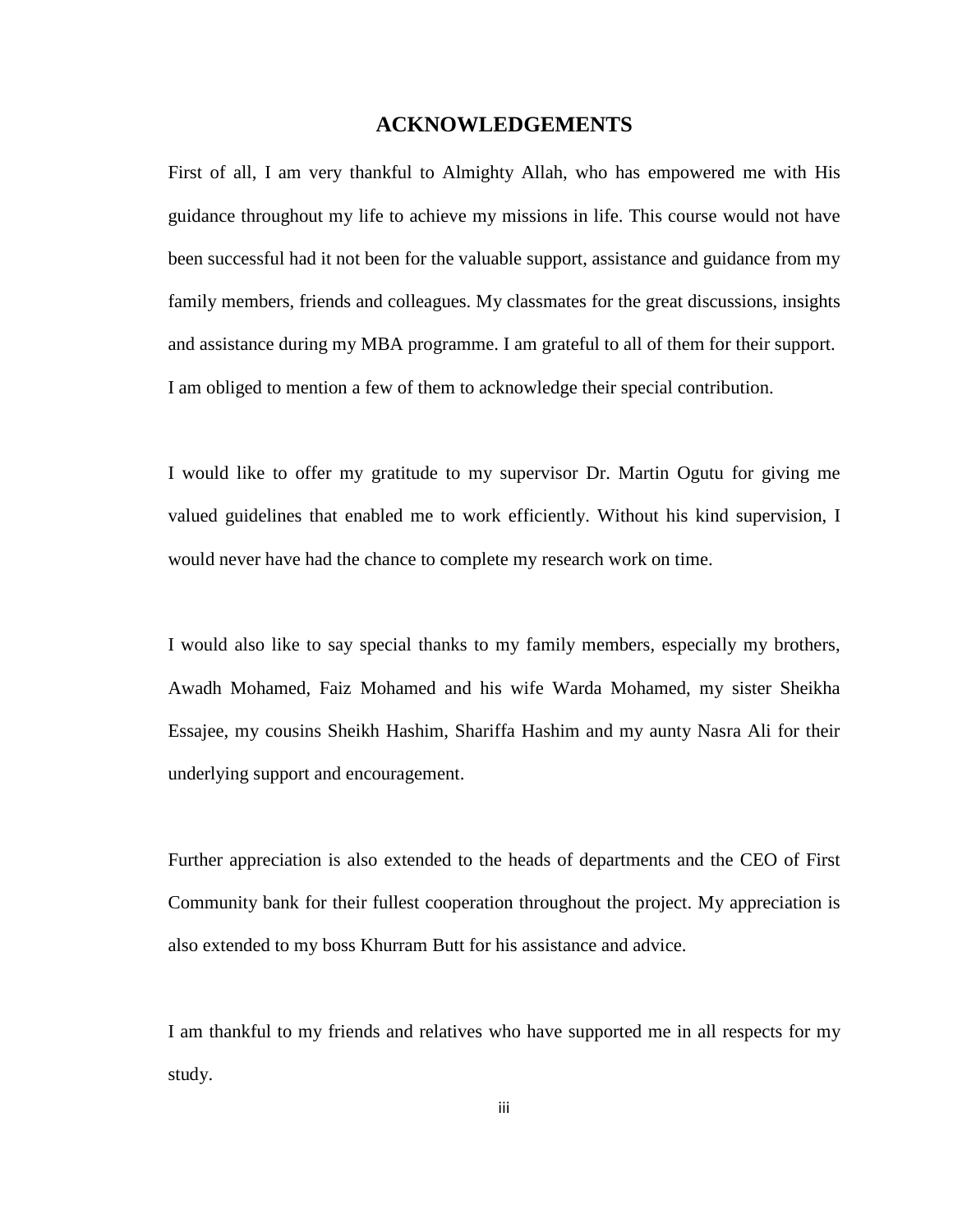#### **ACKNOWLEDGEMENTS**

<span id="page-2-0"></span>First of all, I am very thankful to Almighty Allah, who has empowered me with His guidance throughout my life to achieve my missions in life. This course would not have been successful had it not been for the valuable support, assistance and guidance from my family members, friends and colleagues. My classmates for the great discussions, insights and assistance during my MBA programme. I am grateful to all of them for their support. I am obliged to mention a few of them to acknowledge their special contribution.

I would like to offer my gratitude to my supervisor Dr. Martin Ogutu for giving me valued guidelines that enabled me to work efficiently. Without his kind supervision, I would never have had the chance to complete my research work on time.

I would also like to say special thanks to my family members, especially my brothers, Awadh Mohamed, Faiz Mohamed and his wife Warda Mohamed, my sister Sheikha Essajee, my cousins Sheikh Hashim, Shariffa Hashim and my aunty Nasra Ali for their underlying support and encouragement.

Further appreciation is also extended to the heads of departments and the CEO of First Community bank for their fullest cooperation throughout the project. My appreciation is also extended to my boss Khurram Butt for his assistance and advice.

I am thankful to my friends and relatives who have supported me in all respects for my study.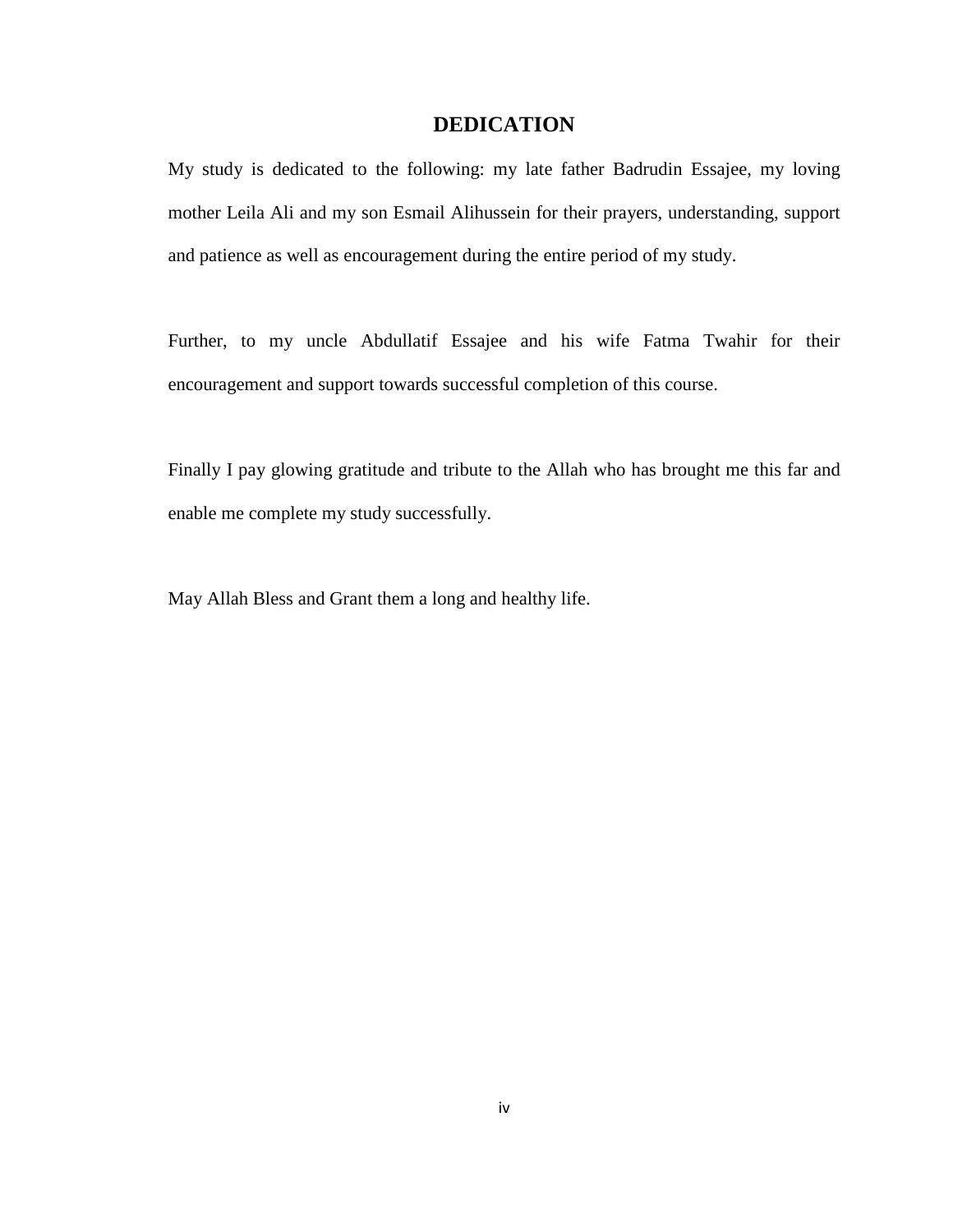## **DEDICATION**

<span id="page-3-0"></span>My study is dedicated to the following: my late father Badrudin Essajee, my loving mother Leila Ali and my son Esmail Alihussein for their prayers, understanding, support and patience as well as encouragement during the entire period of my study.

Further, to my uncle Abdullatif Essajee and his wife Fatma Twahir for their encouragement and support towards successful completion of this course.

Finally I pay glowing gratitude and tribute to the Allah who has brought me this far and enable me complete my study successfully.

May Allah Bless and Grant them a long and healthy life.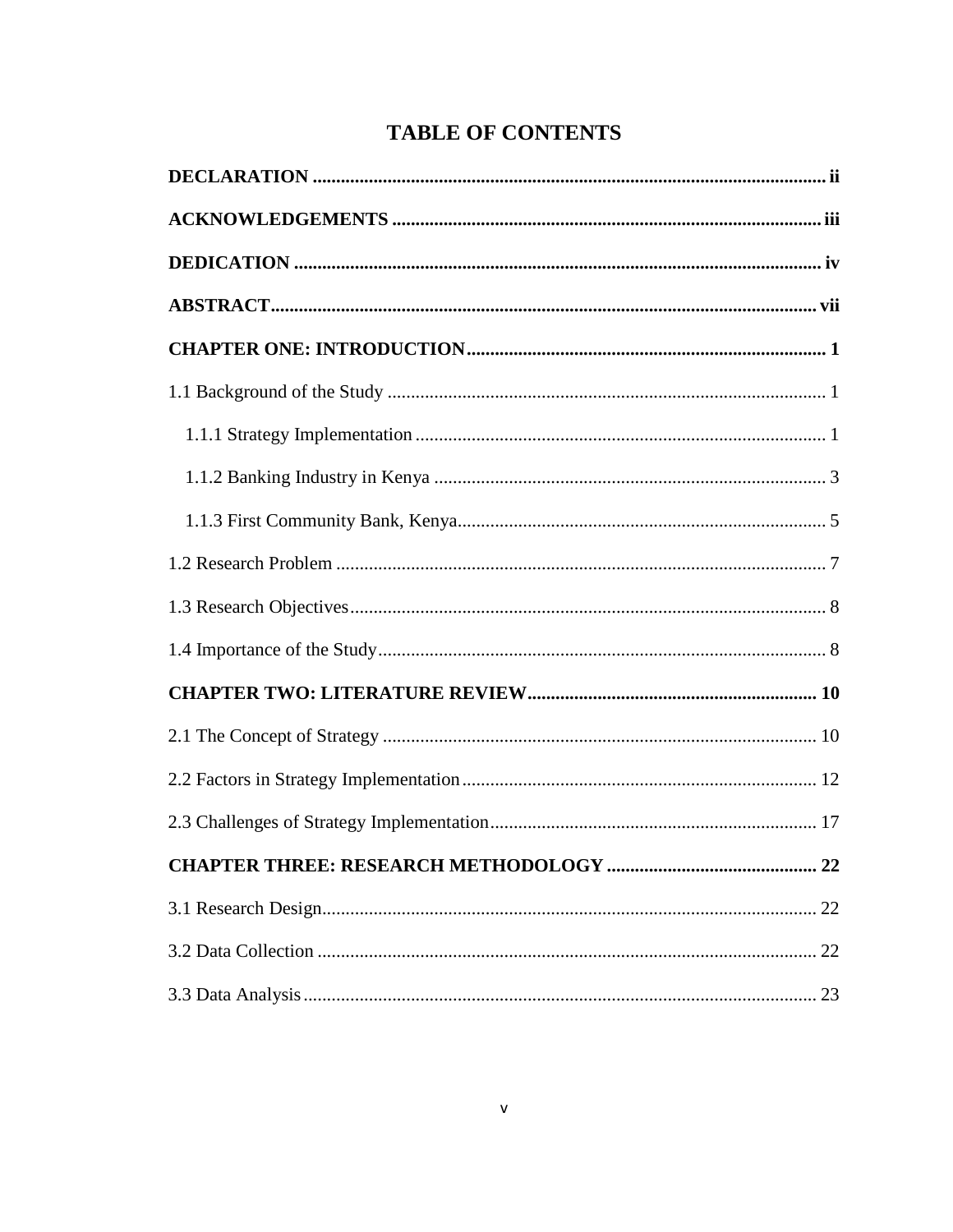## **TABLE OF CONTENTS**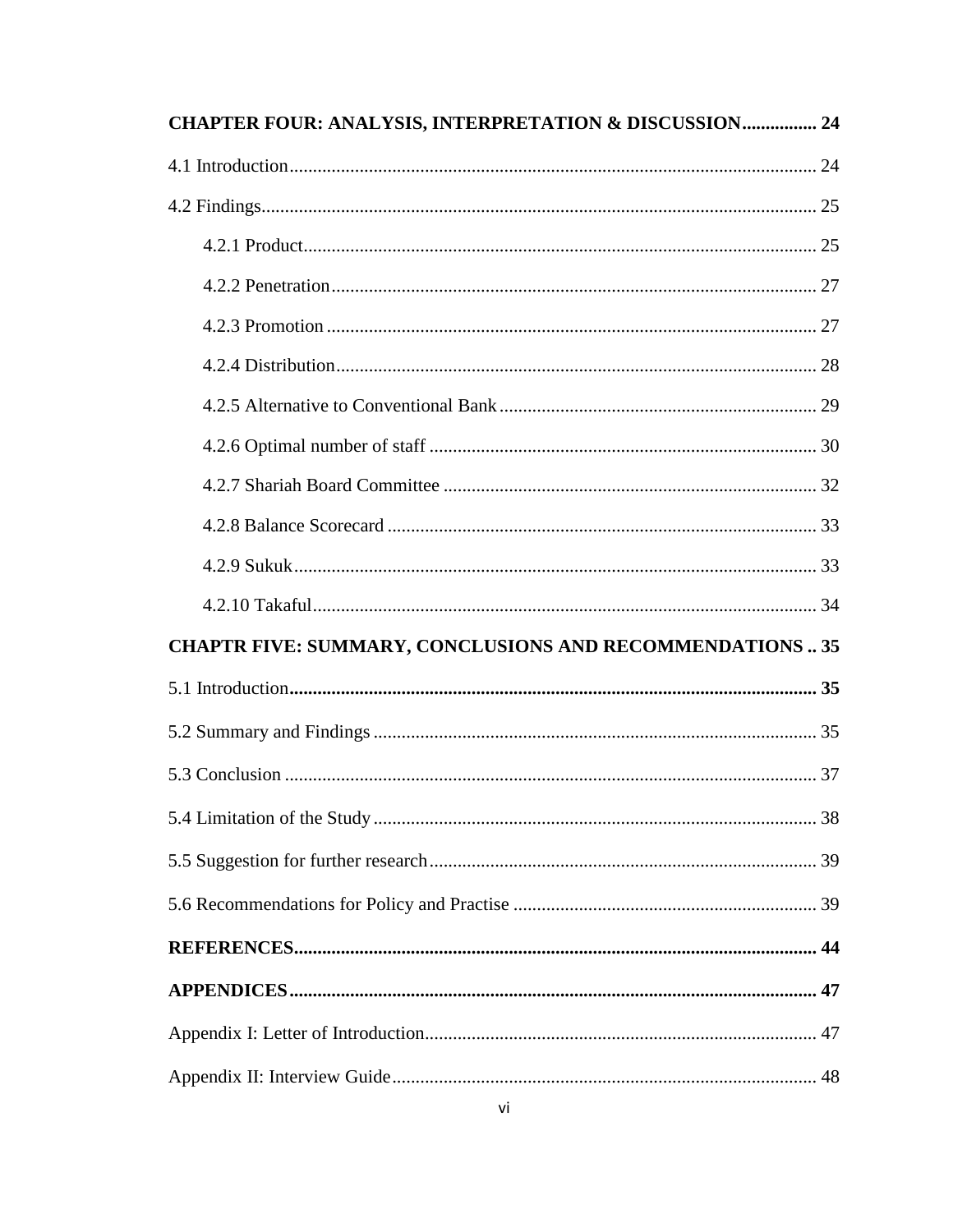| <b>CHAPTER FOUR: ANALYSIS, INTERPRETATION &amp; DISCUSSION 24</b> |  |  |  |  |
|-------------------------------------------------------------------|--|--|--|--|
|                                                                   |  |  |  |  |
|                                                                   |  |  |  |  |
|                                                                   |  |  |  |  |
|                                                                   |  |  |  |  |
|                                                                   |  |  |  |  |
|                                                                   |  |  |  |  |
|                                                                   |  |  |  |  |
|                                                                   |  |  |  |  |
|                                                                   |  |  |  |  |
|                                                                   |  |  |  |  |
|                                                                   |  |  |  |  |
|                                                                   |  |  |  |  |
| <b>CHAPTR FIVE: SUMMARY, CONCLUSIONS AND RECOMMENDATIONS35</b>    |  |  |  |  |
|                                                                   |  |  |  |  |
|                                                                   |  |  |  |  |
|                                                                   |  |  |  |  |
|                                                                   |  |  |  |  |
|                                                                   |  |  |  |  |
|                                                                   |  |  |  |  |
|                                                                   |  |  |  |  |
|                                                                   |  |  |  |  |
|                                                                   |  |  |  |  |
|                                                                   |  |  |  |  |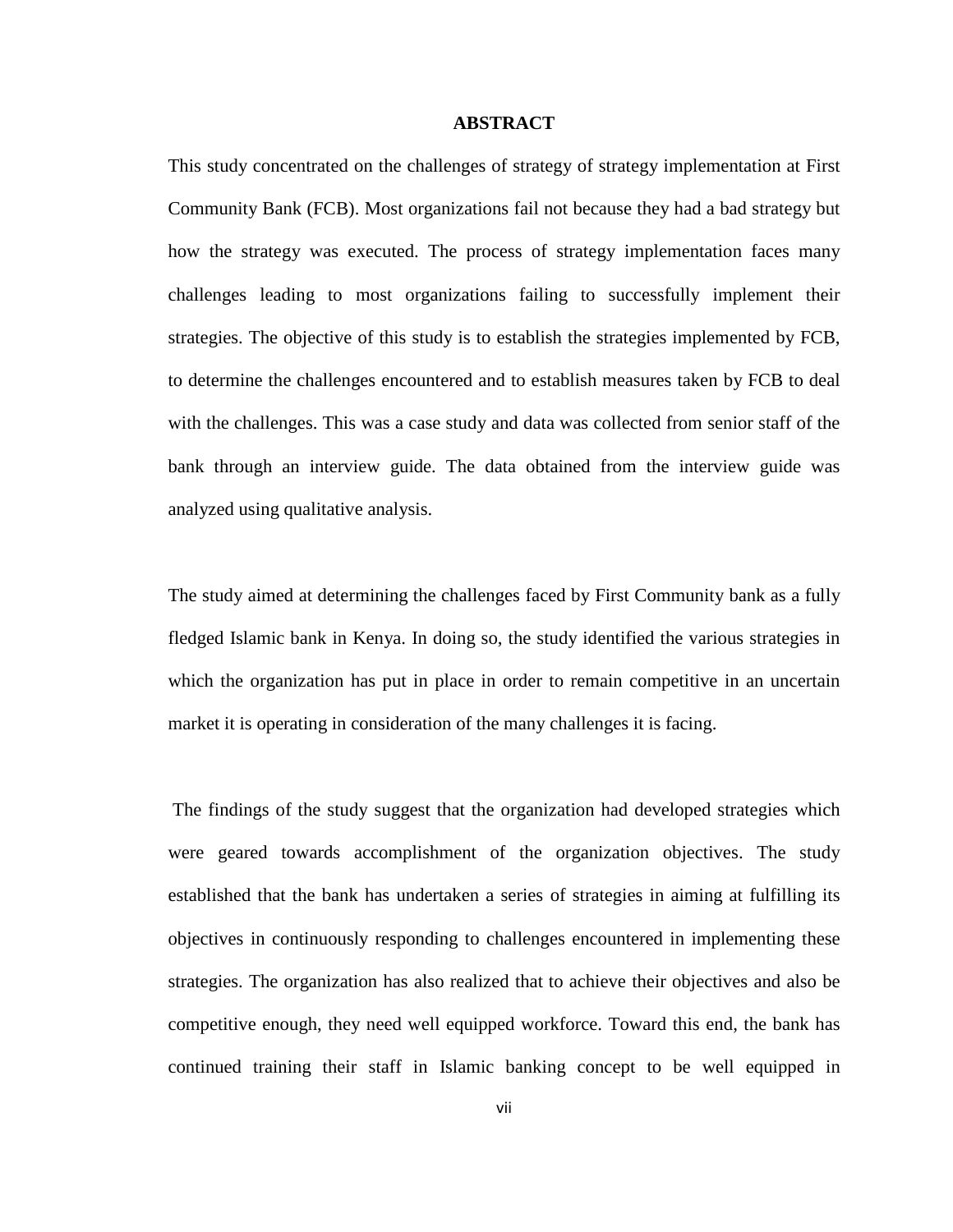#### <span id="page-6-0"></span>**ABSTRACT**

This study concentrated on the challenges of strategy of strategy implementation at First Community Bank (FCB). Most organizations fail not because they had a bad strategy but how the strategy was executed. The process of strategy implementation faces many challenges leading to most organizations failing to successfully implement their strategies. The objective of this study is to establish the strategies implemented by FCB, to determine the challenges encountered and to establish measures taken by FCB to deal with the challenges. This was a case study and data was collected from senior staff of the bank through an interview guide. The data obtained from the interview guide was analyzed using qualitative analysis.

The study aimed at determining the challenges faced by First Community bank as a fully fledged Islamic bank in Kenya. In doing so, the study identified the various strategies in which the organization has put in place in order to remain competitive in an uncertain market it is operating in consideration of the many challenges it is facing.

The findings of the study suggest that the organization had developed strategies which were geared towards accomplishment of the organization objectives. The study established that the bank has undertaken a series of strategies in aiming at fulfilling its objectives in continuously responding to challenges encountered in implementing these strategies. The organization has also realized that to achieve their objectives and also be competitive enough, they need well equipped workforce. Toward this end, the bank has continued training their staff in Islamic banking concept to be well equipped in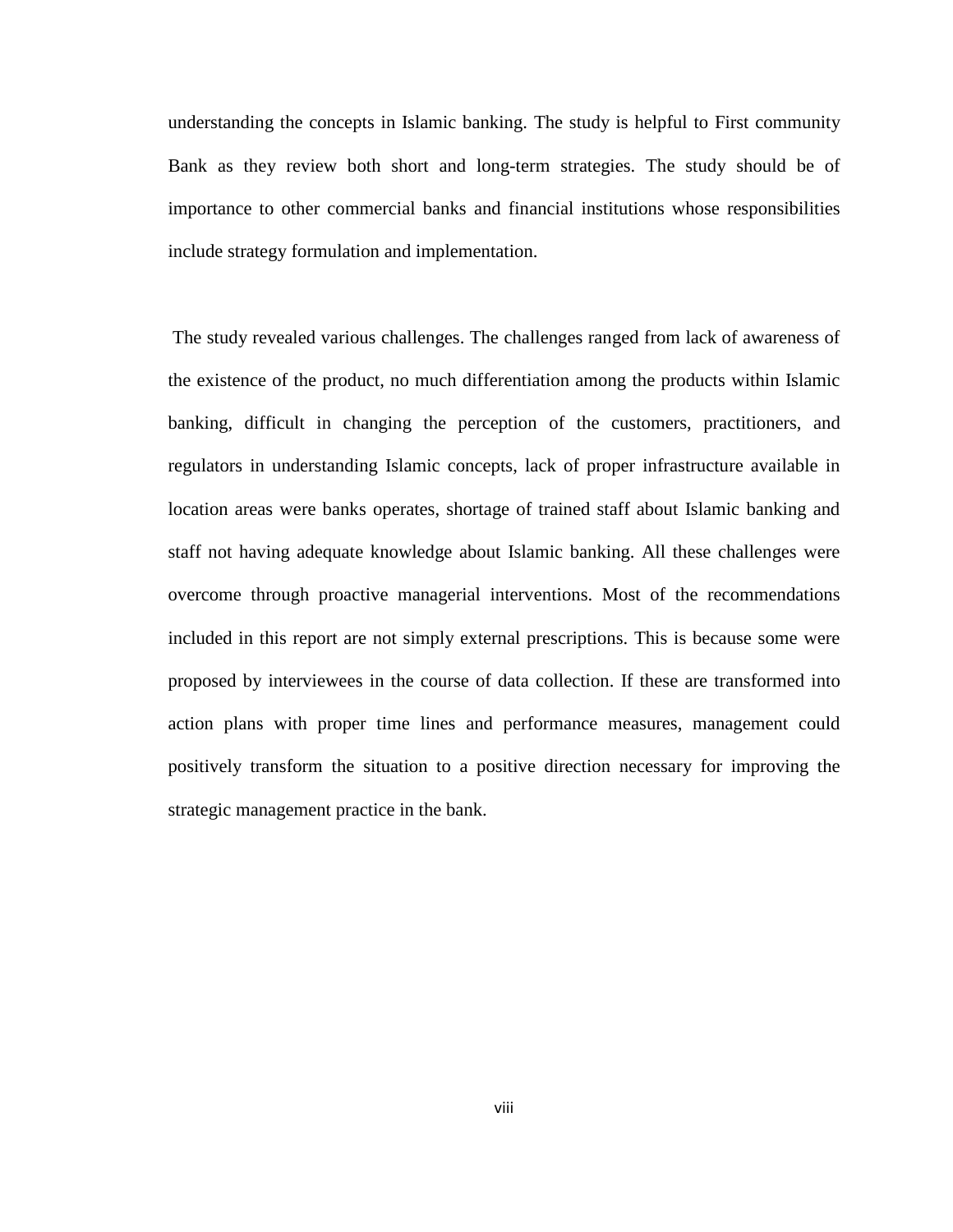understanding the concepts in Islamic banking. The study is helpful to First community Bank as they review both short and long-term strategies. The study should be of importance to other commercial banks and financial institutions whose responsibilities include strategy formulation and implementation.

The study revealed various challenges. The challenges ranged from lack of awareness of the existence of the product, no much differentiation among the products within Islamic banking, difficult in changing the perception of the customers, practitioners, and regulators in understanding Islamic concepts, lack of proper infrastructure available in location areas were banks operates, shortage of trained staff about Islamic banking and staff not having adequate knowledge about Islamic banking. All these challenges were overcome through proactive managerial interventions. Most of the recommendations included in this report are not simply external prescriptions. This is because some were proposed by interviewees in the course of data collection. If these are transformed into action plans with proper time lines and performance measures, management could positively transform the situation to a positive direction necessary for improving the strategic management practice in the bank.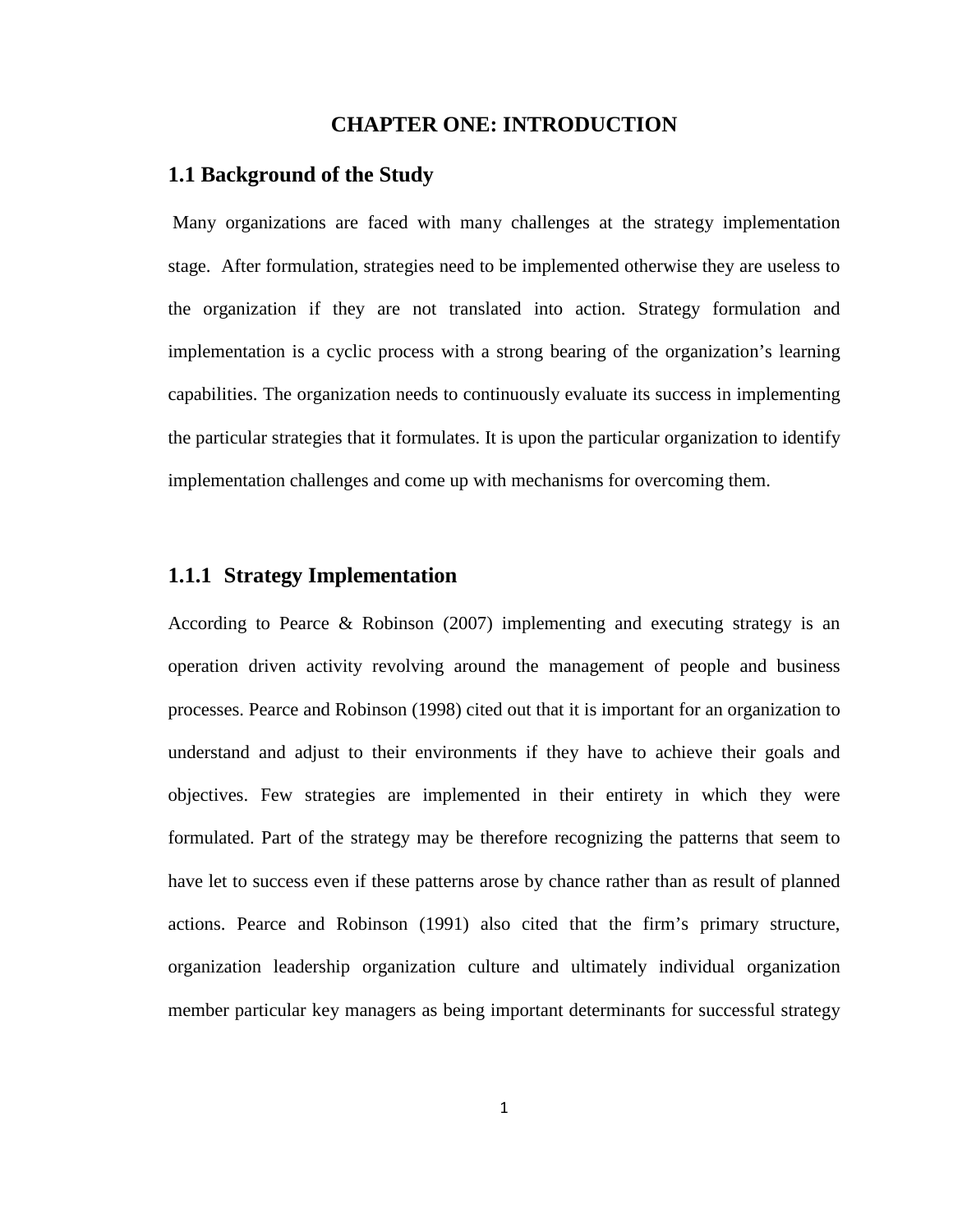#### **CHAPTER ONE: INTRODUCTION**

#### <span id="page-8-1"></span><span id="page-8-0"></span>**1.1 Background of the Study**

Many organizations are faced with many challenges at the strategy implementation stage. After formulation, strategies need to be implemented otherwise they are useless to the organization if they are not translated into action. Strategy formulation and implementation is a cyclic process with a strong bearing of the organization's learning capabilities. The organization needs to continuously evaluate its success in implementing the particular strategies that it formulates. It is upon the particular organization to identify implementation challenges and come up with mechanisms for overcoming them.

## <span id="page-8-2"></span>**1.1.1 Strategy Implementation**

According to Pearce & Robinson (2007) implementing and executing strategy is an operation driven activity revolving around the management of people and business processes. Pearce and Robinson (1998) cited out that it is important for an organization to understand and adjust to their environments if they have to achieve their goals and objectives. Few strategies are implemented in their entirety in which they were formulated. Part of the strategy may be therefore recognizing the patterns that seem to have let to success even if these patterns arose by chance rather than as result of planned actions. Pearce and Robinson (1991) also cited that the firm's primary structure, organization leadership organization culture and ultimately individual organization member particular key managers as being important determinants for successful strategy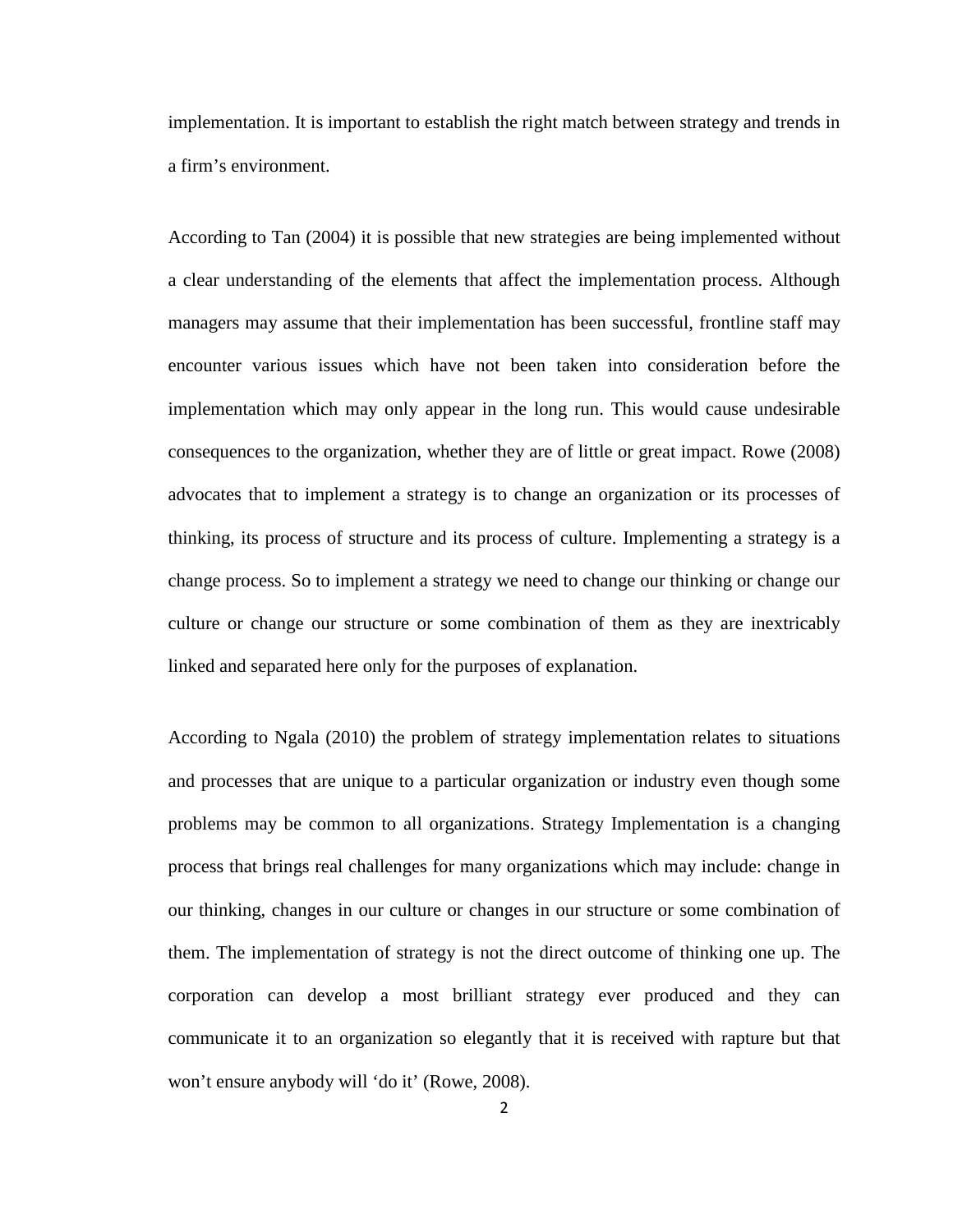implementation. It is important to establish the right match between strategy and trends in a firm's environment.

According to Tan (2004) it is possible that new strategies are being implemented without a clear understanding of the elements that affect the implementation process. Although managers may assume that their implementation has been successful, frontline staff may encounter various issues which have not been taken into consideration before the implementation which may only appear in the long run. This would cause undesirable consequences to the organization, whether they are of little or great impact. Rowe (2008) advocates that to implement a strategy is to change an organization or its processes of thinking, its process of structure and its process of culture. Implementing a strategy is a change process. So to implement a strategy we need to change our thinking or change our culture or change our structure or some combination of them as they are inextricably linked and separated here only for the purposes of explanation.

According to Ngala (2010) the problem of strategy implementation relates to situations and processes that are unique to a particular organization or industry even though some problems may be common to all organizations. Strategy Implementation is a changing process that brings real challenges for many organizations which may include: change in our thinking, changes in our culture or changes in our structure or some combination of them. The implementation of strategy is not the direct outcome of thinking one up. The corporation can develop a most brilliant strategy ever produced and they can communicate it to an organization so elegantly that it is received with rapture but that won't ensure anybody will 'do it' (Rowe, 2008).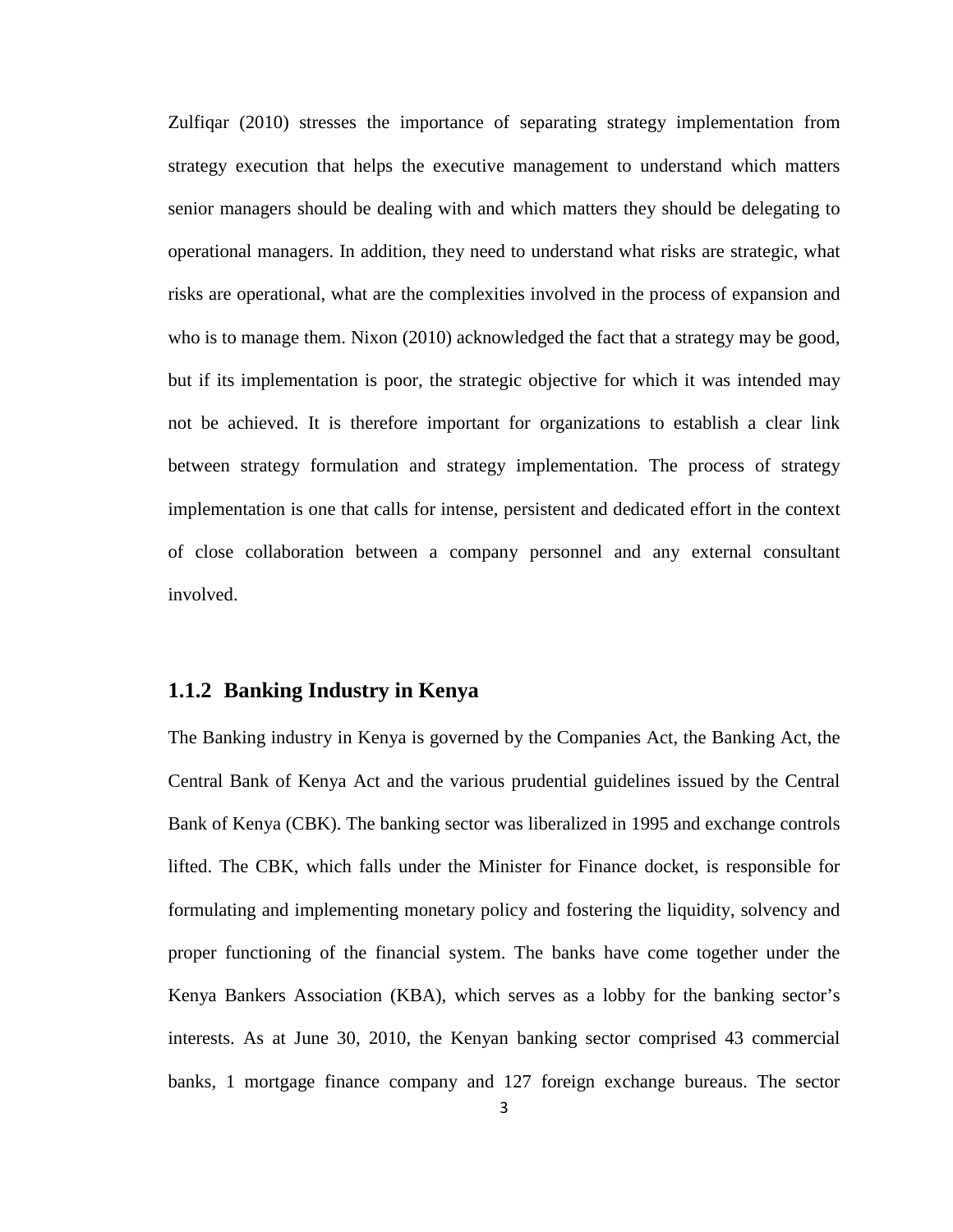Zulfiqar (2010) stresses the importance of separating strategy implementation from strategy execution that helps the executive management to understand which matters senior managers should be dealing with and which matters they should be delegating to operational managers. In addition, they need to understand what risks are strategic, what risks are operational, what are the complexities involved in the process of expansion and who is to manage them. Nixon (2010) acknowledged the fact that a strategy may be good, but if its implementation is poor, the strategic objective for which it was intended may not be achieved. It is therefore important for organizations to establish a clear link between strategy formulation and strategy implementation. The process of strategy implementation is one that calls for intense, persistent and dedicated effort in the context of close collaboration between a company personnel and any external consultant involved.

#### <span id="page-10-0"></span>**1.1.2 Banking Industry in Kenya**

The Banking industry in Kenya is governed by the Companies Act, the Banking Act, the Central Bank of Kenya Act and the various prudential guidelines issued by the Central Bank of Kenya (CBK). The banking sector was liberalized in 1995 and exchange controls lifted. The CBK, which falls under the Minister for Finance docket, is responsible for formulating and implementing monetary policy and fostering the liquidity, solvency and proper functioning of the financial system. The banks have come together under the Kenya Bankers Association (KBA), which serves as a lobby for the banking sector's interests. As at June 30, 2010, the Kenyan banking sector comprised 43 commercial banks, 1 mortgage finance company and 127 foreign exchange bureaus. The sector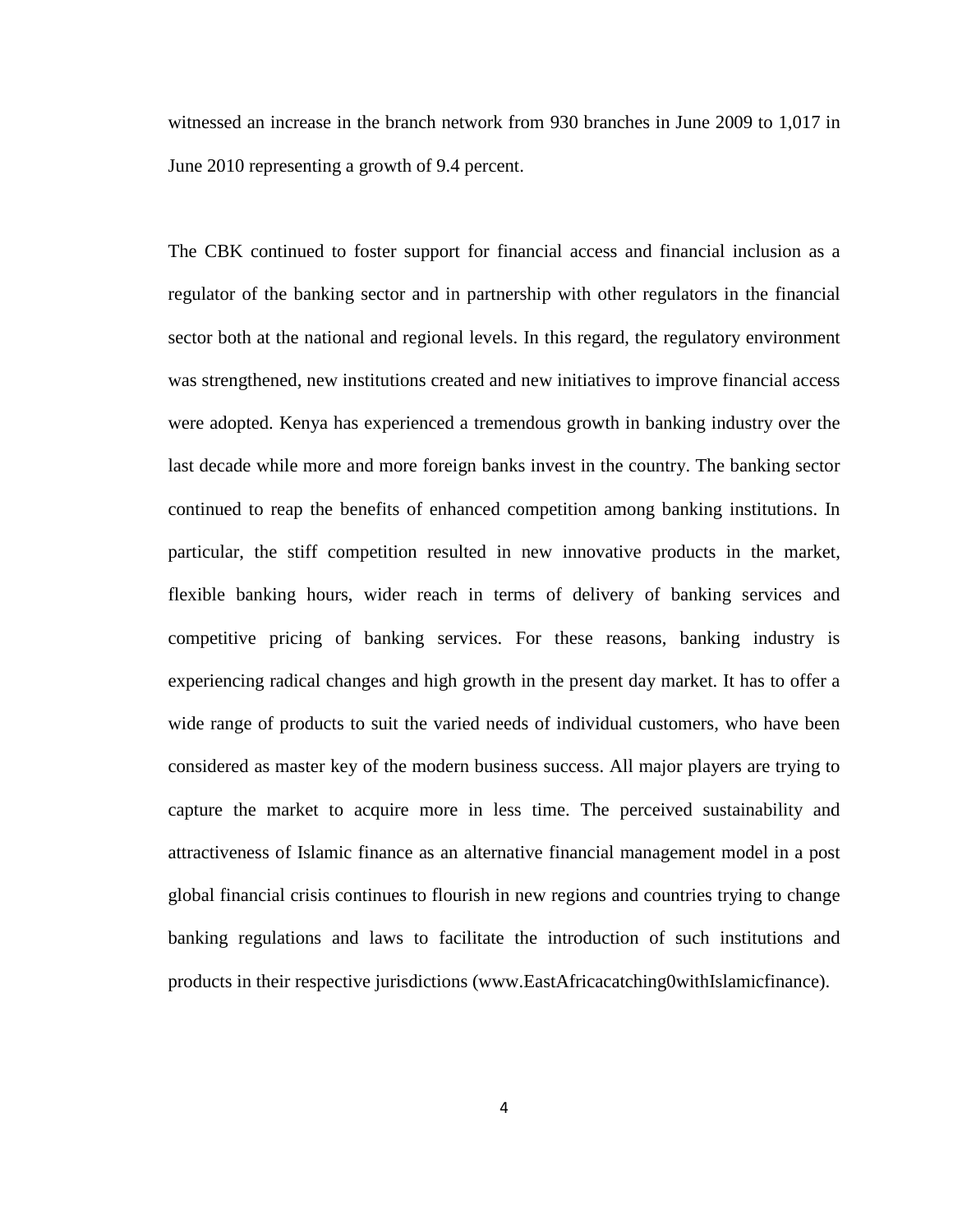witnessed an increase in the branch network from 930 branches in June 2009 to 1,017 in June 2010 representing a growth of 9.4 percent.

The CBK continued to foster support for financial access and financial inclusion as a regulator of the banking sector and in partnership with other regulators in the financial sector both at the national and regional levels. In this regard, the regulatory environment was strengthened, new institutions created and new initiatives to improve financial access were adopted. Kenya has experienced a tremendous growth in banking industry over the last decade while more and more foreign banks invest in the country. The banking sector continued to reap the benefits of enhanced competition among banking institutions. In particular, the stiff competition resulted in new innovative products in the market, flexible banking hours, wider reach in terms of delivery of banking services and competitive pricing of banking services. For these reasons, banking industry is experiencing radical changes and high growth in the present day market. It has to offer a wide range of products to suit the varied needs of individual customers, who have been considered as master key of the modern business success. All major players are trying to capture the market to acquire more in less time. The perceived sustainability and attractiveness of Islamic finance as an alternative financial management model in a post global financial crisis continues to flourish in new regions and countries trying to change banking regulations and laws to facilitate the introduction of such institutions and products in their respective jurisdictions [\(www.EastAfricacatching0withIslamicfinance\)](http://www.eastafricacatching0withislamicfinance/).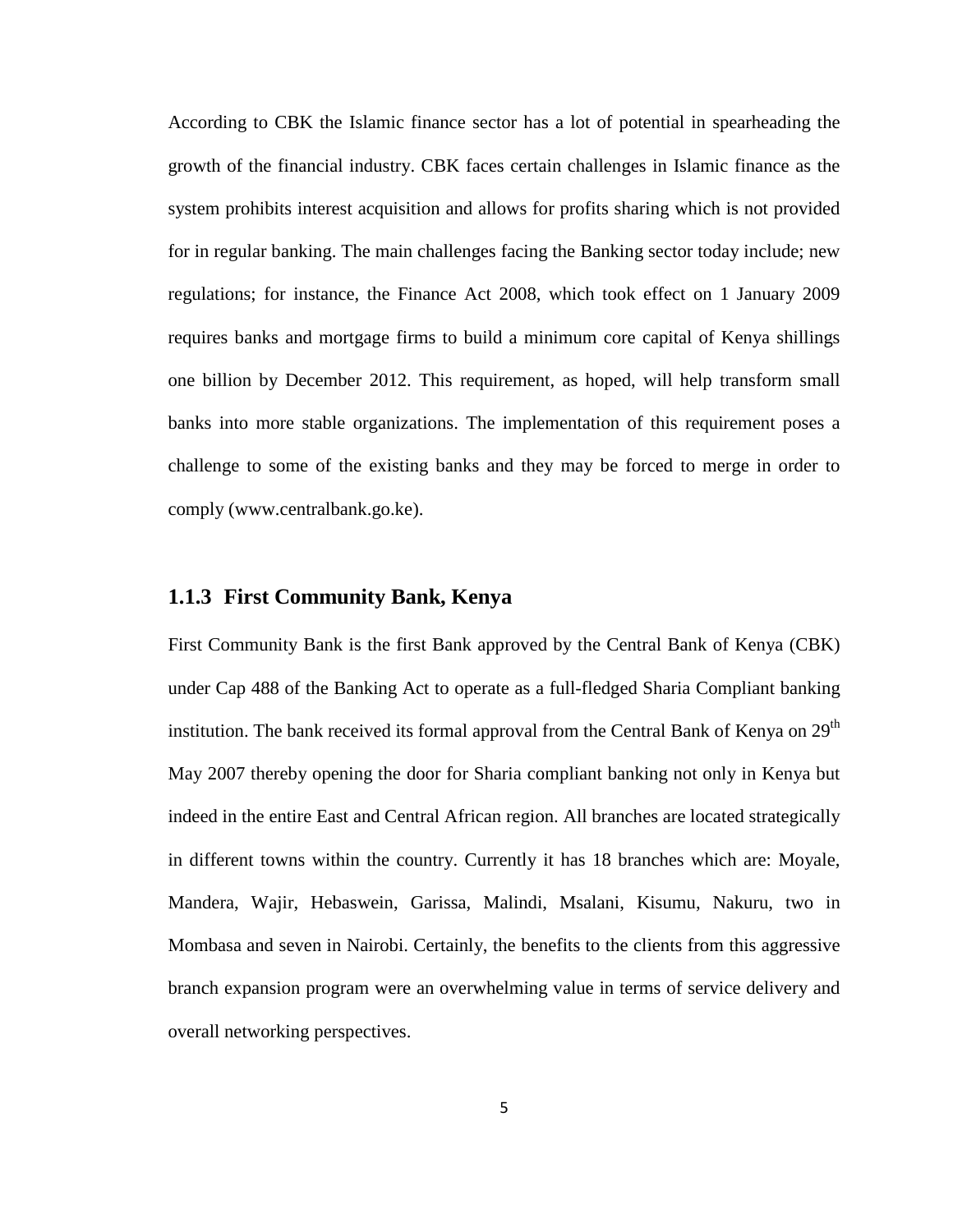According to CBK the Islamic finance sector has a lot of potential in spearheading the growth of the financial industry. CBK faces certain challenges in Islamic finance as the system prohibits interest acquisition and allows for profits sharing which is not provided for in regular banking. The main challenges facing the Banking sector today include; new regulations; for instance, the Finance Act 2008, which took effect on 1 January 2009 requires banks and mortgage firms to build a minimum core capital of Kenya shillings one billion by December 2012. This requirement, as hoped, will help transform small banks into more stable organizations. The implementation of this requirement poses a challenge to some of the existing banks and they may be forced to merge in order to comply [\(www.centralbank.go.ke\)](http://www.centralbank.go.ke/).

#### <span id="page-12-0"></span>**1.1.3 First Community Bank, Kenya**

First Community Bank is the first Bank approved by the Central Bank of Kenya (CBK) under Cap 488 of the Banking Act to operate as a full-fledged Sharia Compliant banking institution. The bank received its formal approval from the Central Bank of Kenya on  $29<sup>th</sup>$ May 2007 thereby opening the door for Sharia compliant banking not only in Kenya but indeed in the entire East and Central African region. All branches are located strategically in different towns within the country. Currently it has 18 branches which are: Moyale, Mandera, Wajir, Hebaswein, Garissa, Malindi, Msalani, Kisumu, Nakuru, two in Mombasa and seven in Nairobi. Certainly, the benefits to the clients from this aggressive branch expansion program were an overwhelming value in terms of service delivery and overall networking perspectives.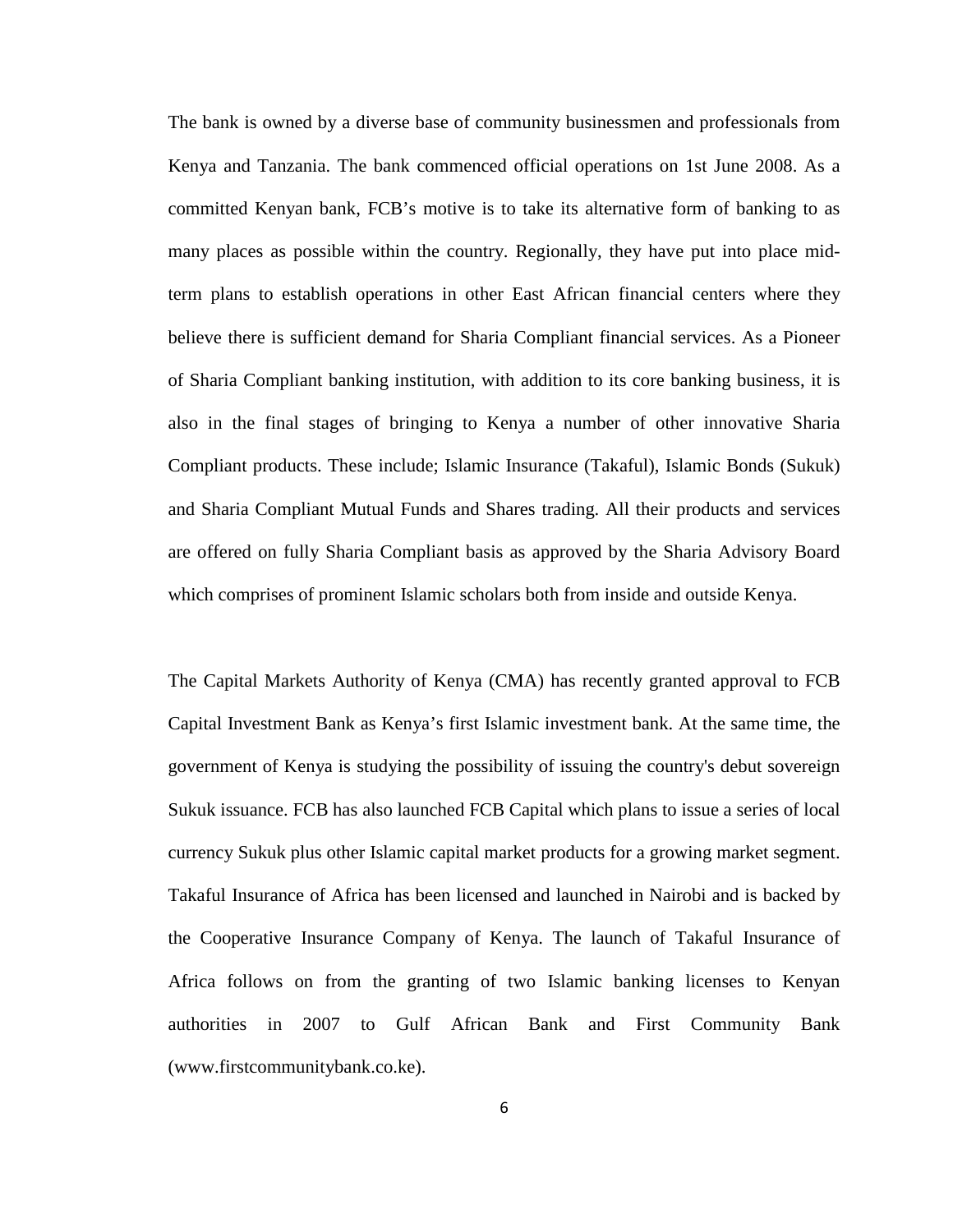The bank is owned by a diverse base of community businessmen and professionals from Kenya and Tanzania. The bank commenced official operations on 1st June 2008. As a committed Kenyan bank, FCB's motive is to take its alternative form of banking to as many places as possible within the country. Regionally, they have put into place midterm plans to establish operations in other East African financial centers where they believe there is sufficient demand for Sharia Compliant financial services. As a Pioneer of Sharia Compliant banking institution, with addition to its core banking business, it is also in the final stages of bringing to Kenya a number of other innovative Sharia Compliant products. These include; Islamic Insurance (Takaful), Islamic Bonds (Sukuk) and Sharia Compliant Mutual Funds and Shares trading. All their products and services are offered on fully Sharia Compliant basis as approved by the Sharia Advisory Board which comprises of prominent Islamic scholars both from inside and outside Kenya.

The Capital Markets Authority of Kenya (CMA) has recently granted approval to FCB Capital Investment Bank as Kenya's first Islamic investment bank. At the same time, the government of Kenya is studying the possibility of issuing the country's debut sovereign Sukuk issuance. FCB has also launched FCB Capital which plans to issue a series of local currency Sukuk plus other Islamic capital market products for a growing market segment. Takaful Insurance of Africa has been licensed and launched in Nairobi and is backed by the Cooperative Insurance Company of Kenya. The launch of Takaful Insurance of Africa follows on from the granting of two Islamic banking licenses to Kenyan authorities in 2007 to Gulf African Bank and First Community Bank [\(www.firstcommunitybank.co.ke\)](http://www.firstcommunitybank.co.ke/).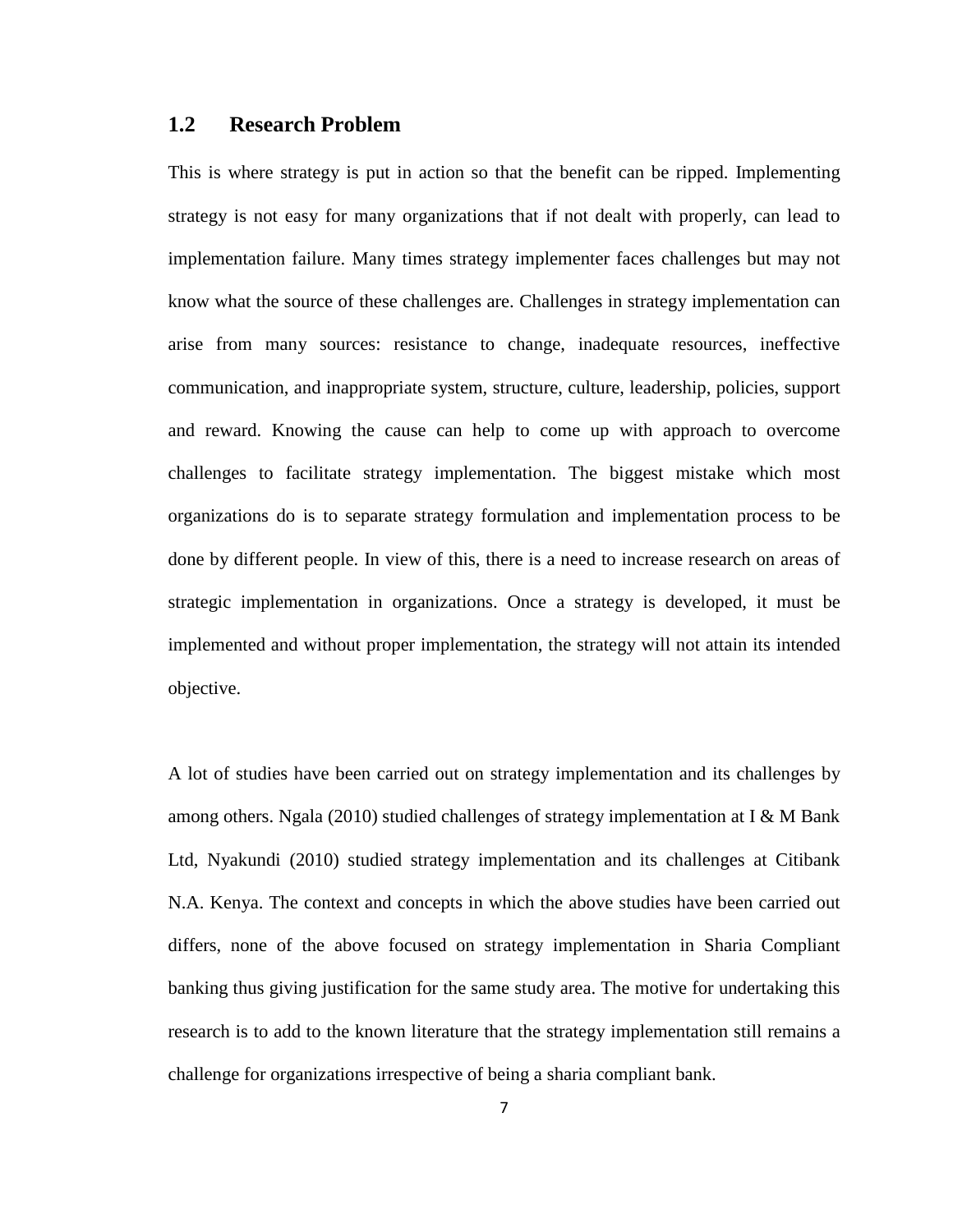#### <span id="page-14-0"></span>**1.2 Research Problem**

This is where strategy is put in action so that the benefit can be ripped. Implementing strategy is not easy for many organizations that if not dealt with properly, can lead to implementation failure. Many times strategy implementer faces challenges but may not know what the source of these challenges are. Challenges in strategy implementation can arise from many sources: resistance to change, inadequate resources, ineffective communication, and inappropriate system, structure, culture, leadership, policies, support and reward. Knowing the cause can help to come up with approach to overcome challenges to facilitate strategy implementation. The biggest mistake which most organizations do is to separate strategy formulation and implementation process to be done by different people. In view of this, there is a need to increase research on areas of strategic implementation in organizations. Once a strategy is developed, it must be implemented and without proper implementation, the strategy will not attain its intended objective.

A lot of studies have been carried out on strategy implementation and its challenges by among others. Ngala (2010) studied challenges of strategy implementation at I & M Bank Ltd, Nyakundi (2010) studied strategy implementation and its challenges at Citibank N.A. Kenya. The context and concepts in which the above studies have been carried out differs, none of the above focused on strategy implementation in Sharia Compliant banking thus giving justification for the same study area. The motive for undertaking this research is to add to the known literature that the strategy implementation still remains a challenge for organizations irrespective of being a sharia compliant bank.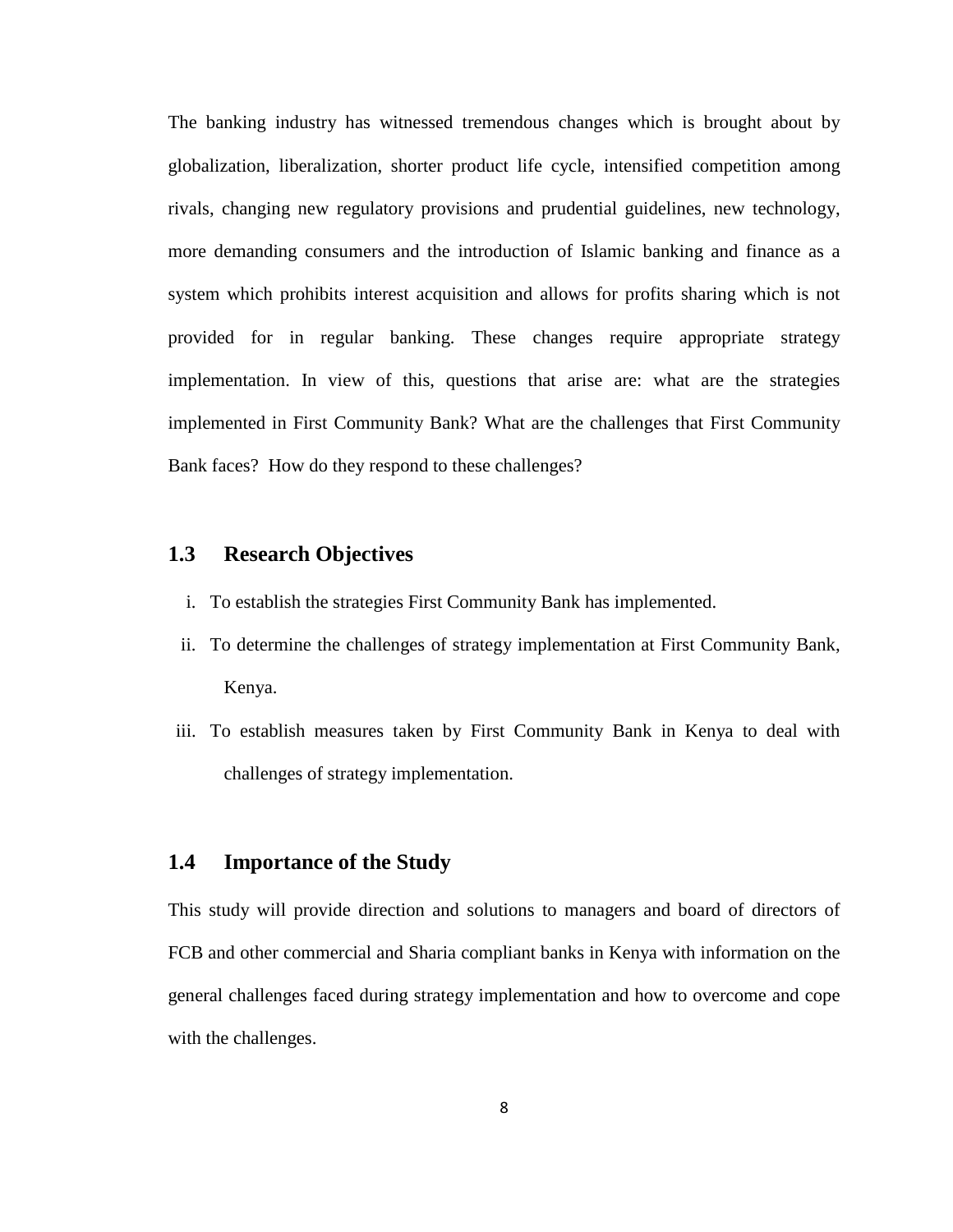The banking industry has witnessed tremendous changes which is brought about by globalization, liberalization, shorter product life cycle, intensified competition among rivals, changing new regulatory provisions and prudential guidelines, new technology, more demanding consumers and the introduction of Islamic banking and finance as a system which prohibits interest acquisition and allows for profits sharing which is not provided for in regular banking. These changes require appropriate strategy implementation. In view of this, questions that arise are: what are the strategies implemented in First Community Bank? What are the challenges that First Community Bank faces? How do they respond to these challenges?

#### <span id="page-15-0"></span>**1.3 Research Objectives**

- i. To establish the strategies First Community Bank has implemented.
- ii. To determine the challenges of strategy implementation at First Community Bank, Kenya.
- iii. To establish measures taken by First Community Bank in Kenya to deal with challenges of strategy implementation.

#### <span id="page-15-1"></span>**1.4 Importance of the Study**

This study will provide direction and solutions to managers and board of directors of FCB and other commercial and Sharia compliant banks in Kenya with information on the general challenges faced during strategy implementation and how to overcome and cope with the challenges.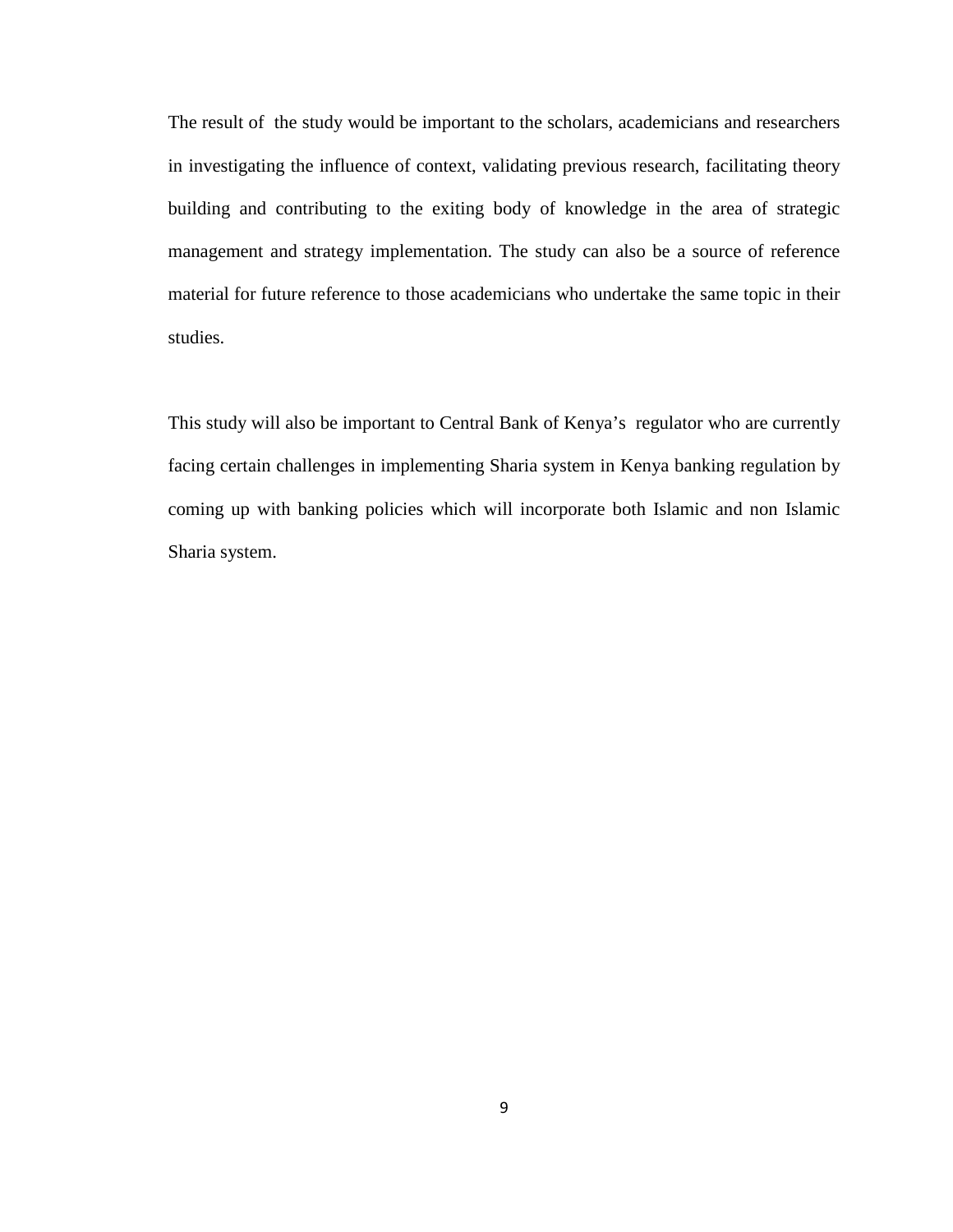The result of the study would be important to the scholars, academicians and researchers in investigating the influence of context, validating previous research, facilitating theory building and contributing to the exiting body of knowledge in the area of strategic management and strategy implementation. The study can also be a source of reference material for future reference to those academicians who undertake the same topic in their studies.

This study will also be important to Central Bank of Kenya's regulator who are currently facing certain challenges in implementing Sharia system in Kenya banking regulation by coming up with banking policies which will incorporate both Islamic and non Islamic Sharia system.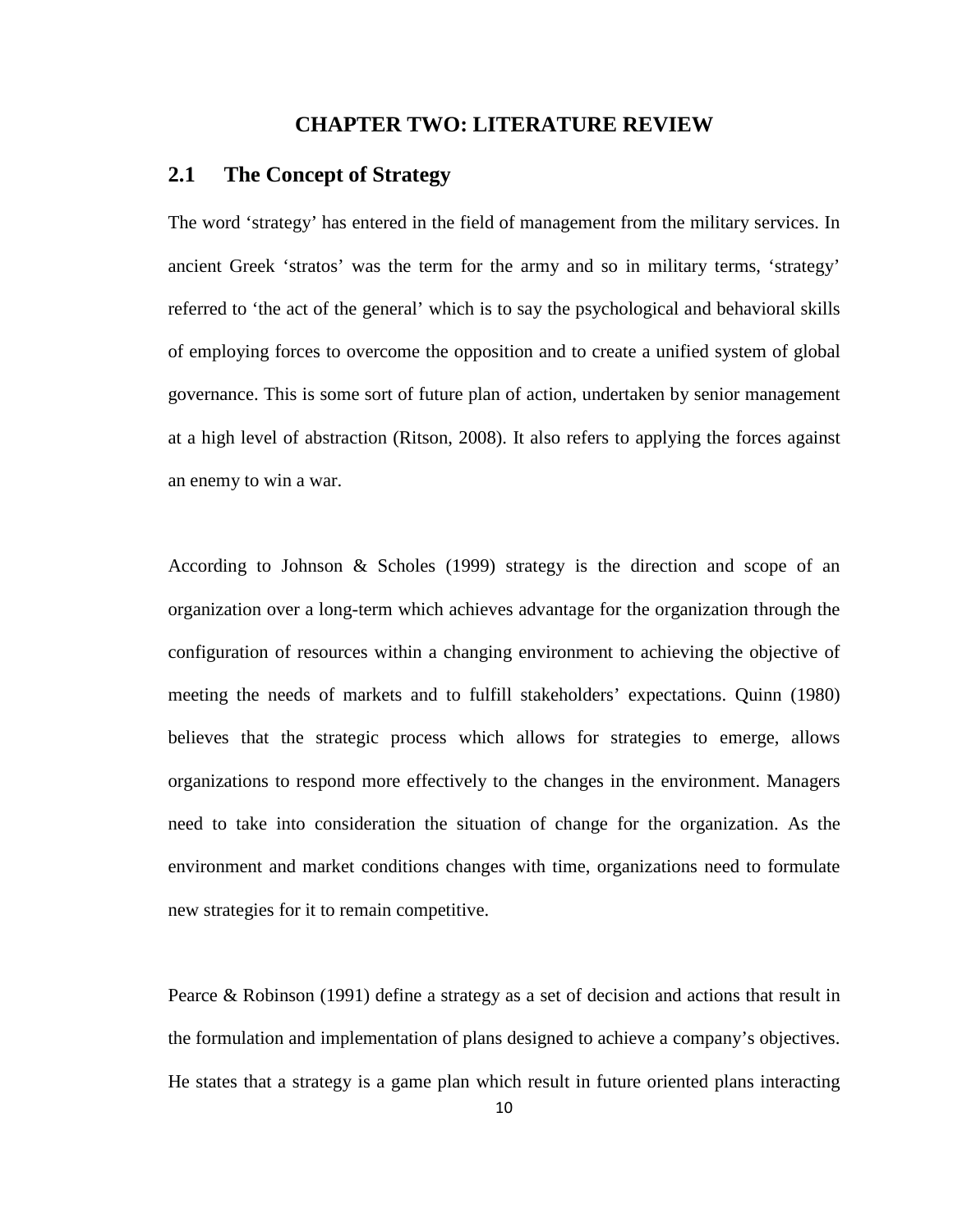#### **CHAPTER TWO: LITERATURE REVIEW**

## <span id="page-17-1"></span><span id="page-17-0"></span>**2.1 The Concept of Strategy**

The word 'strategy' has entered in the field of management from the military services. In ancient Greek 'stratos' was the term for the army and so in military terms, 'strategy' referred to 'the act of the general' which is to say the psychological and behavioral skills of employing forces to overcome the opposition and to create a unified system of global governance. This is some sort of future plan of action, undertaken by senior management at a high level of abstraction (Ritson, 2008). It also refers to applying the forces against an enemy to win a war.

According to Johnson & Scholes (1999) strategy is the direction and scope of an organization over a long-term which achieves advantage for the organization through the configuration of resources within a changing environment to achieving the objective of meeting the needs of markets and to fulfill stakeholders' expectations. Quinn (1980) believes that the strategic process which allows for strategies to emerge, allows organizations to respond more effectively to the changes in the environment. Managers need to take into consideration the situation of change for the organization. As the environment and market conditions changes with time, organizations need to formulate new strategies for it to remain competitive.

Pearce & Robinson (1991) define a strategy as a set of decision and actions that result in the formulation and implementation of plans designed to achieve a company's objectives. He states that a strategy is a game plan which result in future oriented plans interacting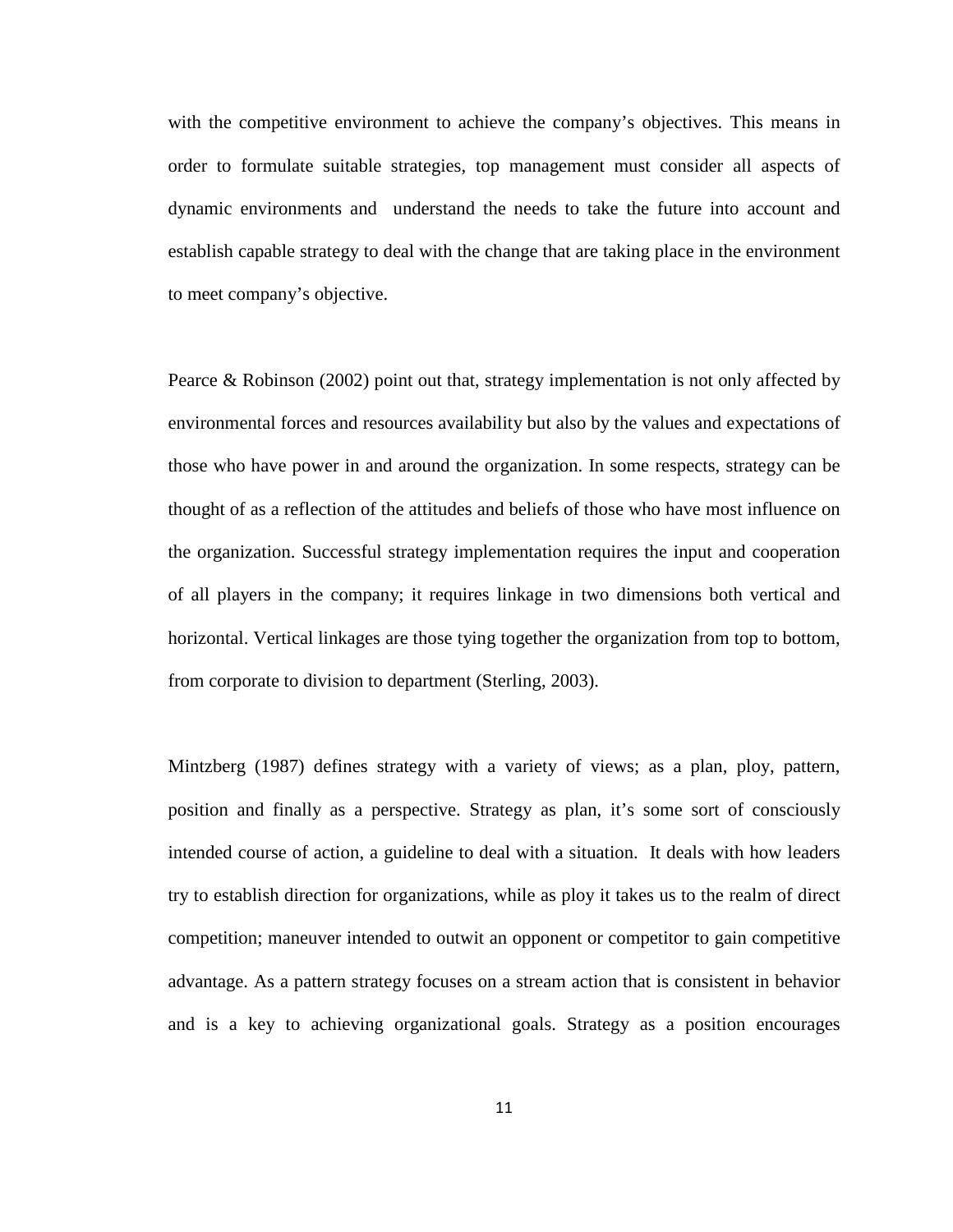with the competitive environment to achieve the company's objectives. This means in order to formulate suitable strategies, top management must consider all aspects of dynamic environments and understand the needs to take the future into account and establish capable strategy to deal with the change that are taking place in the environment to meet company's objective.

Pearce & Robinson (2002) point out that, strategy implementation is not only affected by environmental forces and resources availability but also by the values and expectations of those who have power in and around the organization. In some respects, strategy can be thought of as a reflection of the attitudes and beliefs of those who have most influence on the organization. Successful strategy implementation requires the input and cooperation of all players in the company; it requires linkage in two dimensions both vertical and horizontal. Vertical linkages are those tying together the organization from top to bottom, from corporate to division to department (Sterling, 2003).

Mintzberg (1987) defines strategy with a variety of views; as a plan, ploy, pattern, position and finally as a perspective. Strategy as plan, it's some sort of consciously intended course of action, a guideline to deal with a situation. It deals with how leaders try to establish direction for organizations, while as ploy it takes us to the realm of direct competition; maneuver intended to outwit an opponent or competitor to gain competitive advantage. As a pattern strategy focuses on a stream action that is consistent in behavior and is a key to achieving organizational goals. Strategy as a position encourages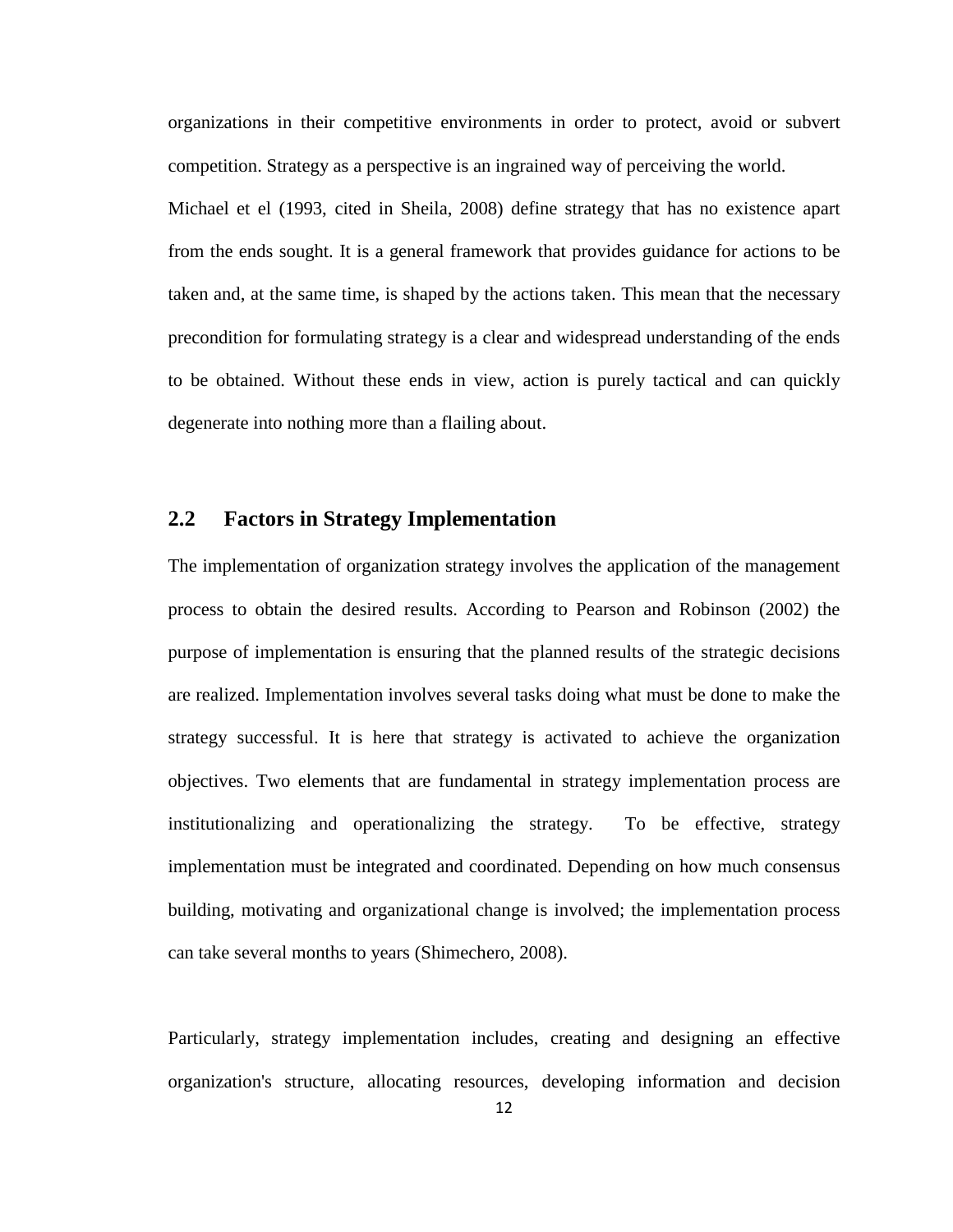organizations in their competitive environments in order to protect, avoid or subvert competition. Strategy as a perspective is an ingrained way of perceiving the world.

Michael et el (1993, cited in Sheila, 2008) define strategy that has no existence apart from the ends sought. It is a general framework that provides guidance for actions to be taken and, at the same time, is shaped by the actions taken. This mean that the necessary precondition for formulating strategy is a clear and widespread understanding of the ends to be obtained. Without these ends in view, action is purely tactical and can quickly degenerate into nothing more than a flailing about.

#### <span id="page-19-0"></span>**2.2 Factors in Strategy Implementation**

The implementation of organization strategy involves the application of the management process to obtain the desired results. According to Pearson and Robinson (2002) the purpose of implementation is ensuring that the planned results of the strategic decisions are realized. Implementation involves several tasks doing what must be done to make the strategy successful. It is here that strategy is activated to achieve the organization objectives. Two elements that are fundamental in strategy implementation process are institutionalizing and operationalizing the strategy. To be effective, strategy implementation must be integrated and coordinated. Depending on how much consensus building, motivating and organizational change is involved; the implementation process can take several months to years (Shimechero, 2008).

Particularly, strategy implementation includes, creating and designing an effective organization's structure, allocating resources, developing information and decision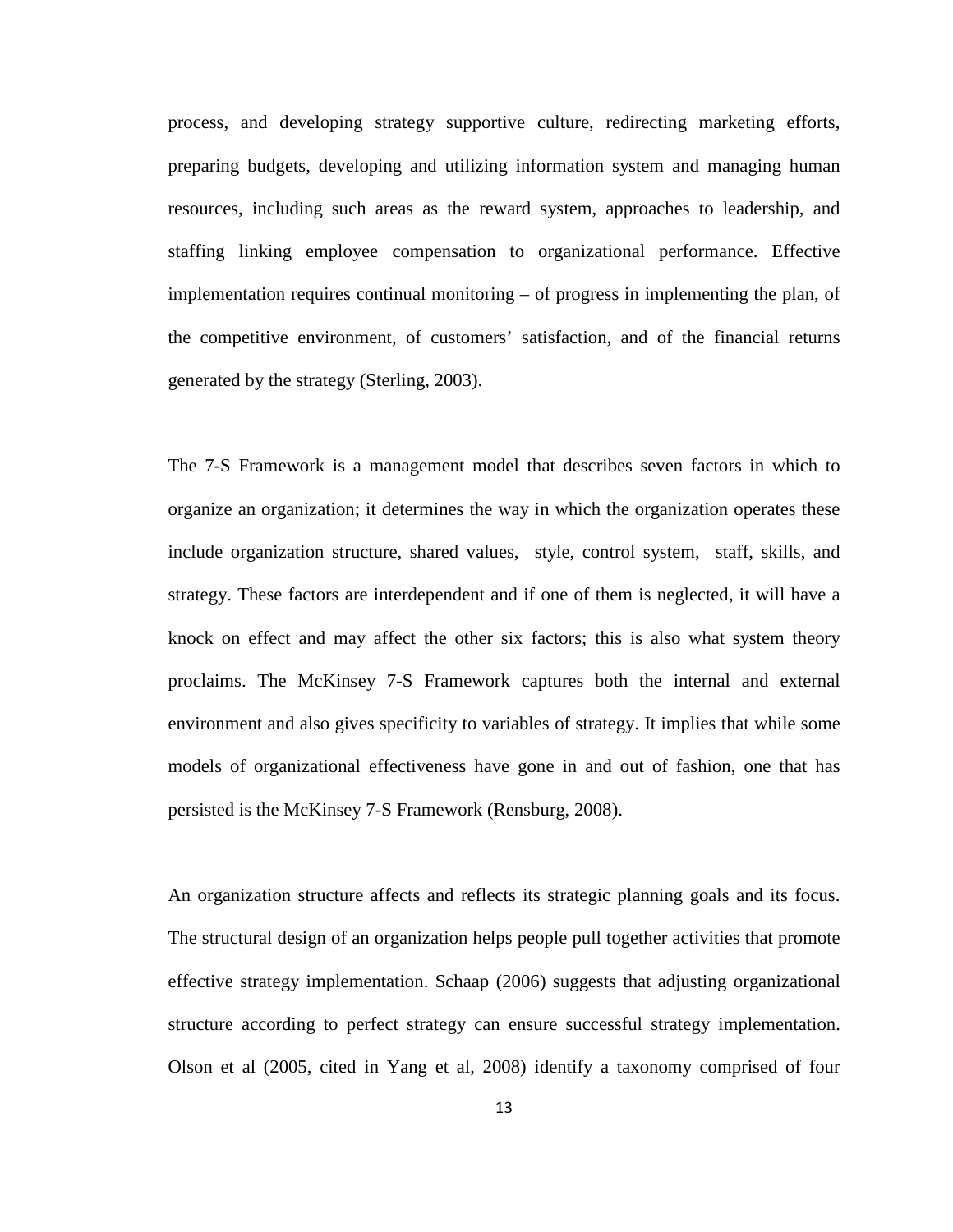process, and developing strategy supportive culture, redirecting marketing efforts, preparing budgets, developing and utilizing information system and managing human resources, including such areas as the reward system, approaches to leadership, and staffing linking employee compensation to organizational performance. Effective implementation requires continual monitoring – of progress in implementing the plan, of the competitive environment, of customers' satisfaction, and of the financial returns generated by the strategy (Sterling, 2003).

The 7-S Framework is a management model that describes seven factors in which to organize an organization; it determines the way in which the organization operates these include organization structure, shared values, style, control system, staff, skills, and strategy. These factors are interdependent and if one of them is neglected, it will have a knock on effect and may affect the other six factors; this is also what system theory proclaims. The McKinsey 7-S Framework captures both the internal and external environment and also gives specificity to variables of strategy. It implies that while some models of organizational effectiveness have gone in and out of fashion, one that has persisted is the McKinsey 7-S Framework (Rensburg, 2008).

An organization structure affects and reflects its strategic planning goals and its focus. The structural design of an organization helps people pull together activities that promote effective strategy implementation. Schaap (2006) suggests that adjusting organizational structure according to perfect strategy can ensure successful strategy implementation. Olson et al (2005, cited in Yang et al, 2008) identify a taxonomy comprised of four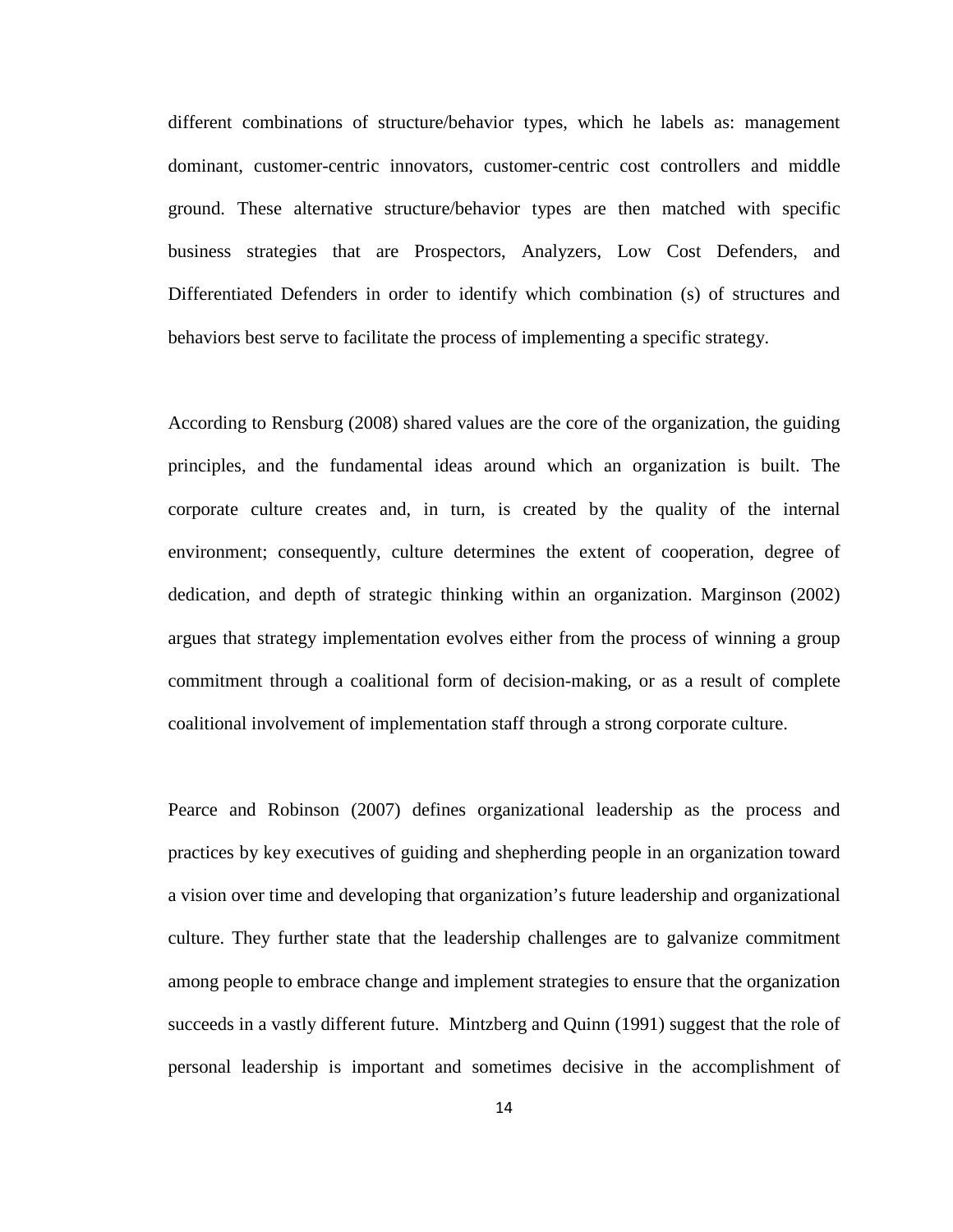different combinations of structure/behavior types, which he labels as: management dominant, customer-centric innovators, customer-centric cost controllers and middle ground. These alternative structure/behavior types are then matched with specific business strategies that are Prospectors, Analyzers, Low Cost Defenders, and Differentiated Defenders in order to identify which combination (s) of structures and behaviors best serve to facilitate the process of implementing a specific strategy.

According to Rensburg (2008) shared values are the core of the organization, the guiding principles, and the fundamental ideas around which an organization is built. The corporate culture creates and, in turn, is created by the quality of the internal environment; consequently, culture determines the extent of cooperation, degree of dedication, and depth of strategic thinking within an organization. Marginson (2002) argues that strategy implementation evolves either from the process of winning a group commitment through a coalitional form of decision-making, or as a result of complete coalitional involvement of implementation staff through a strong corporate culture.

Pearce and Robinson (2007) defines organizational leadership as the process and practices by key executives of guiding and shepherding people in an organization toward a vision over time and developing that organization's future leadership and organizational culture. They further state that the leadership challenges are to galvanize commitment among people to embrace change and implement strategies to ensure that the organization succeeds in a vastly different future. Mintzberg and Quinn (1991) suggest that the role of personal leadership is important and sometimes decisive in the accomplishment of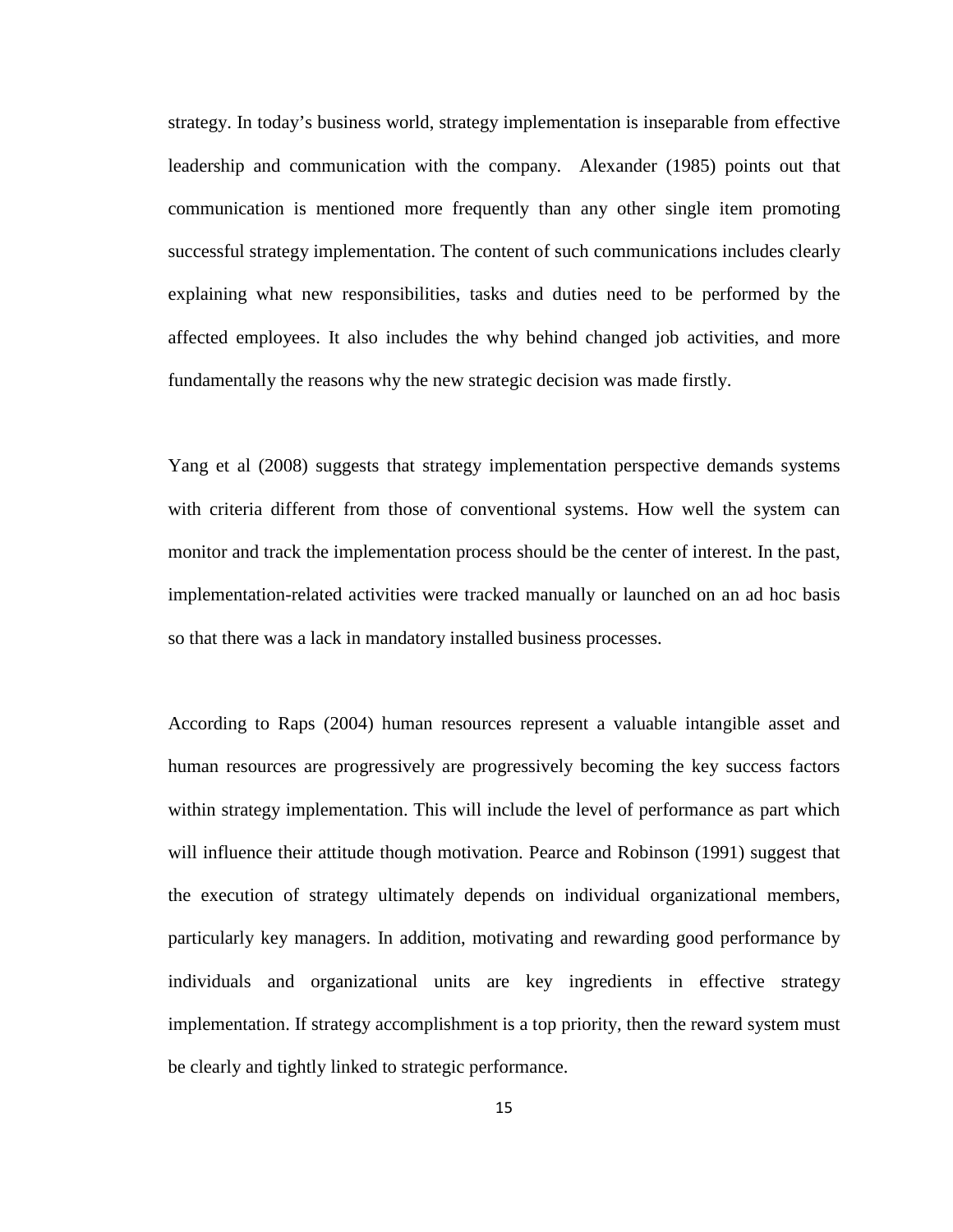strategy. In today's business world, strategy implementation is inseparable from effective leadership and communication with the company. Alexander (1985) points out that communication is mentioned more frequently than any other single item promoting successful strategy implementation. The content of such communications includes clearly explaining what new responsibilities, tasks and duties need to be performed by the affected employees. It also includes the why behind changed job activities, and more fundamentally the reasons why the new strategic decision was made firstly.

Yang et al (2008) suggests that strategy implementation perspective demands systems with criteria different from those of conventional systems. How well the system can monitor and track the implementation process should be the center of interest. In the past, implementation-related activities were tracked manually or launched on an ad hoc basis so that there was a lack in mandatory installed business processes.

According to Raps (2004) human resources represent a valuable intangible asset and human resources are progressively are progressively becoming the key success factors within strategy implementation. This will include the level of performance as part which will influence their attitude though motivation. Pearce and Robinson (1991) suggest that the execution of strategy ultimately depends on individual organizational members, particularly key managers. In addition, motivating and rewarding good performance by individuals and organizational units are key ingredients in effective strategy implementation. If strategy accomplishment is a top priority, then the reward system must be clearly and tightly linked to strategic performance.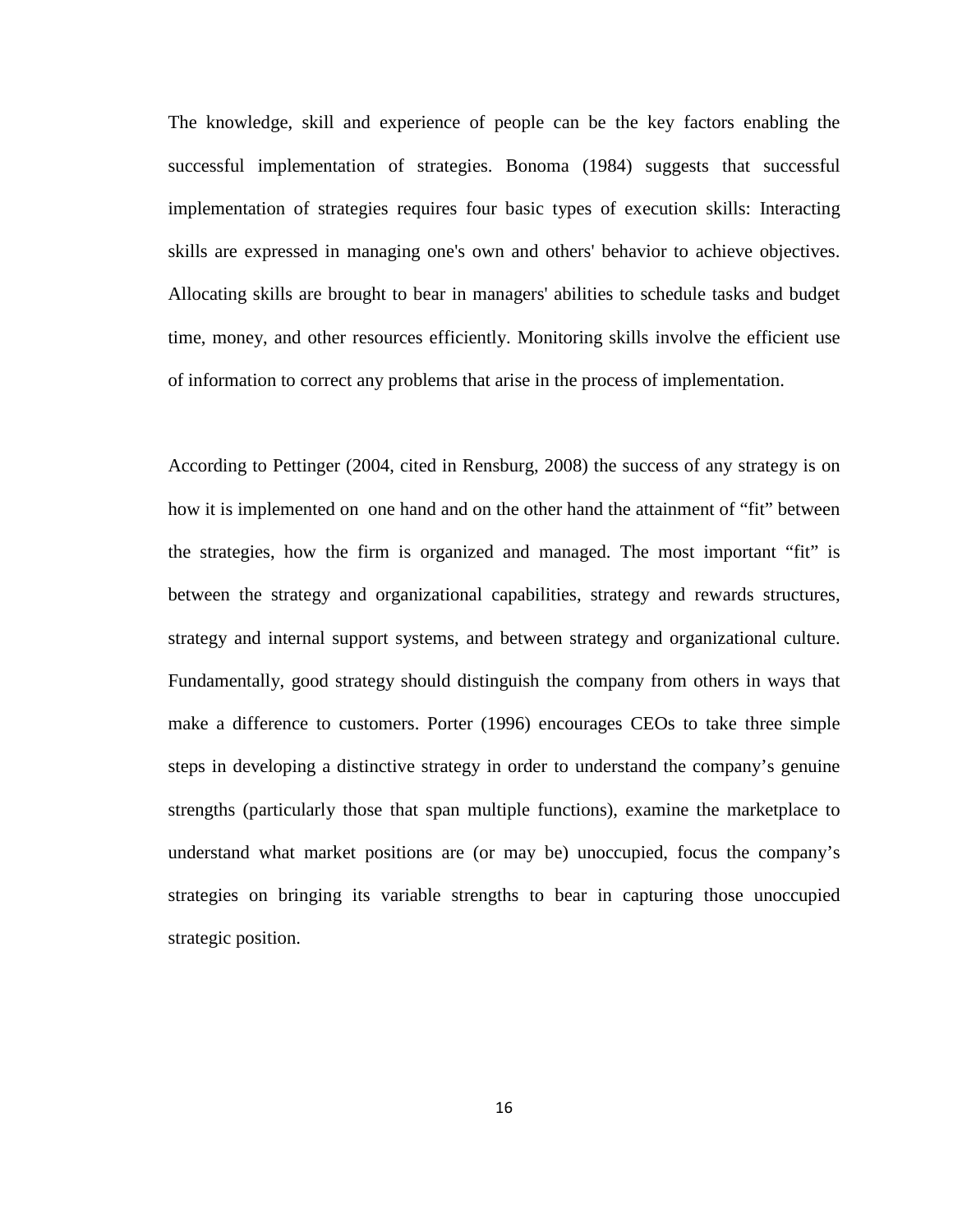The knowledge, skill and experience of people can be the key factors enabling the successful implementation of strategies. Bonoma (1984) suggests that successful implementation of strategies requires four basic types of execution skills: Interacting skills are expressed in managing one's own and others' behavior to achieve objectives. Allocating skills are brought to bear in managers' abilities to schedule tasks and budget time, money, and other resources efficiently. Monitoring skills involve the efficient use of information to correct any problems that arise in the process of implementation.

According to Pettinger (2004, cited in Rensburg, 2008) the success of any strategy is on how it is implemented on one hand and on the other hand the attainment of "fit" between the strategies, how the firm is organized and managed. The most important "fit" is between the strategy and organizational capabilities, strategy and rewards structures, strategy and internal support systems, and between strategy and organizational culture. Fundamentally, good strategy should distinguish the company from others in ways that make a difference to customers. Porter (1996) encourages CEOs to take three simple steps in developing a distinctive strategy in order to understand the company's genuine strengths (particularly those that span multiple functions), examine the marketplace to understand what market positions are (or may be) unoccupied, focus the company's strategies on bringing its variable strengths to bear in capturing those unoccupied strategic position.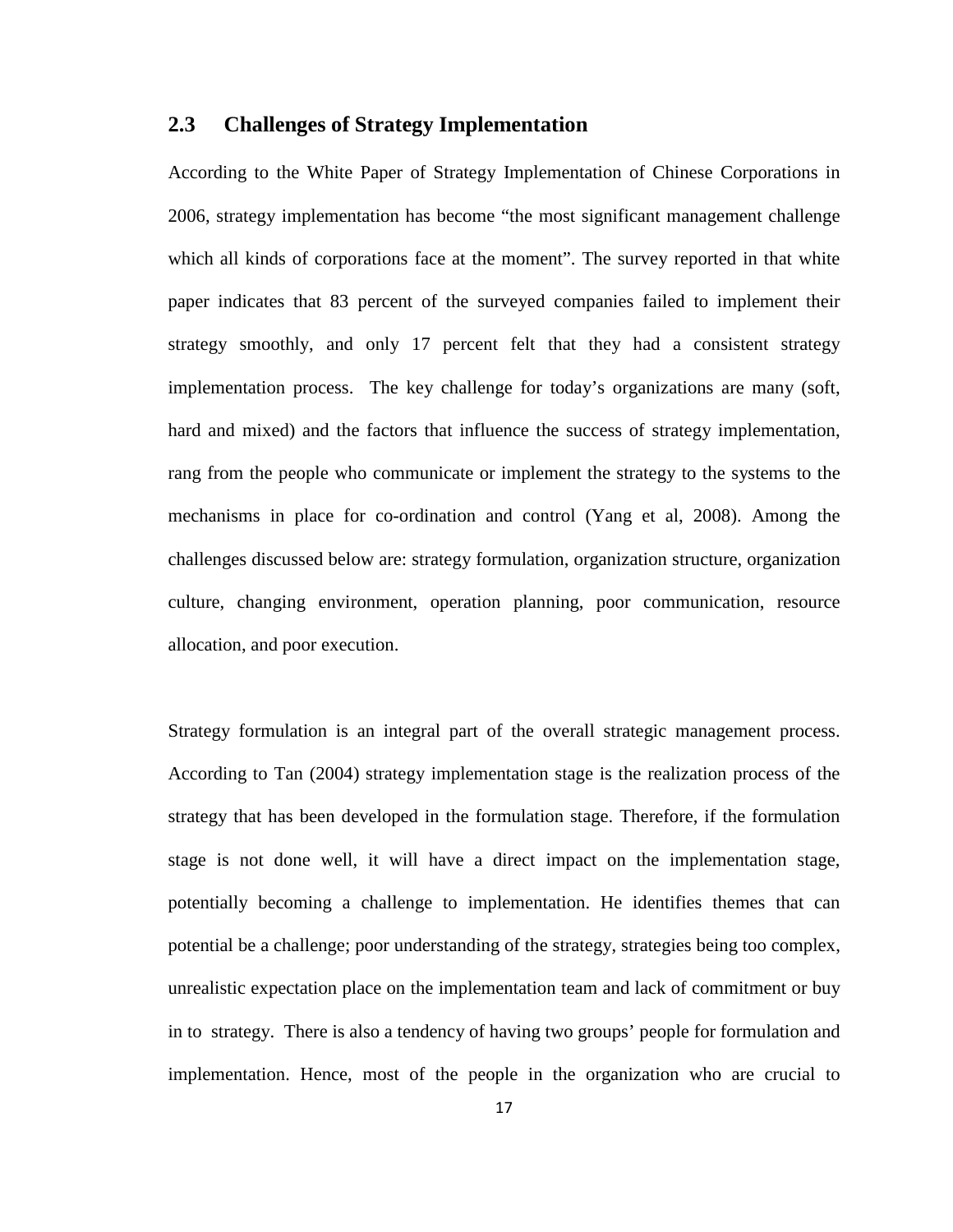## <span id="page-24-0"></span>**2.3 Challenges of Strategy Implementation**

According to the White Paper of Strategy Implementation of Chinese Corporations in 2006, strategy implementation has become "the most significant management challenge which all kinds of corporations face at the moment". The survey reported in that white paper indicates that 83 percent of the surveyed companies failed to implement their strategy smoothly, and only 17 percent felt that they had a consistent strategy implementation process. The key challenge for today's organizations are many (soft, hard and mixed) and the factors that influence the success of strategy implementation, rang from the people who communicate or implement the strategy to the systems to the mechanisms in place for co-ordination and control (Yang et al, 2008). Among the challenges discussed below are: strategy formulation, organization structure, organization culture, changing environment, operation planning, poor communication, resource allocation, and poor execution.

Strategy formulation is an integral part of the overall strategic management process. According to Tan (2004) strategy implementation stage is the realization process of the strategy that has been developed in the formulation stage. Therefore, if the formulation stage is not done well, it will have a direct impact on the implementation stage, potentially becoming a challenge to implementation. He identifies themes that can potential be a challenge; poor understanding of the strategy, strategies being too complex, unrealistic expectation place on the implementation team and lack of commitment or buy in to strategy. There is also a tendency of having two groups' people for formulation and implementation. Hence, most of the people in the organization who are crucial to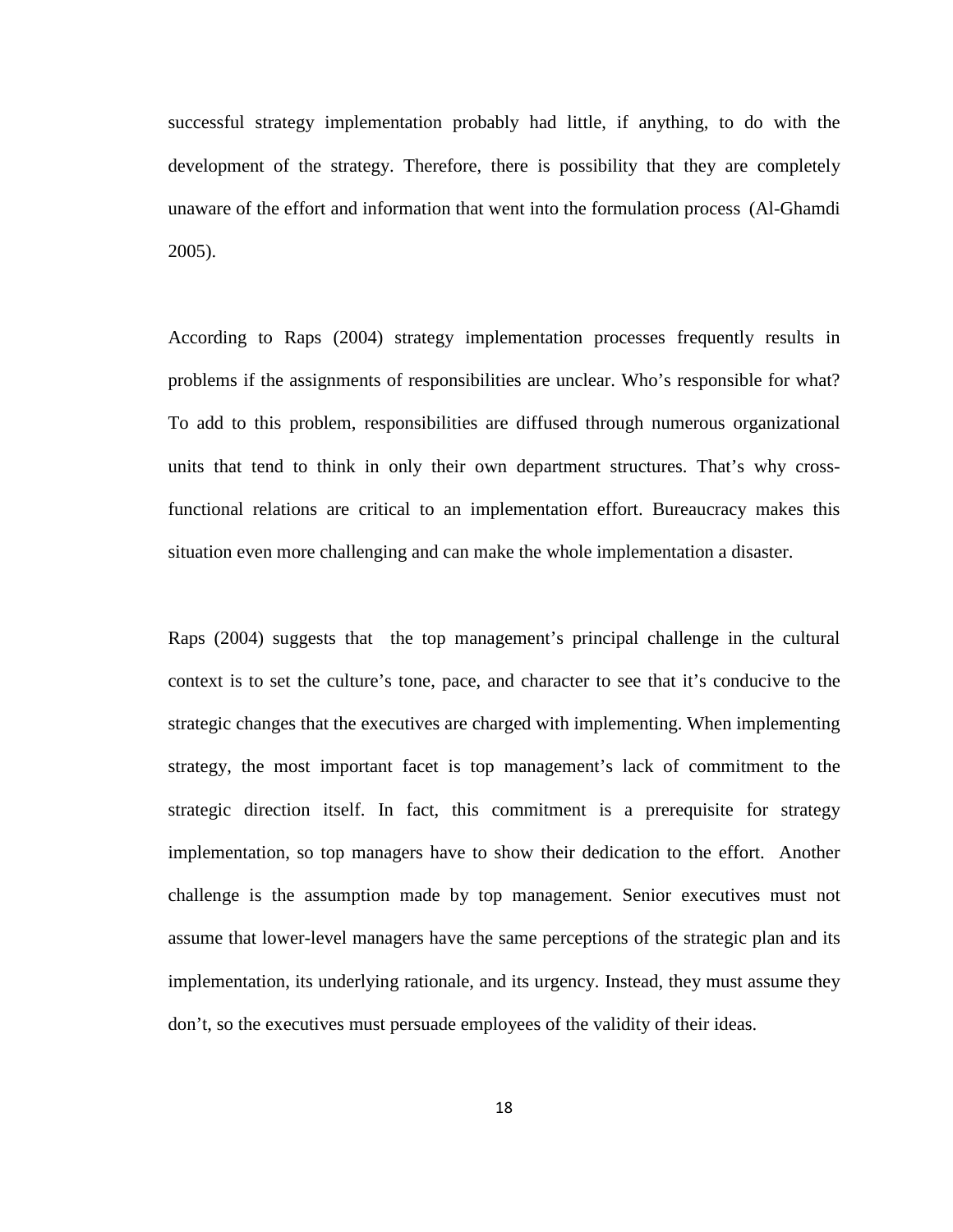successful strategy implementation probably had little, if anything, to do with the development of the strategy. Therefore, there is possibility that they are completely unaware of the effort and information that went into the formulation process (Al-Ghamdi 2005).

According to Raps (2004) strategy implementation processes frequently results in problems if the assignments of responsibilities are unclear. Who's responsible for what? To add to this problem, responsibilities are diffused through numerous organizational units that tend to think in only their own department structures. That's why crossfunctional relations are critical to an implementation effort. Bureaucracy makes this situation even more challenging and can make the whole implementation a disaster.

Raps (2004) suggests that the top management's principal challenge in the cultural context is to set the culture's tone, pace, and character to see that it's conducive to the strategic changes that the executives are charged with implementing. When implementing strategy, the most important facet is top management's lack of commitment to the strategic direction itself. In fact, this commitment is a prerequisite for strategy implementation, so top managers have to show their dedication to the effort. Another challenge is the assumption made by top management. Senior executives must not assume that lower-level managers have the same perceptions of the strategic plan and its implementation, its underlying rationale, and its urgency. Instead, they must assume they don't, so the executives must persuade employees of the validity of their ideas.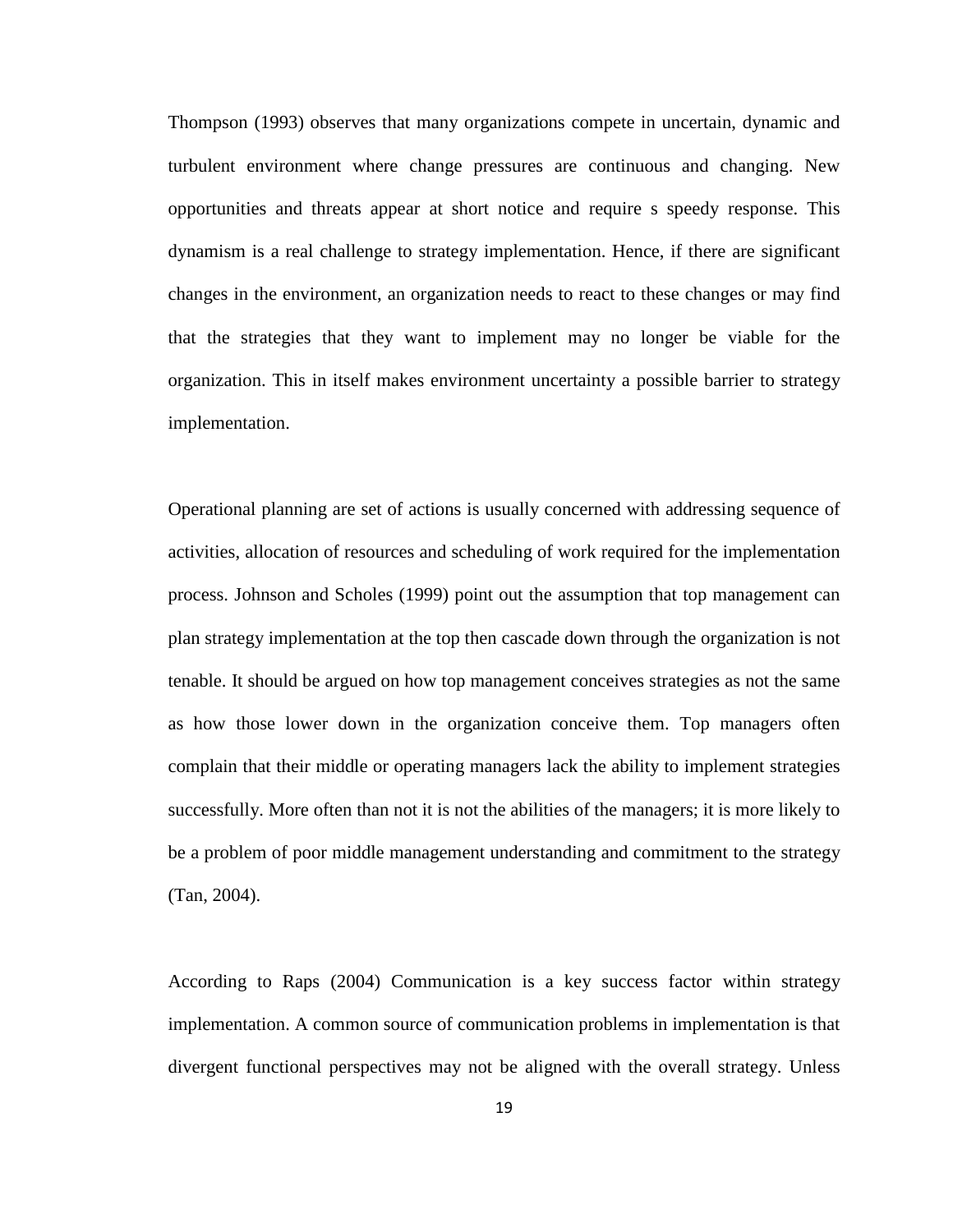Thompson (1993) observes that many organizations compete in uncertain, dynamic and turbulent environment where change pressures are continuous and changing. New opportunities and threats appear at short notice and require s speedy response. This dynamism is a real challenge to strategy implementation. Hence, if there are significant changes in the environment, an organization needs to react to these changes or may find that the strategies that they want to implement may no longer be viable for the organization. This in itself makes environment uncertainty a possible barrier to strategy implementation.

Operational planning are set of actions is usually concerned with addressing sequence of activities, allocation of resources and scheduling of work required for the implementation process. Johnson and Scholes (1999) point out the assumption that top management can plan strategy implementation at the top then cascade down through the organization is not tenable. It should be argued on how top management conceives strategies as not the same as how those lower down in the organization conceive them. Top managers often complain that their middle or operating managers lack the ability to implement strategies successfully. More often than not it is not the abilities of the managers; it is more likely to be a problem of poor middle management understanding and commitment to the strategy (Tan, 2004).

According to Raps (2004) Communication is a key success factor within strategy implementation. A common source of communication problems in implementation is that divergent functional perspectives may not be aligned with the overall strategy. Unless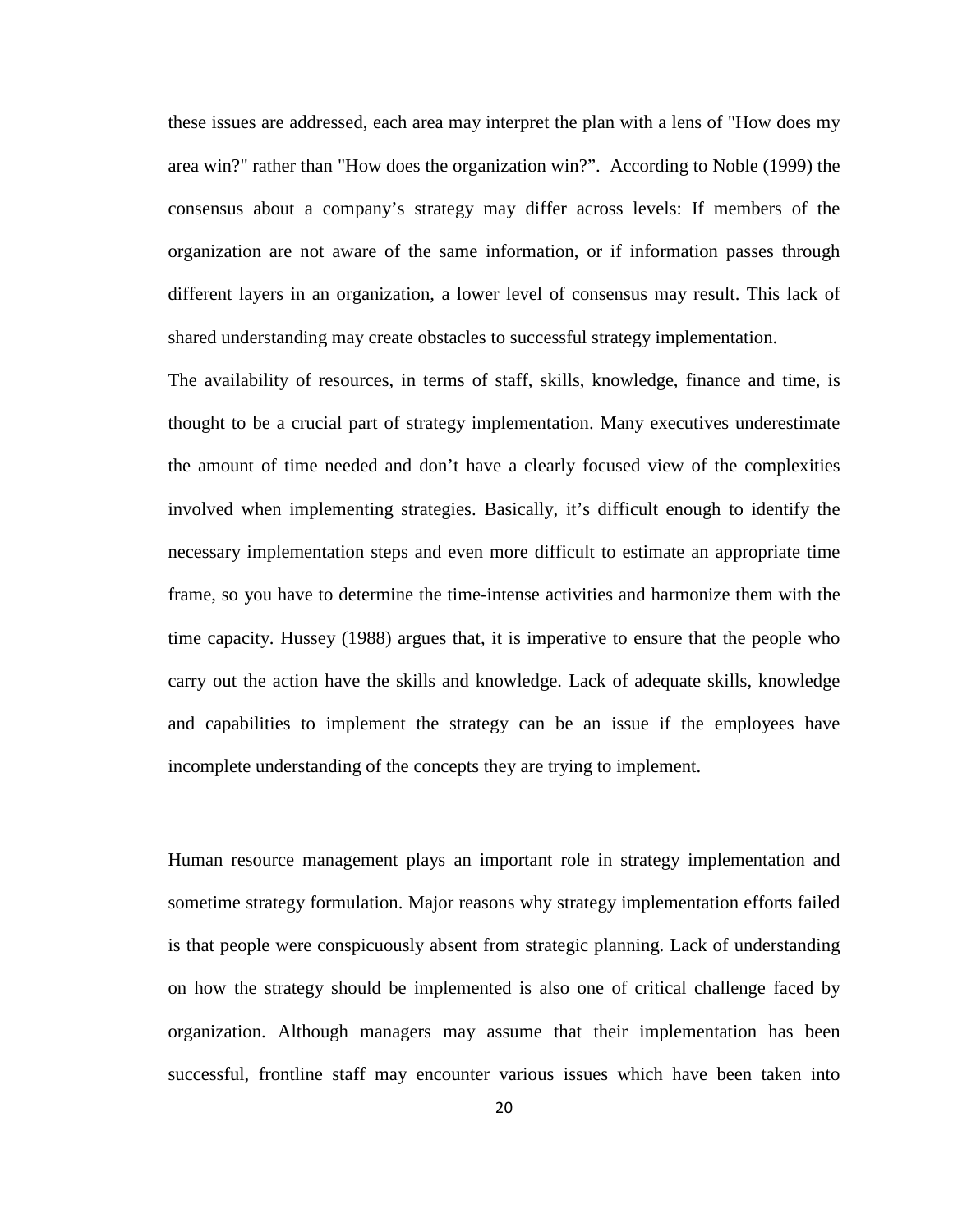these issues are addressed, each area may interpret the plan with a lens of "How does my area win?" rather than "How does the organization win?". According to Noble (1999) the consensus about a company's strategy may differ across levels: If members of the organization are not aware of the same information, or if information passes through different layers in an organization, a lower level of consensus may result. This lack of shared understanding may create obstacles to successful strategy implementation.

The availability of resources, in terms of staff, skills, knowledge, finance and time, is thought to be a crucial part of strategy implementation. Many executives underestimate the amount of time needed and don't have a clearly focused view of the complexities involved when implementing strategies. Basically, it's difficult enough to identify the necessary implementation steps and even more difficult to estimate an appropriate time frame, so you have to determine the time-intense activities and harmonize them with the time capacity. Hussey (1988) argues that, it is imperative to ensure that the people who carry out the action have the skills and knowledge. Lack of adequate skills, knowledge and capabilities to implement the strategy can be an issue if the employees have incomplete understanding of the concepts they are trying to implement.

Human resource management plays an important role in strategy implementation and sometime strategy formulation. Major reasons why strategy implementation efforts failed is that people were conspicuously absent from strategic planning. Lack of understanding on how the strategy should be implemented is also one of critical challenge faced by organization. Although managers may assume that their implementation has been successful, frontline staff may encounter various issues which have been taken into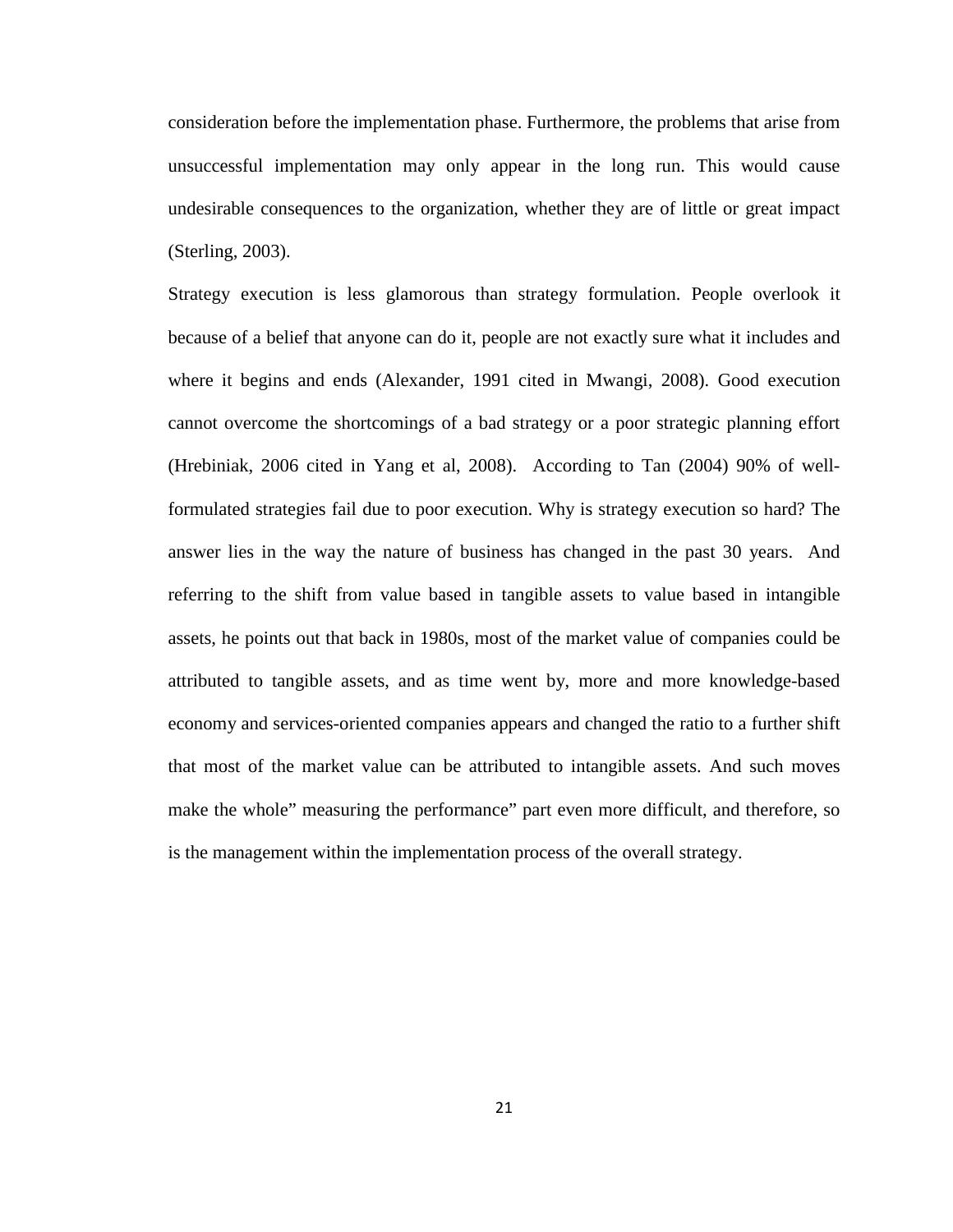consideration before the implementation phase. Furthermore, the problems that arise from unsuccessful implementation may only appear in the long run. This would cause undesirable consequences to the organization, whether they are of little or great impact (Sterling, 2003).

Strategy execution is less glamorous than strategy formulation. People overlook it because of a belief that anyone can do it, people are not exactly sure what it includes and where it begins and ends (Alexander, 1991 cited in Mwangi, 2008). Good execution cannot overcome the shortcomings of a bad strategy or a poor strategic planning effort (Hrebiniak, 2006 cited in Yang et al, 2008). According to Tan (2004) 90% of wellformulated strategies fail due to poor execution. Why is strategy execution so hard? The answer lies in the way the nature of business has changed in the past 30 years. And referring to the shift from value based in tangible assets to value based in intangible assets, he points out that back in 1980s, most of the market value of companies could be attributed to tangible assets, and as time went by, more and more knowledge-based economy and services-oriented companies appears and changed the ratio to a further shift that most of the market value can be attributed to intangible assets. And such moves make the whole" measuring the performance" part even more difficult, and therefore, so is the management within the implementation process of the overall strategy.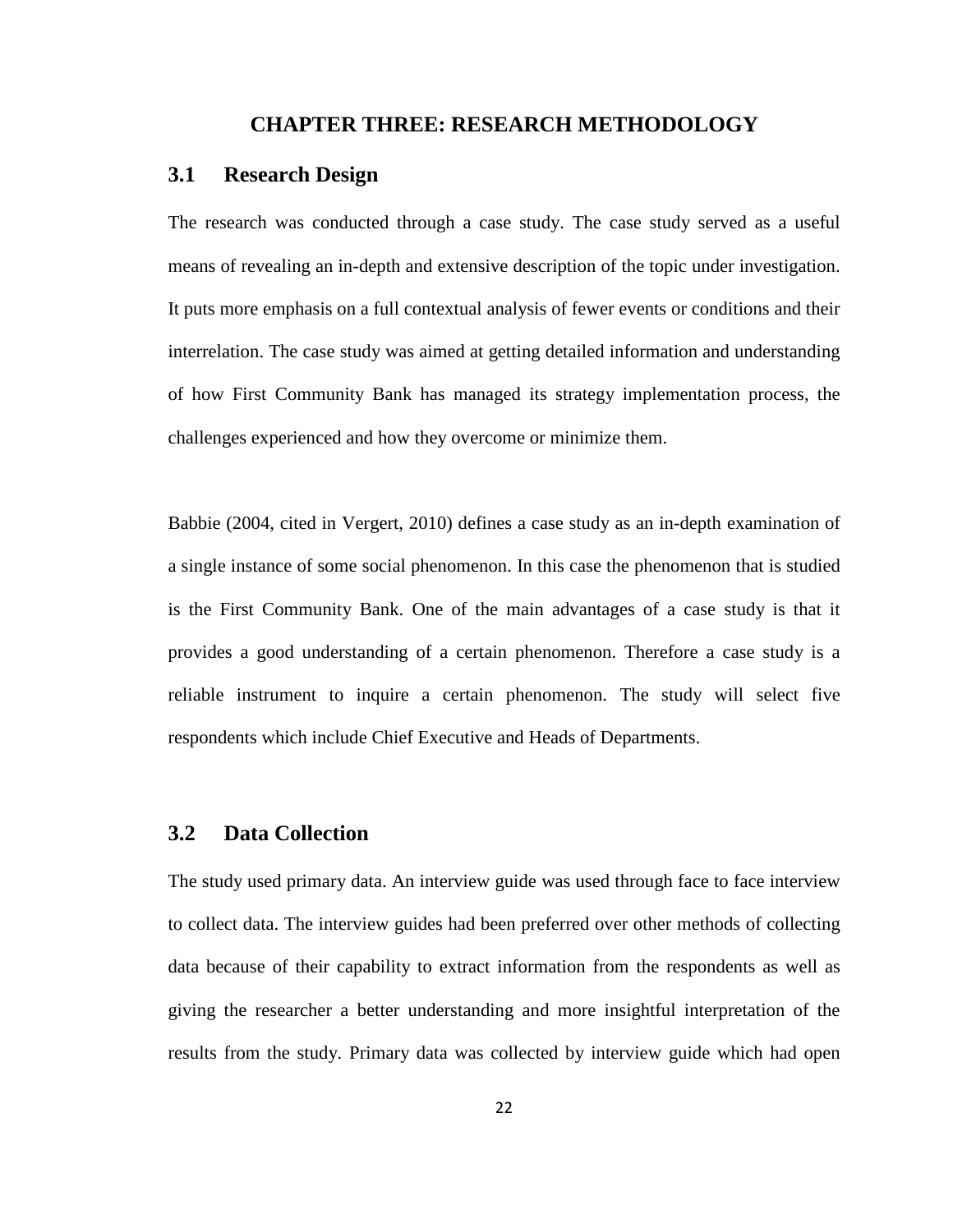#### **CHAPTER THREE: RESEARCH METHODOLOGY**

#### <span id="page-29-1"></span><span id="page-29-0"></span>**3.1 Research Design**

The research was conducted through a case study. The case study served as a useful means of revealing an in-depth and extensive description of the topic under investigation. It puts more emphasis on a full contextual analysis of fewer events or conditions and their interrelation. The case study was aimed at getting detailed information and understanding of how First Community Bank has managed its strategy implementation process, the challenges experienced and how they overcome or minimize them.

Babbie (2004, cited in Vergert, 2010) defines a case study as an in-depth examination of a single instance of some social phenomenon. In this case the phenomenon that is studied is the First Community Bank. One of the main advantages of a case study is that it provides a good understanding of a certain phenomenon. Therefore a case study is a reliable instrument to inquire a certain phenomenon. The study will select five respondents which include Chief Executive and Heads of Departments.

## <span id="page-29-2"></span>**3.2 Data Collection**

The study used primary data. An interview guide was used through face to face interview to collect data. The interview guides had been preferred over other methods of collecting data because of their capability to extract information from the respondents as well as giving the researcher a better understanding and more insightful interpretation of the results from the study. Primary data was collected by interview guide which had open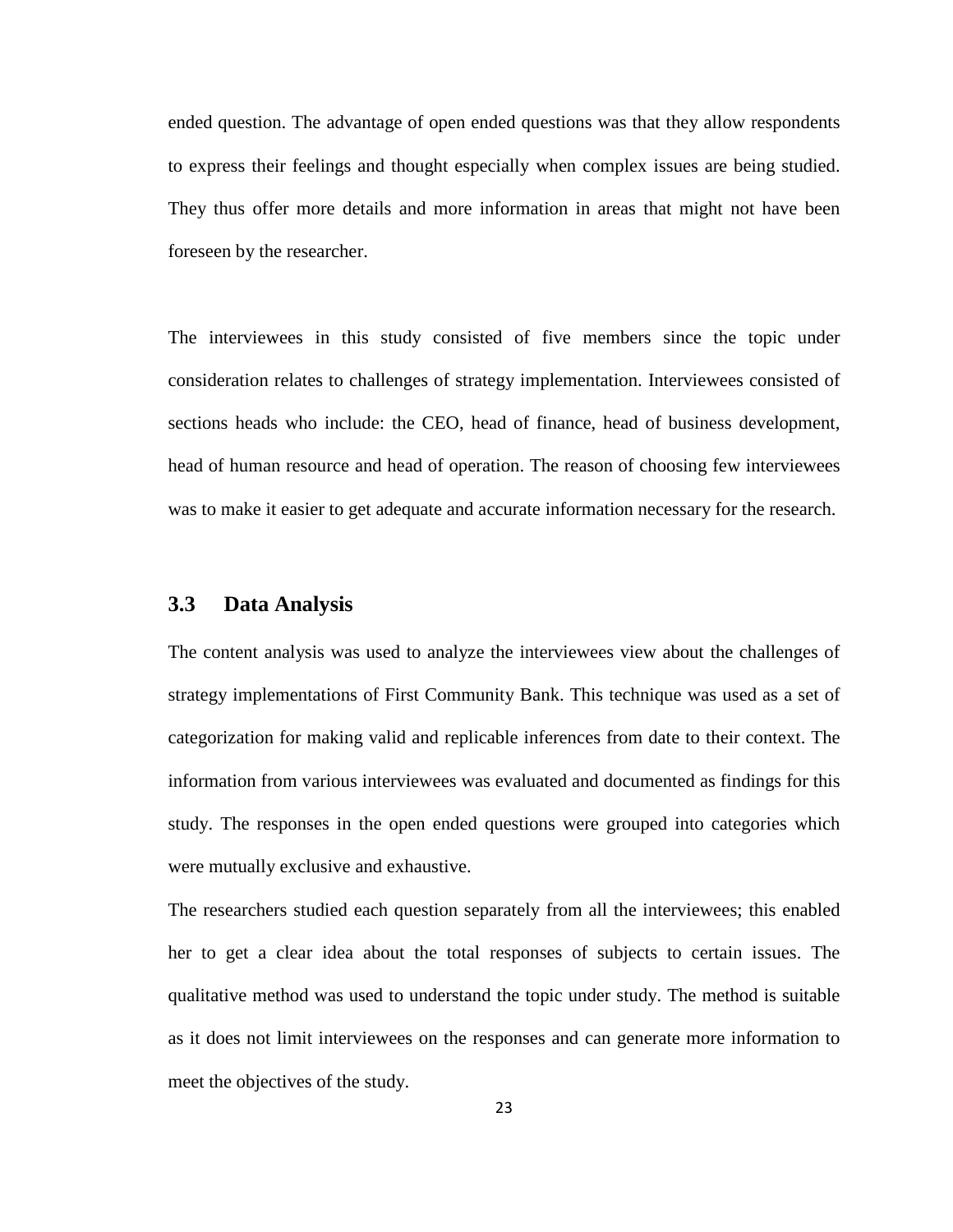ended question. The advantage of open ended questions was that they allow respondents to express their feelings and thought especially when complex issues are being studied. They thus offer more details and more information in areas that might not have been foreseen by the researcher.

The interviewees in this study consisted of five members since the topic under consideration relates to challenges of strategy implementation. Interviewees consisted of sections heads who include: the CEO, head of finance, head of business development, head of human resource and head of operation. The reason of choosing few interviewees was to make it easier to get adequate and accurate information necessary for the research.

#### <span id="page-30-0"></span>**3.3 Data Analysis**

The content analysis was used to analyze the interviewees view about the challenges of strategy implementations of First Community Bank. This technique was used as a set of categorization for making valid and replicable inferences from date to their context. The information from various interviewees was evaluated and documented as findings for this study. The responses in the open ended questions were grouped into categories which were mutually exclusive and exhaustive.

The researchers studied each question separately from all the interviewees; this enabled her to get a clear idea about the total responses of subjects to certain issues. The qualitative method was used to understand the topic under study. The method is suitable as it does not limit interviewees on the responses and can generate more information to meet the objectives of the study.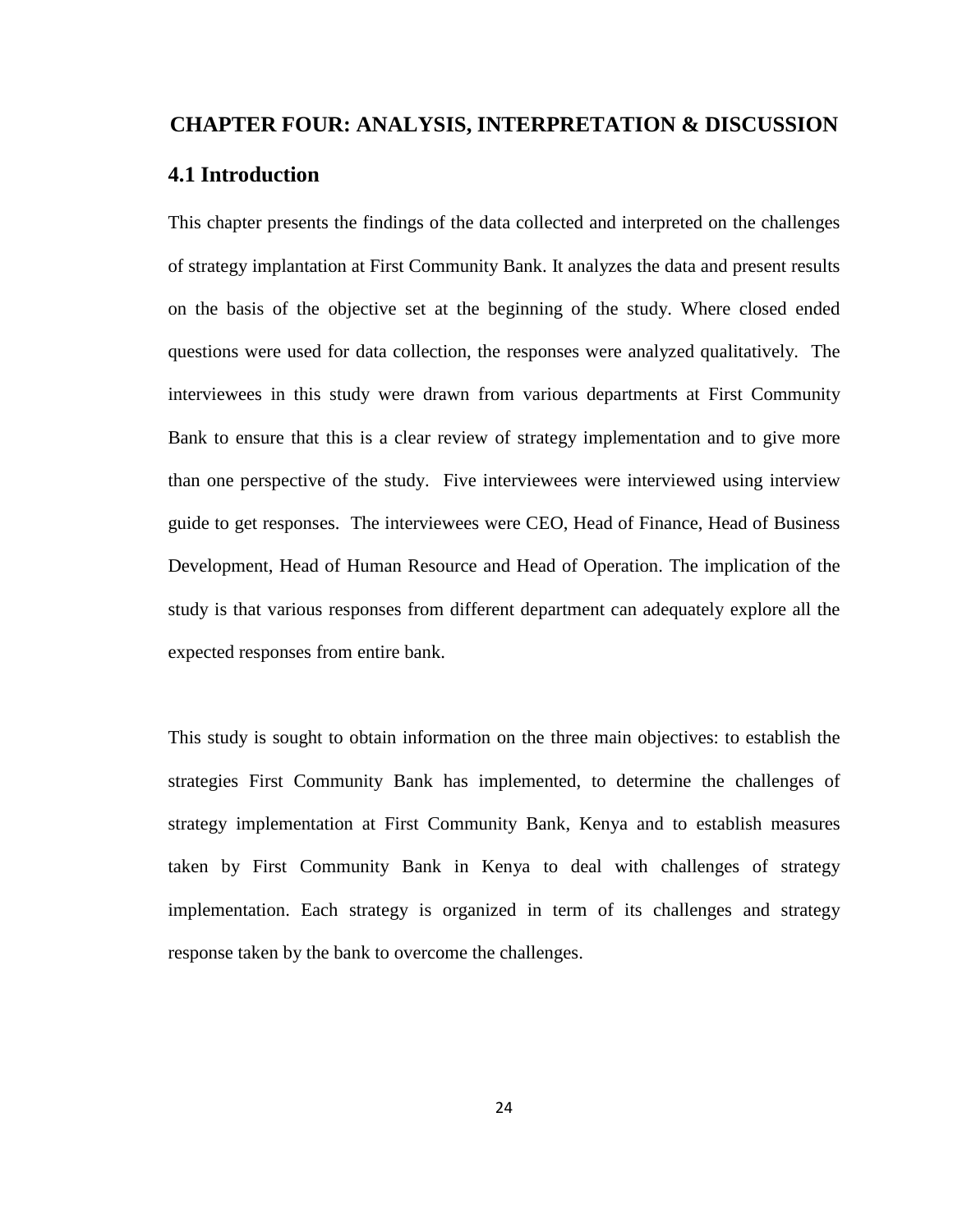#### <span id="page-31-0"></span>**CHAPTER FOUR: ANALYSIS, INTERPRETATION & DISCUSSION**

## <span id="page-31-1"></span>**4.1 Introduction**

This chapter presents the findings of the data collected and interpreted on the challenges of strategy implantation at First Community Bank. It analyzes the data and present results on the basis of the objective set at the beginning of the study. Where closed ended questions were used for data collection, the responses were analyzed qualitatively. The interviewees in this study were drawn from various departments at First Community Bank to ensure that this is a clear review of strategy implementation and to give more than one perspective of the study. Five interviewees were interviewed using interview guide to get responses. The interviewees were CEO, Head of Finance, Head of Business Development, Head of Human Resource and Head of Operation. The implication of the study is that various responses from different department can adequately explore all the expected responses from entire bank.

This study is sought to obtain information on the three main objectives: to establish the strategies First Community Bank has implemented, to determine the challenges of strategy implementation at First Community Bank, Kenya and to establish measures taken by First Community Bank in Kenya to deal with challenges of strategy implementation. Each strategy is organized in term of its challenges and strategy response taken by the bank to overcome the challenges.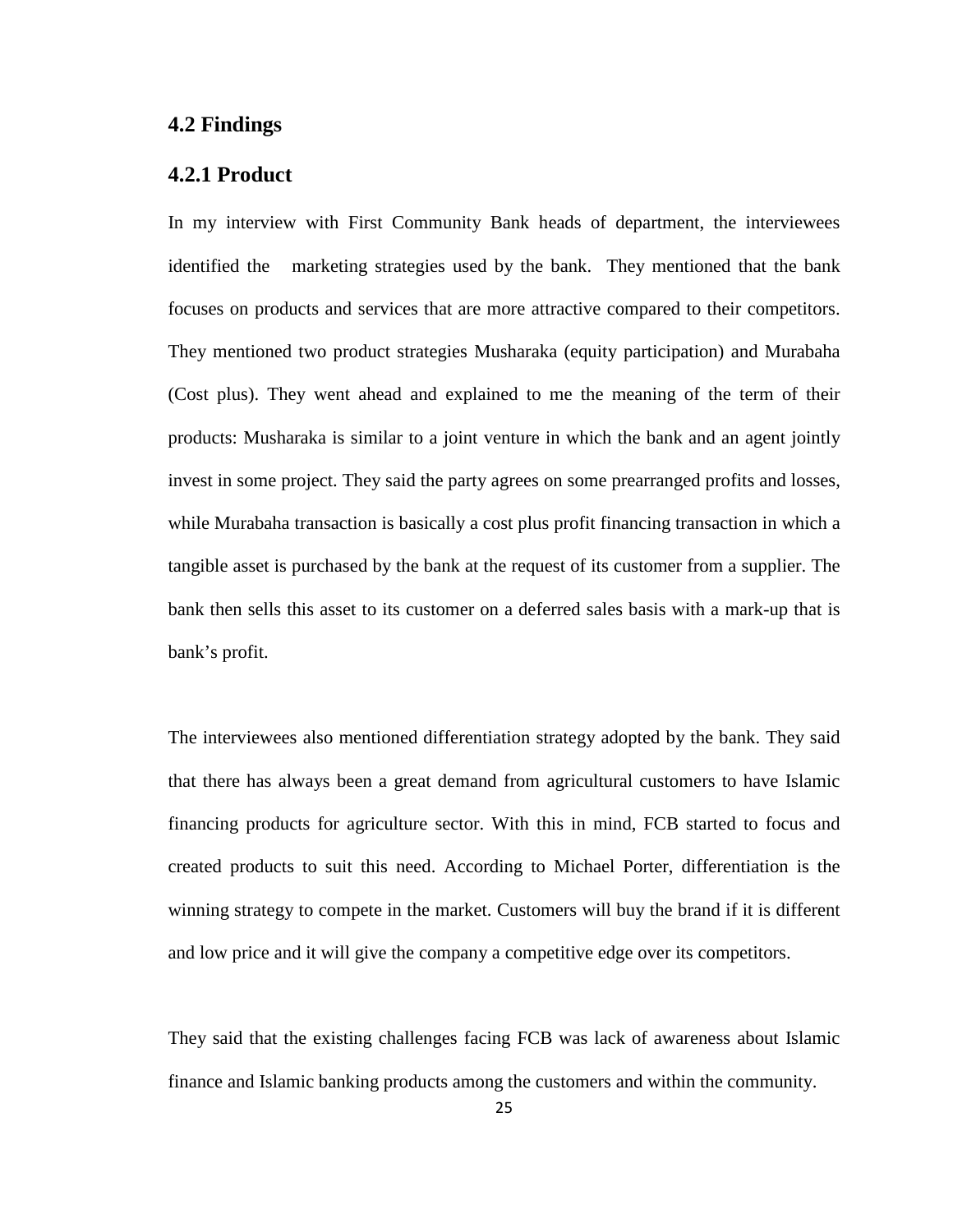## <span id="page-32-0"></span>**4.2 Findings**

#### <span id="page-32-1"></span>**4.2.1 Product**

In my interview with First Community Bank heads of department, the interviewees identified the marketing strategies used by the bank. They mentioned that the bank focuses on products and services that are more attractive compared to their competitors. They mentioned two product strategies Musharaka (equity participation) and Murabaha (Cost plus). They went ahead and explained to me the meaning of the term of their products: Musharaka is similar to a joint venture in which the bank and an agent jointly invest in some project. They said the party agrees on some prearranged profits and losses, while Murabaha transaction is basically a cost plus profit financing transaction in which a tangible asset is purchased by the bank at the request of its customer from a supplier. The bank then sells this asset to its customer on a deferred sales basis with a mark-up that is bank's profit.

The interviewees also mentioned differentiation strategy adopted by the bank. They said that there has always been a great demand from agricultural customers to have Islamic financing products for agriculture sector. With this in mind, FCB started to focus and created products to suit this need. According to Michael Porter, differentiation is the winning strategy to compete in the market. Customers will buy the brand if it is different and low price and it will give the company a competitive edge over its competitors.

They said that the existing challenges facing FCB was lack of awareness about Islamic finance and Islamic banking products among the customers and within the community.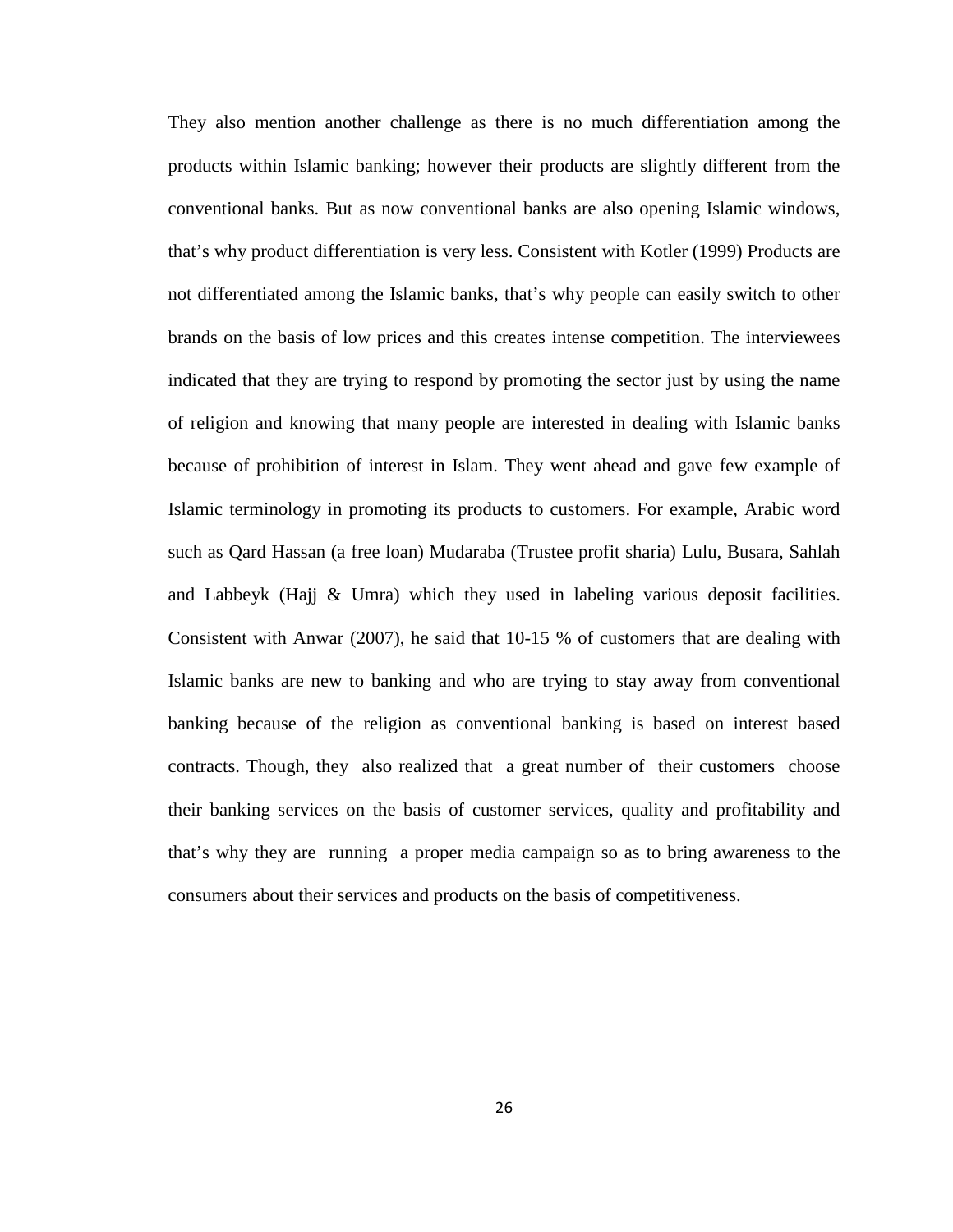They also mention another challenge as there is no much differentiation among the products within Islamic banking; however their products are slightly different from the conventional banks. But as now conventional banks are also opening Islamic windows, that's why product differentiation is very less. Consistent with Kotler (1999) Products are not differentiated among the Islamic banks, that's why people can easily switch to other brands on the basis of low prices and this creates intense competition. The interviewees indicated that they are trying to respond by promoting the sector just by using the name of religion and knowing that many people are interested in dealing with Islamic banks because of prohibition of interest in Islam. They went ahead and gave few example of Islamic terminology in promoting its products to customers. For example, Arabic word such as Qard Hassan (a free loan) Mudaraba (Trustee profit sharia) Lulu, Busara, Sahlah and Labbeyk (Hajj & Umra) which they used in labeling various deposit facilities. Consistent with Anwar (2007), he said that 10-15 % of customers that are dealing with Islamic banks are new to banking and who are trying to stay away from conventional banking because of the religion as conventional banking is based on interest based contracts. Though, they also realized that a great number of their customers choose their banking services on the basis of customer services, quality and profitability and that's why they are running a proper media campaign so as to bring awareness to the consumers about their services and products on the basis of competitiveness.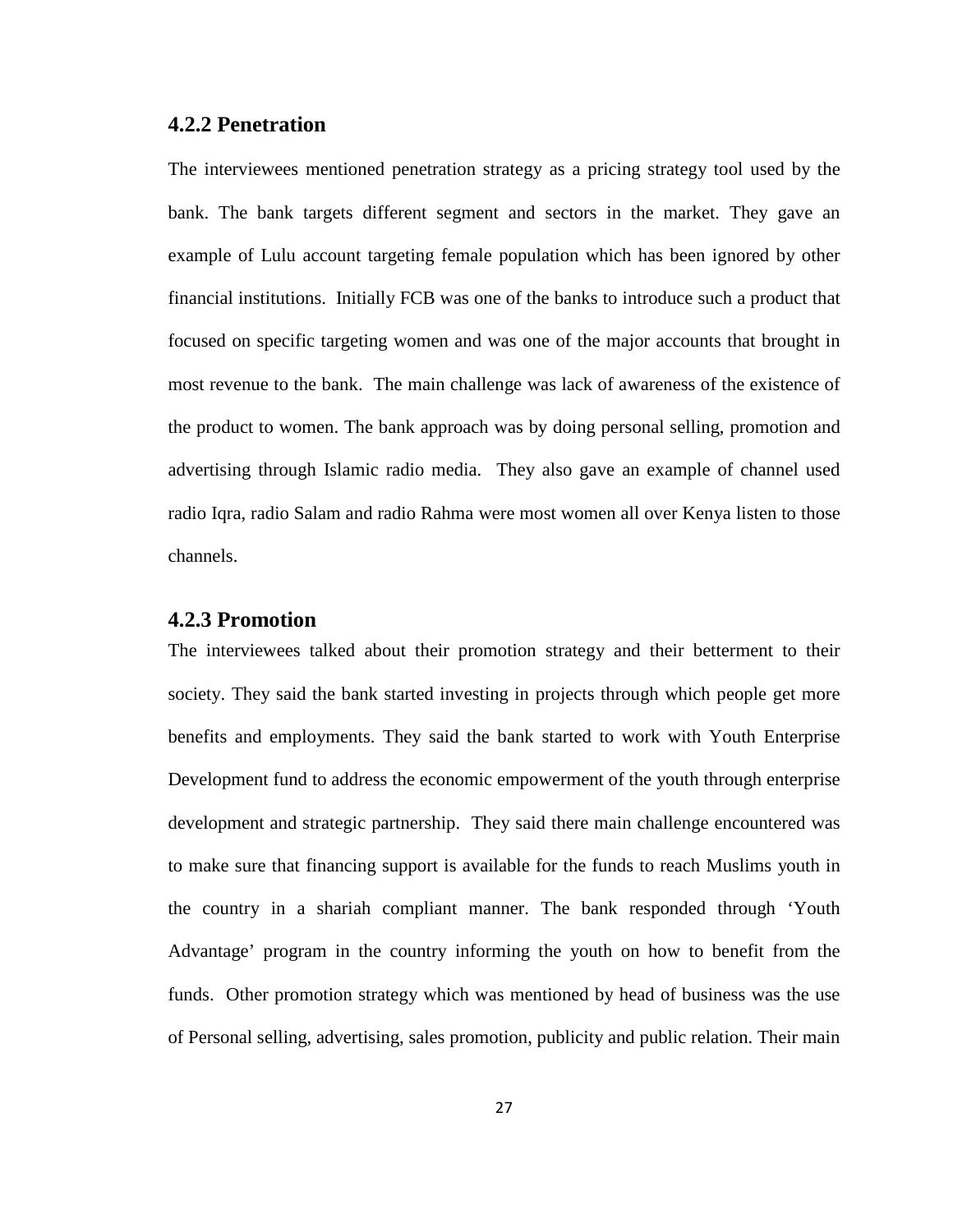#### <span id="page-34-0"></span>**4.2.2 Penetration**

The interviewees mentioned penetration strategy as a pricing strategy tool used by the bank. The bank targets different segment and sectors in the market. They gave an example of Lulu account targeting female population which has been ignored by other financial institutions. Initially FCB was one of the banks to introduce such a product that focused on specific targeting women and was one of the major accounts that brought in most revenue to the bank. The main challenge was lack of awareness of the existence of the product to women. The bank approach was by doing personal selling, promotion and advertising through Islamic radio media. They also gave an example of channel used radio Iqra, radio Salam and radio Rahma were most women all over Kenya listen to those channels.

#### <span id="page-34-1"></span>**4.2.3 Promotion**

The interviewees talked about their promotion strategy and their betterment to their society. They said the bank started investing in projects through which people get more benefits and employments. They said the bank started to work with Youth Enterprise Development fund to address the economic empowerment of the youth through enterprise development and strategic partnership. They said there main challenge encountered was to make sure that financing support is available for the funds to reach Muslims youth in the country in a shariah compliant manner. The bank responded through 'Youth Advantage' program in the country informing the youth on how to benefit from the funds. Other promotion strategy which was mentioned by head of business was the use of Personal selling, advertising, sales promotion, publicity and public relation. Their main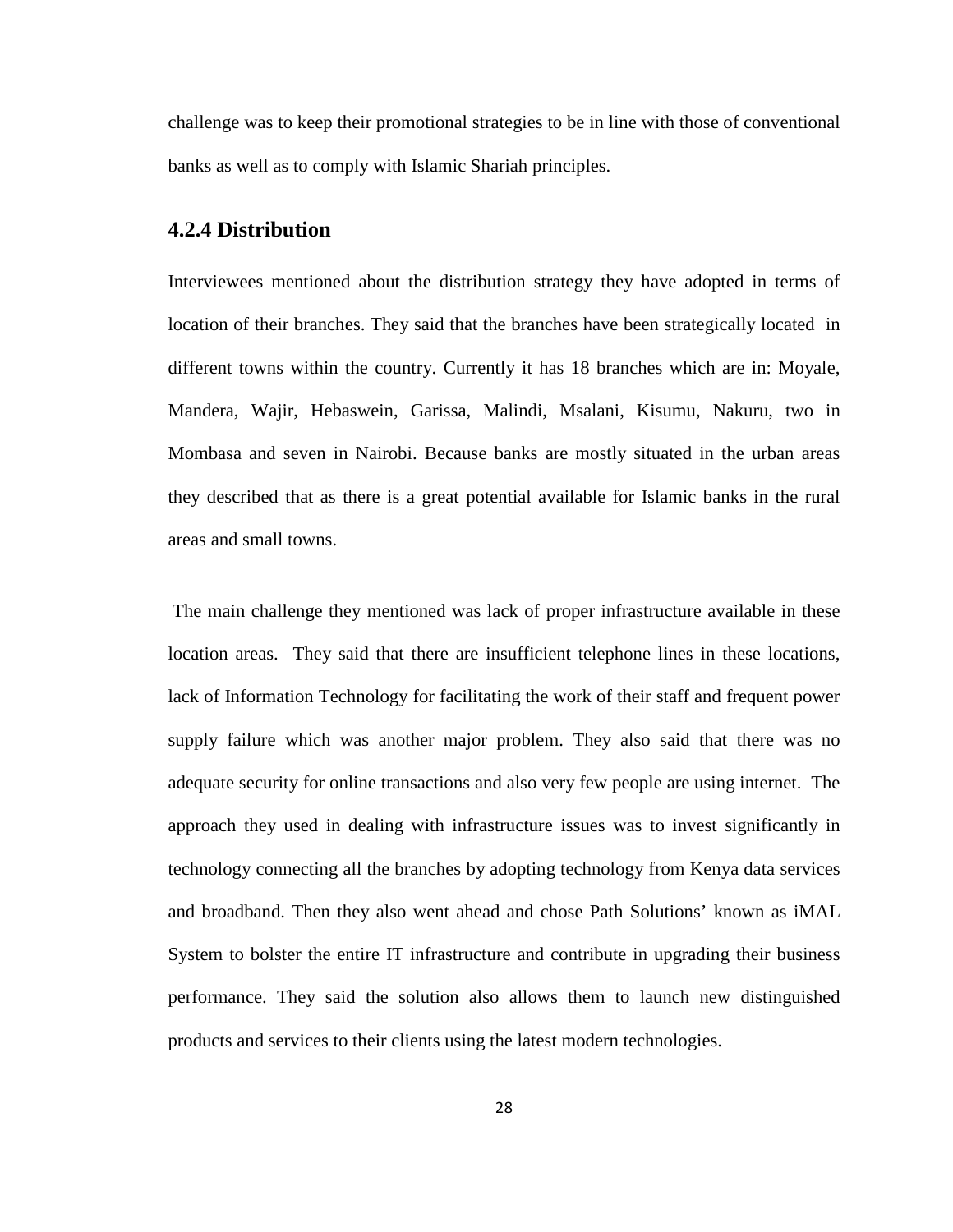challenge was to keep their promotional strategies to be in line with those of conventional banks as well as to comply with Islamic Shariah principles.

#### <span id="page-35-0"></span>**4.2.4 Distribution**

Interviewees mentioned about the distribution strategy they have adopted in terms of location of their branches. They said that the branches have been strategically located in different towns within the country. Currently it has 18 branches which are in: Moyale, Mandera, Wajir, Hebaswein, Garissa, Malindi, Msalani, Kisumu, Nakuru, two in Mombasa and seven in Nairobi. Because banks are mostly situated in the urban areas they described that as there is a great potential available for Islamic banks in the rural areas and small towns.

The main challenge they mentioned was lack of proper infrastructure available in these location areas. They said that there are insufficient telephone lines in these locations, lack of Information Technology for facilitating the work of their staff and frequent power supply failure which was another major problem. They also said that there was no adequate security for online transactions and also very few people are using internet. The approach they used in dealing with infrastructure issues was to invest significantly in technology connecting all the branches by adopting technology from Kenya data services and broadband. Then they also went ahead and chose Path Solutions' known as iMAL System to bolster the entire IT infrastructure and contribute in upgrading their business performance. They said the solution also allows them to launch new distinguished products and services to their clients using the latest modern technologies.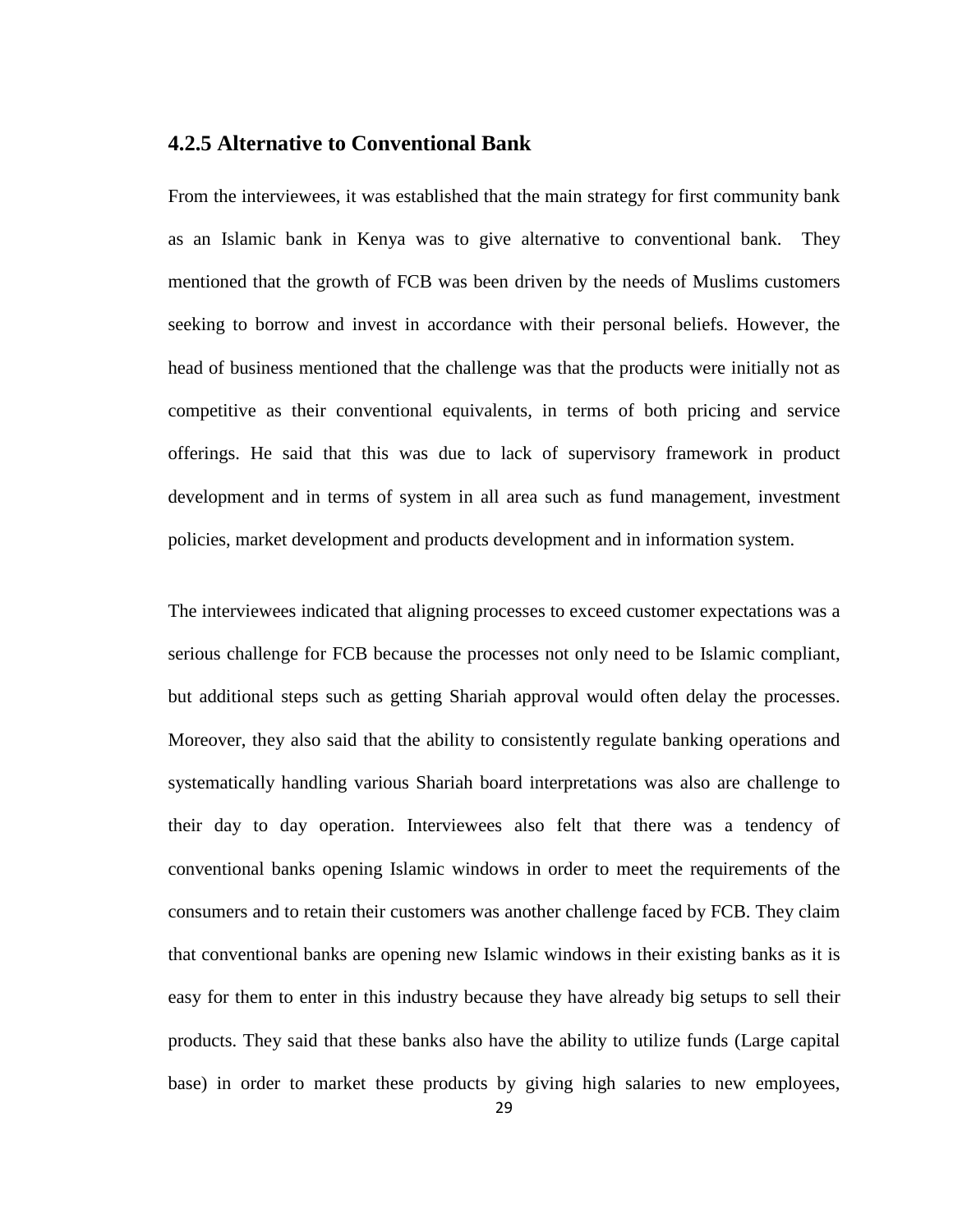## <span id="page-36-0"></span>**4.2.5 Alternative to Conventional Bank**

From the interviewees, it was established that the main strategy for first community bank as an Islamic bank in Kenya was to give alternative to conventional bank. They mentioned that the growth of FCB was been driven by the needs of Muslims customers seeking to borrow and invest in accordance with their personal beliefs. However, the head of business mentioned that the challenge was that the products were initially not as competitive as their conventional equivalents, in terms of both pricing and service offerings. He said that this was due to lack of supervisory framework in product development and in terms of system in all area such as fund management, investment policies, market development and products development and in information system.

The interviewees indicated that aligning processes to exceed customer expectations was a serious challenge for FCB because the processes not only need to be Islamic compliant, but additional steps such as getting Shariah approval would often delay the processes. Moreover, they also said that the ability to consistently regulate banking operations and systematically handling various Shariah board interpretations was also are challenge to their day to day operation. Interviewees also felt that there was a tendency of conventional banks opening Islamic windows in order to meet the requirements of the consumers and to retain their customers was another challenge faced by FCB. They claim that conventional banks are opening new Islamic windows in their existing banks as it is easy for them to enter in this industry because they have already big setups to sell their products. They said that these banks also have the ability to utilize funds (Large capital base) in order to market these products by giving high salaries to new employees,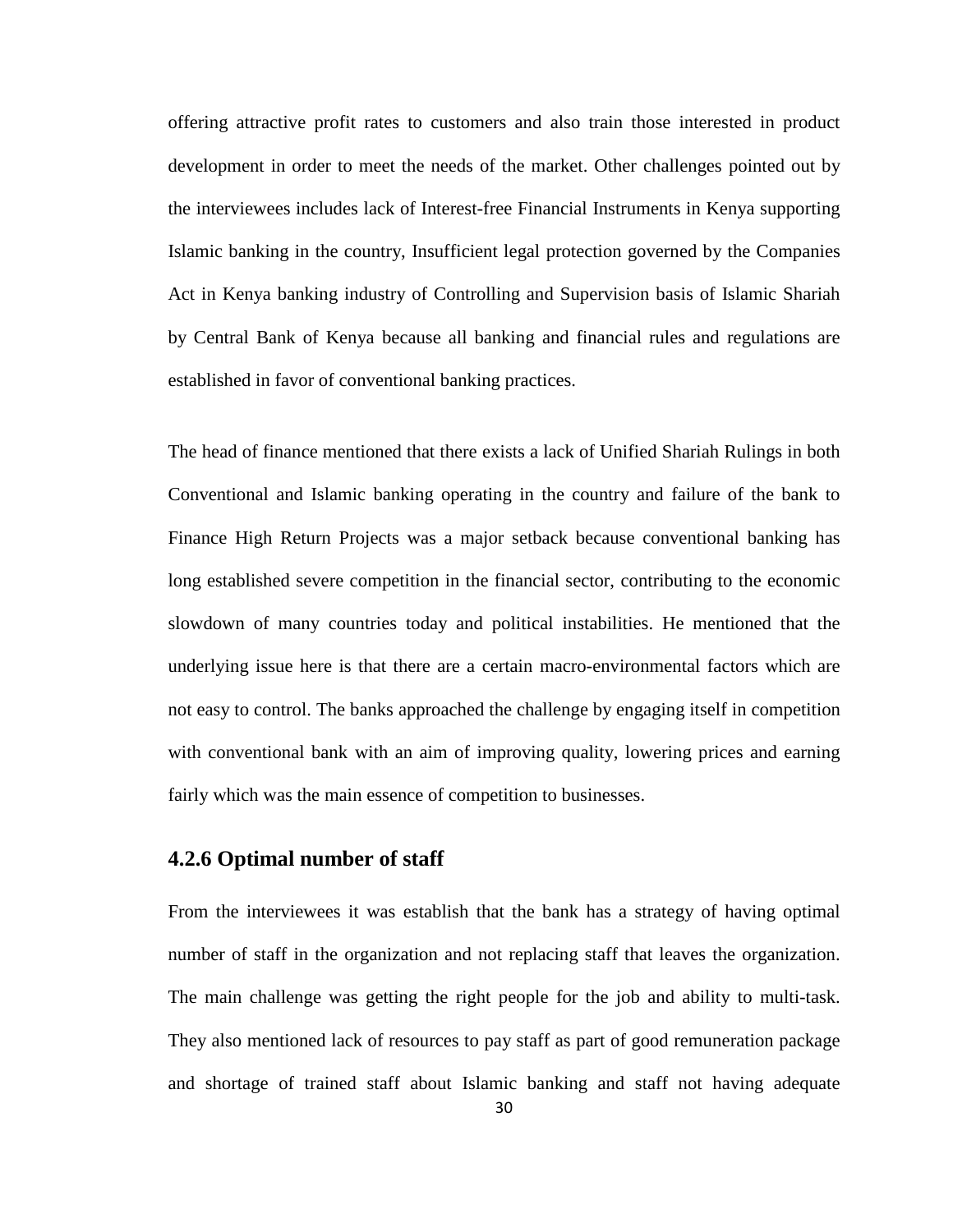offering attractive profit rates to customers and also train those interested in product development in order to meet the needs of the market. Other challenges pointed out by the interviewees includes lack of Interest-free Financial Instruments in Kenya supporting Islamic banking in the country, Insufficient legal protection governed by the Companies Act in Kenya banking industry of Controlling and Supervision basis of Islamic Shariah by Central Bank of Kenya because all banking and financial rules and regulations are established in favor of conventional banking practices.

The head of finance mentioned that there exists a lack of Unified Shariah Rulings in both Conventional and Islamic banking operating in the country and failure of the bank to Finance High Return Projects was a major setback because conventional banking has long established severe competition in the financial sector, contributing to the economic slowdown of many countries today and political instabilities. He mentioned that the underlying issue here is that there are a certain macro-environmental factors which are not easy to control. The banks approached the challenge by engaging itself in competition with conventional bank with an aim of improving quality, lowering prices and earning fairly which was the main essence of competition to businesses.

#### <span id="page-37-0"></span>**4.2.6 Optimal number of staff**

From the interviewees it was establish that the bank has a strategy of having optimal number of staff in the organization and not replacing staff that leaves the organization. The main challenge was getting the right people for the job and ability to multi-task. They also mentioned lack of resources to pay staff as part of good remuneration package and shortage of trained staff about Islamic banking and staff not having adequate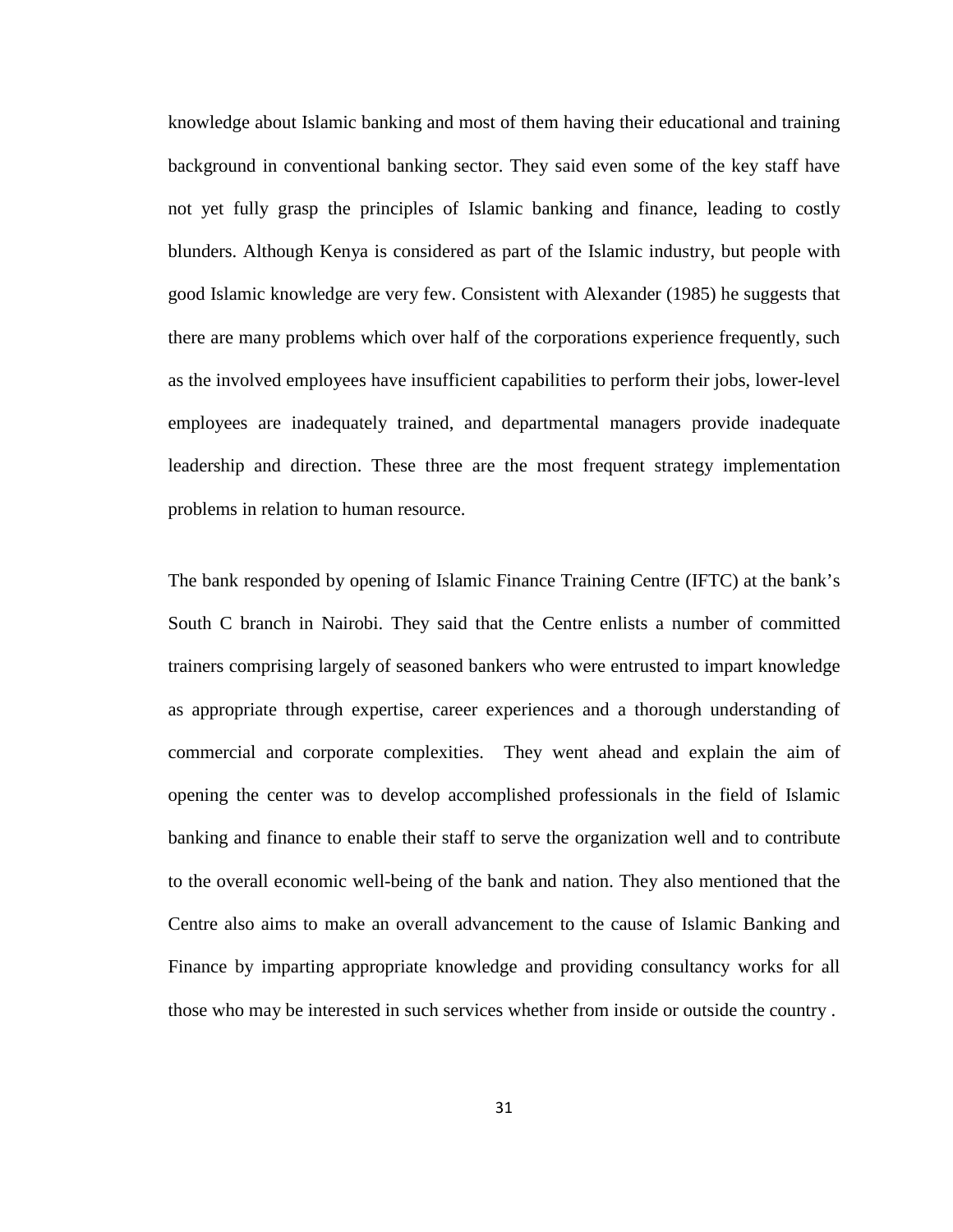knowledge about Islamic banking and most of them having their educational and training background in conventional banking sector. They said even some of the key staff have not yet fully grasp the principles of Islamic banking and finance, leading to costly blunders. Although Kenya is considered as part of the Islamic industry, but people with good Islamic knowledge are very few. Consistent with Alexander (1985) he suggests that there are many problems which over half of the corporations experience frequently, such as the involved employees have insufficient capabilities to perform their jobs, lower-level employees are inadequately trained, and departmental managers provide inadequate leadership and direction. These three are the most frequent strategy implementation problems in relation to human resource.

The bank responded by opening of Islamic Finance Training Centre (IFTC) at the bank's South C branch in Nairobi. They said that the Centre enlists a number of committed trainers comprising largely of seasoned bankers who were entrusted to impart knowledge as appropriate through expertise, career experiences and a thorough understanding of commercial and corporate complexities. They went ahead and explain the aim of opening the center was to develop accomplished professionals in the field of Islamic banking and finance to enable their staff to serve the organization well and to contribute to the overall economic well-being of the bank and nation. They also mentioned that the Centre also aims to make an overall advancement to the cause of Islamic Banking and Finance by imparting appropriate knowledge and providing consultancy works for all those who may be interested in such services whether from inside or outside the country .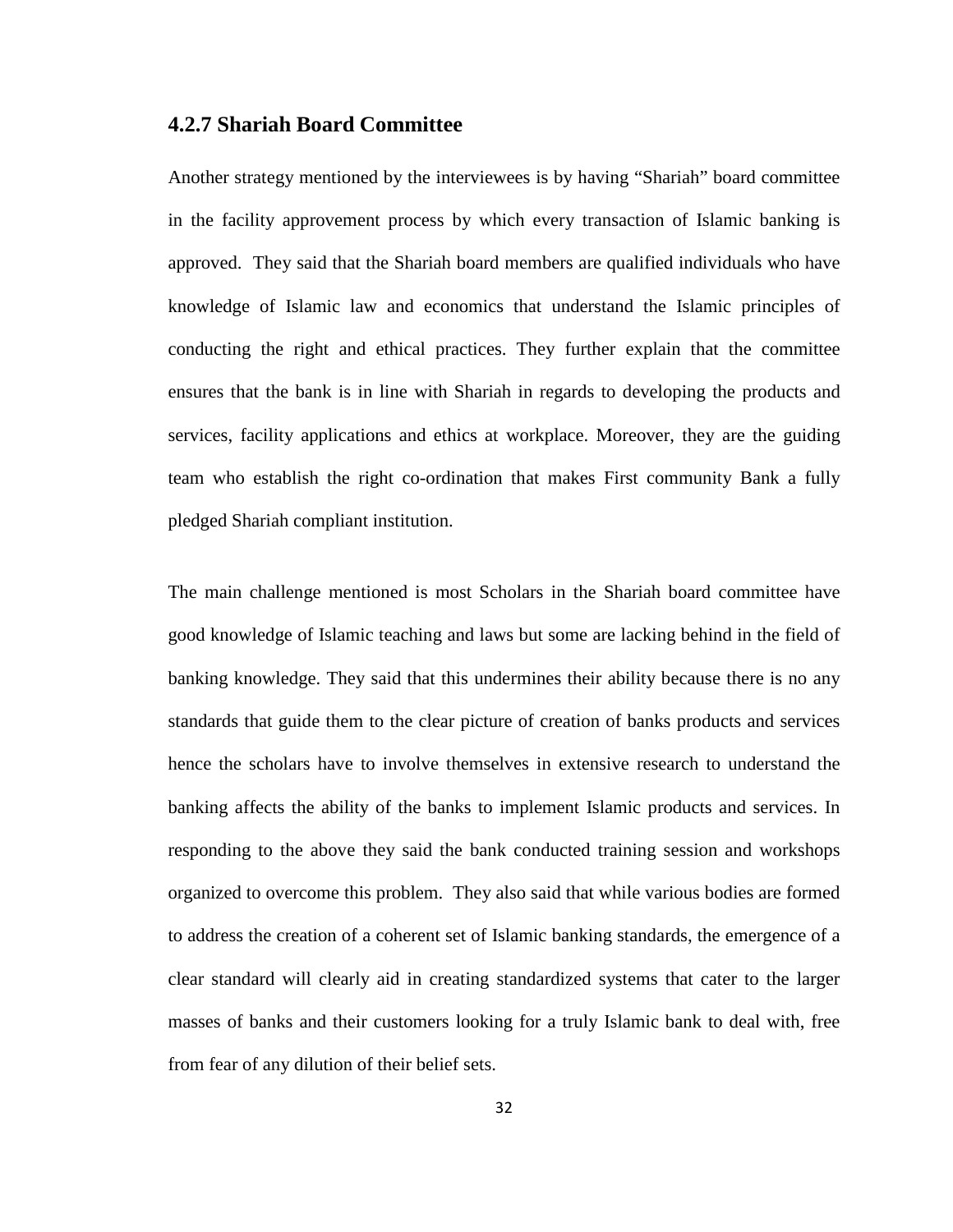#### <span id="page-39-0"></span>**4.2.7 Shariah Board Committee**

Another strategy mentioned by the interviewees is by having "Shariah" board committee in the facility approvement process by which every transaction of Islamic banking is approved. They said that the Shariah board members are qualified individuals who have knowledge of Islamic law and economics that understand the Islamic principles of conducting the right and ethical practices. They further explain that the committee ensures that the bank is in line with Shariah in regards to developing the products and services, facility applications and ethics at workplace. Moreover, they are the guiding team who establish the right co-ordination that makes First community Bank a fully pledged Shariah compliant institution.

The main challenge mentioned is most Scholars in the Shariah board committee have good knowledge of Islamic teaching and laws but some are lacking behind in the field of banking knowledge. They said that this undermines their ability because there is no any standards that guide them to the clear picture of creation of banks products and services hence the scholars have to involve themselves in extensive research to understand the banking affects the ability of the banks to implement Islamic products and services. In responding to the above they said the bank conducted training session and workshops organized to overcome this problem. They also said that while various bodies are formed to address the creation of a coherent set of Islamic banking standards, the emergence of a clear standard will clearly aid in creating standardized systems that cater to the larger masses of banks and their customers looking for a truly Islamic bank to deal with, free from fear of any dilution of their belief sets.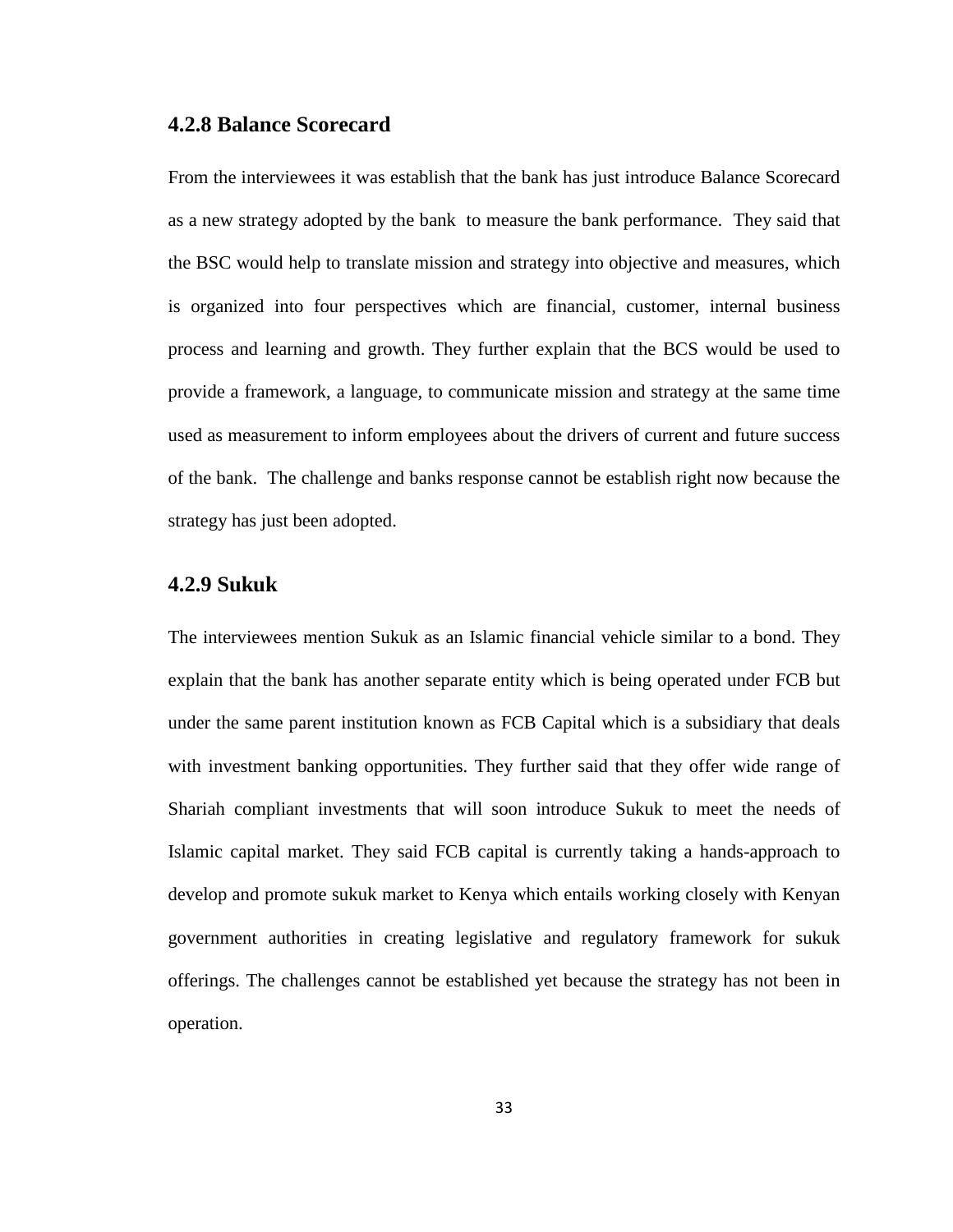#### <span id="page-40-0"></span>**4.2.8 Balance Scorecard**

From the interviewees it was establish that the bank has just introduce Balance Scorecard as a new strategy adopted by the bank to measure the bank performance. They said that the BSC would help to translate mission and strategy into objective and measures, which is organized into four perspectives which are financial, customer, internal business process and learning and growth. They further explain that the BCS would be used to provide a framework, a language, to communicate mission and strategy at the same time used as measurement to inform employees about the drivers of current and future success of the bank. The challenge and banks response cannot be establish right now because the strategy has just been adopted.

#### <span id="page-40-1"></span>**4.2.9 Sukuk**

The interviewees mention Sukuk as an Islamic financial vehicle similar to a bond. They explain that the bank has another separate entity which is being operated under FCB but under the same parent institution known as FCB Capital which is a subsidiary that deals with investment banking opportunities. They further said that they offer wide range of Shariah compliant investments that will soon introduce Sukuk to meet the needs of Islamic capital market. They said FCB capital is currently taking a hands-approach to develop and promote sukuk market to Kenya which entails working closely with Kenyan government authorities in creating legislative and regulatory framework for sukuk offerings. The challenges cannot be established yet because the strategy has not been in operation.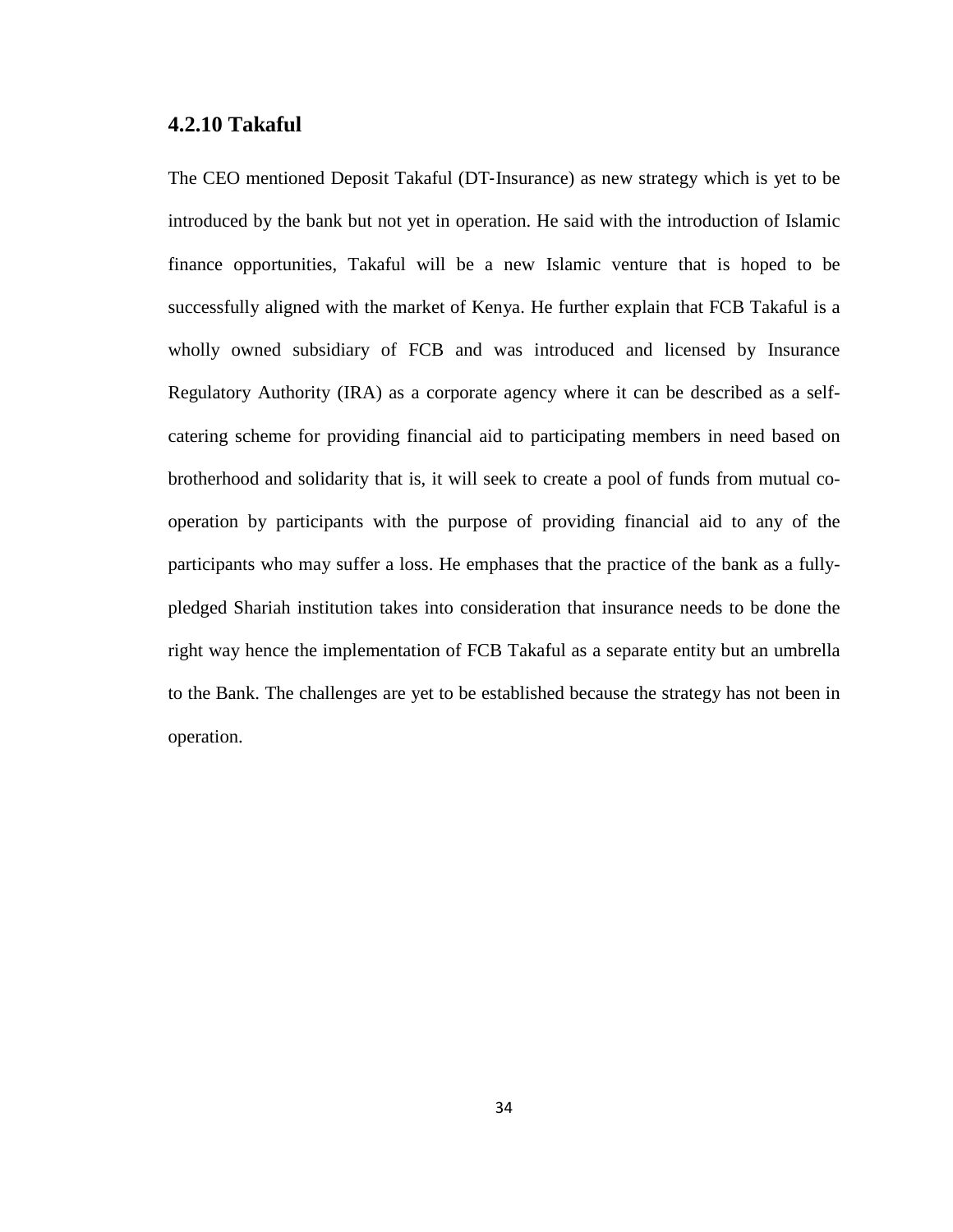#### <span id="page-41-0"></span>**4.2.10 Takaful**

The CEO mentioned Deposit Takaful (DT‐Insurance) as new strategy which is yet to be introduced by the bank but not yet in operation. He said with the introduction of Islamic finance opportunities, Takaful will be a new Islamic venture that is hoped to be successfully aligned with the market of Kenya. He further explain that FCB Takaful is a wholly owned subsidiary of FCB and was introduced and licensed by Insurance Regulatory Authority (IRA) as a corporate agency where it can be described as a selfcatering scheme for providing financial aid to participating members in need based on brotherhood and solidarity that is, it will seek to create a pool of funds from mutual cooperation by participants with the purpose of providing financial aid to any of the participants who may suffer a loss. He emphases that the practice of the bank as a fullypledged Shariah institution takes into consideration that insurance needs to be done the right way hence the implementation of FCB Takaful as a separate entity but an umbrella to the Bank. The challenges are yet to be established because the strategy has not been in operation.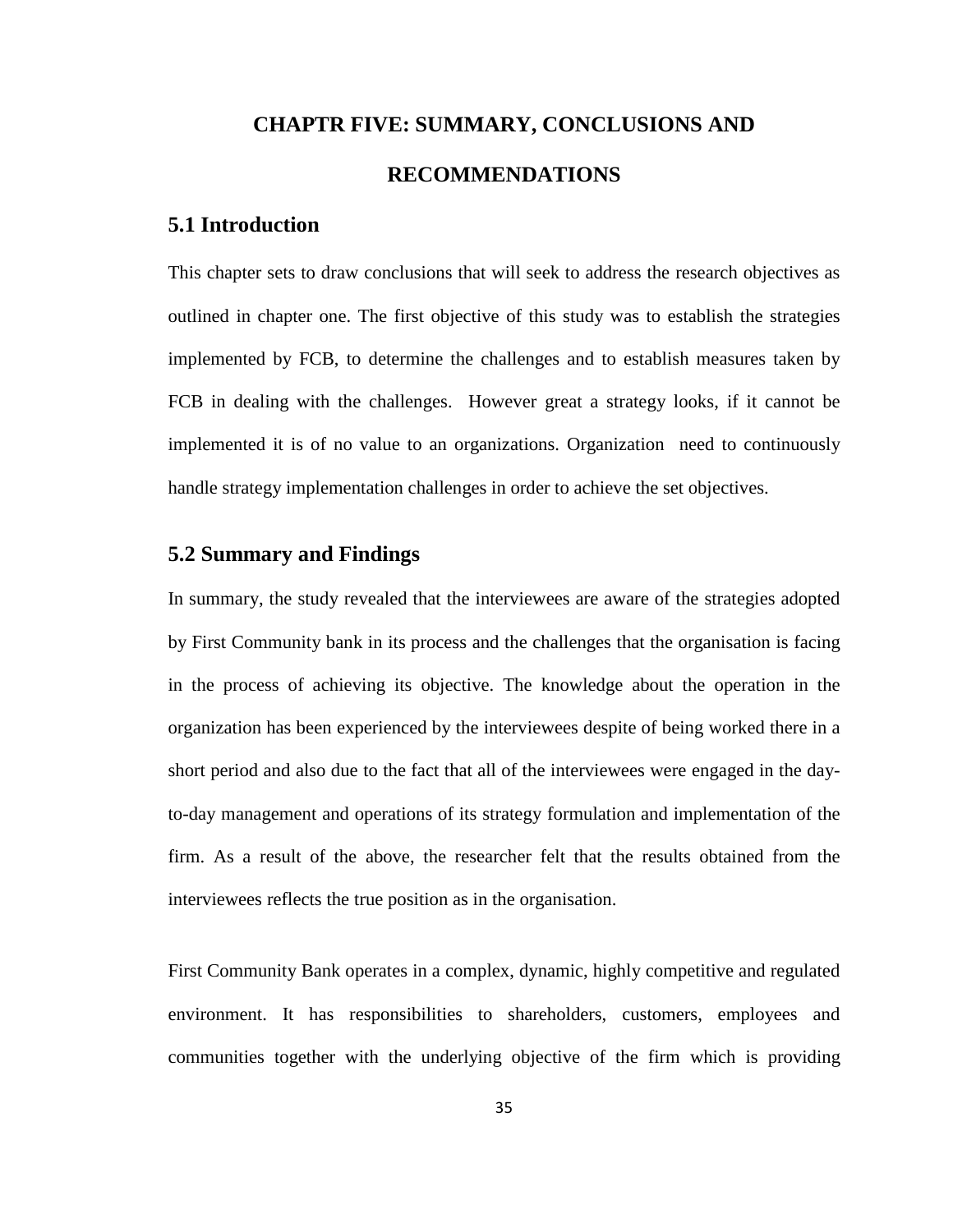# <span id="page-42-0"></span>**CHAPTR FIVE: SUMMARY, CONCLUSIONS AND RECOMMENDATIONS**

## <span id="page-42-1"></span>**5.1 Introduction**

This chapter sets to draw conclusions that will seek to address the research objectives as outlined in chapter one. The first objective of this study was to establish the strategies implemented by FCB, to determine the challenges and to establish measures taken by FCB in dealing with the challenges. However great a strategy looks, if it cannot be implemented it is of no value to an organizations. Organization need to continuously handle strategy implementation challenges in order to achieve the set objectives.

#### <span id="page-42-2"></span>**5.2 Summary and Findings**

In summary, the study revealed that the interviewees are aware of the strategies adopted by First Community bank in its process and the challenges that the organisation is facing in the process of achieving its objective. The knowledge about the operation in the organization has been experienced by the interviewees despite of being worked there in a short period and also due to the fact that all of the interviewees were engaged in the dayto-day management and operations of its strategy formulation and implementation of the firm. As a result of the above, the researcher felt that the results obtained from the interviewees reflects the true position as in the organisation.

First Community Bank operates in a complex, dynamic, highly competitive and regulated environment. It has responsibilities to shareholders, customers, employees and communities together with the underlying objective of the firm which is providing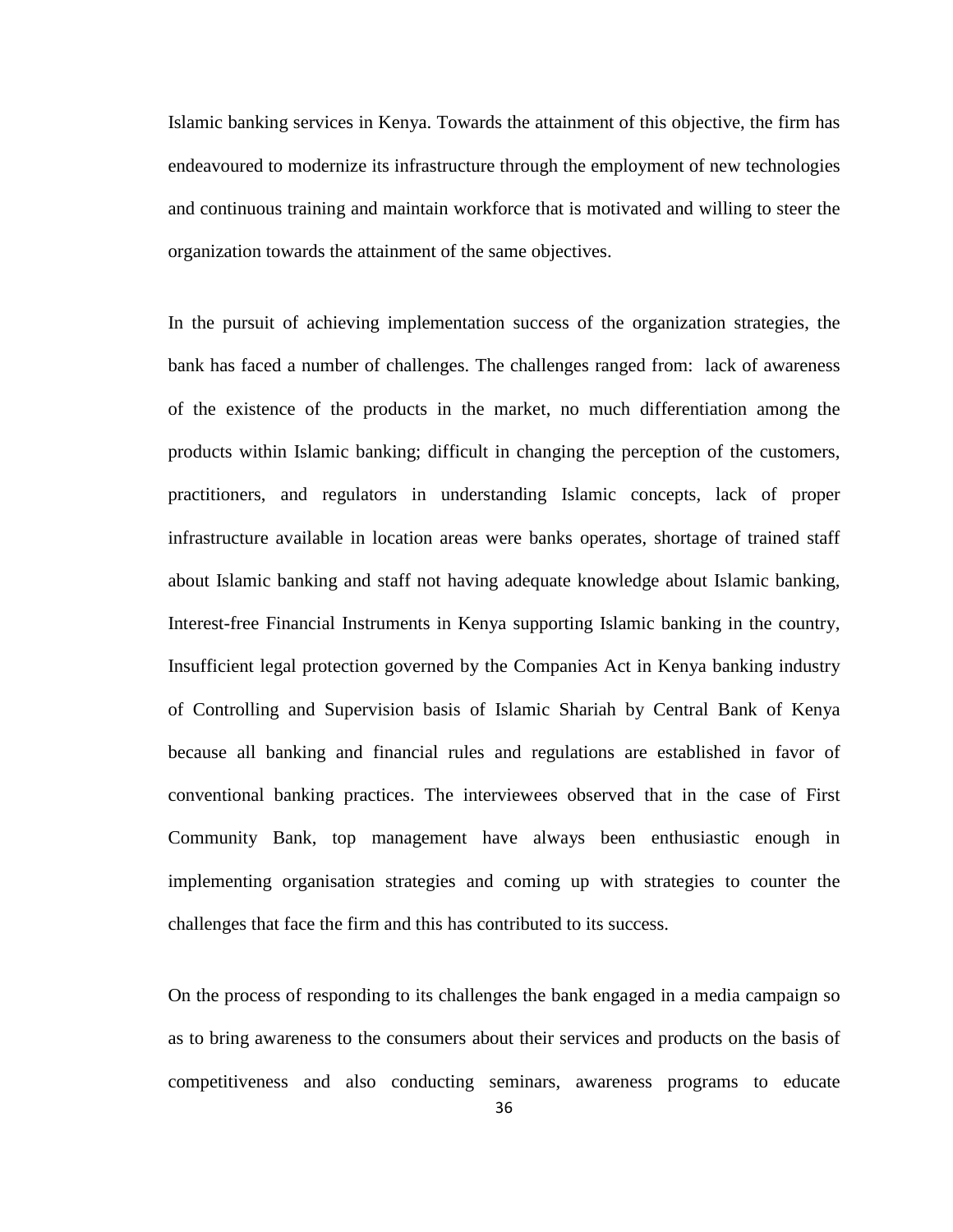Islamic banking services in Kenya. Towards the attainment of this objective, the firm has endeavoured to modernize its infrastructure through the employment of new technologies and continuous training and maintain workforce that is motivated and willing to steer the organization towards the attainment of the same objectives.

In the pursuit of achieving implementation success of the organization strategies, the bank has faced a number of challenges. The challenges ranged from: lack of awareness of the existence of the products in the market, no much differentiation among the products within Islamic banking; difficult in changing the perception of the customers, practitioners, and regulators in understanding Islamic concepts, lack of proper infrastructure available in location areas were banks operates, shortage of trained staff about Islamic banking and staff not having adequate knowledge about Islamic banking, Interest-free Financial Instruments in Kenya supporting Islamic banking in the country, Insufficient legal protection governed by the Companies Act in Kenya banking industry of Controlling and Supervision basis of Islamic Shariah by Central Bank of Kenya because all banking and financial rules and regulations are established in favor of conventional banking practices. The interviewees observed that in the case of First Community Bank, top management have always been enthusiastic enough in implementing organisation strategies and coming up with strategies to counter the challenges that face the firm and this has contributed to its success.

On the process of responding to its challenges the bank engaged in a media campaign so as to bring awareness to the consumers about their services and products on the basis of competitiveness and also conducting seminars, awareness programs to educate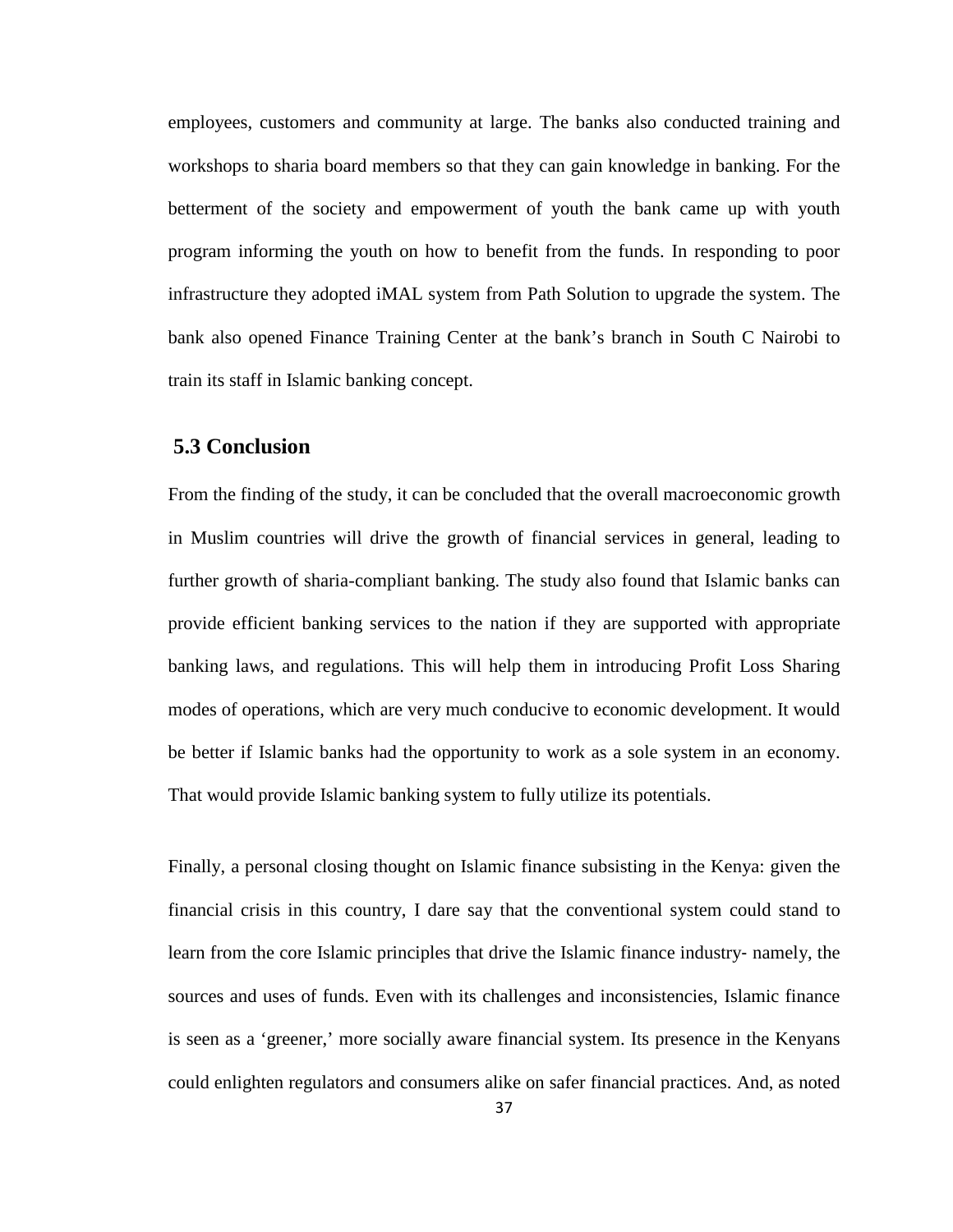employees, customers and community at large. The banks also conducted training and workshops to sharia board members so that they can gain knowledge in banking. For the betterment of the society and empowerment of youth the bank came up with youth program informing the youth on how to benefit from the funds. In responding to poor infrastructure they adopted iMAL system from Path Solution to upgrade the system. The bank also opened Finance Training Center at the bank's branch in South C Nairobi to train its staff in Islamic banking concept.

### <span id="page-44-0"></span>**5.3 Conclusion**

From the finding of the study, it can be concluded that the overall macroeconomic growth in Muslim countries will drive the growth of financial services in general, leading to further growth of sharia-compliant banking. The study also found that Islamic banks can provide efficient banking services to the nation if they are supported with appropriate banking laws, and regulations. This will help them in introducing Profit Loss Sharing modes of operations, which are very much conducive to economic development. It would be better if Islamic banks had the opportunity to work as a sole system in an economy. That would provide Islamic banking system to fully utilize its potentials.

Finally, a personal closing thought on Islamic finance subsisting in the Kenya: given the financial crisis in this country, I dare say that the conventional system could stand to learn from the core Islamic principles that drive the Islamic finance industry‐ namely, the sources and uses of funds. Even with its challenges and inconsistencies, Islamic finance is seen as a 'greener,' more socially aware financial system. Its presence in the Kenyans could enlighten regulators and consumers alike on safer financial practices. And, as noted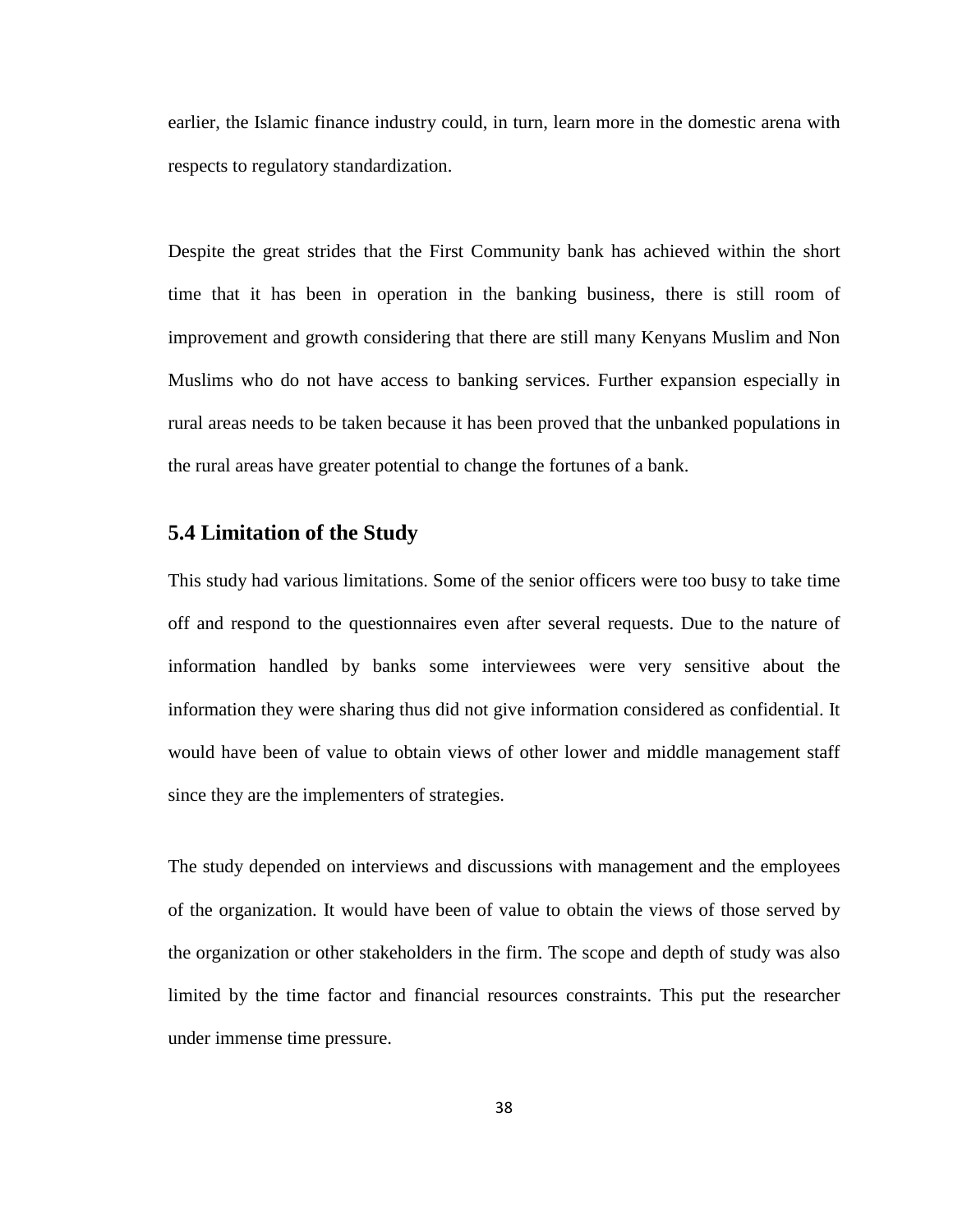earlier, the Islamic finance industry could, in turn, learn more in the domestic arena with respects to regulatory standardization.

Despite the great strides that the First Community bank has achieved within the short time that it has been in operation in the banking business, there is still room of improvement and growth considering that there are still many Kenyans Muslim and Non Muslims who do not have access to banking services. Further expansion especially in rural areas needs to be taken because it has been proved that the unbanked populations in the rural areas have greater potential to change the fortunes of a bank.

#### <span id="page-45-0"></span>**5.4 Limitation of the Study**

This study had various limitations. Some of the senior officers were too busy to take time off and respond to the questionnaires even after several requests. Due to the nature of information handled by banks some interviewees were very sensitive about the information they were sharing thus did not give information considered as confidential. It would have been of value to obtain views of other lower and middle management staff since they are the implementers of strategies.

The study depended on interviews and discussions with management and the employees of the organization. It would have been of value to obtain the views of those served by the organization or other stakeholders in the firm. The scope and depth of study was also limited by the time factor and financial resources constraints. This put the researcher under immense time pressure.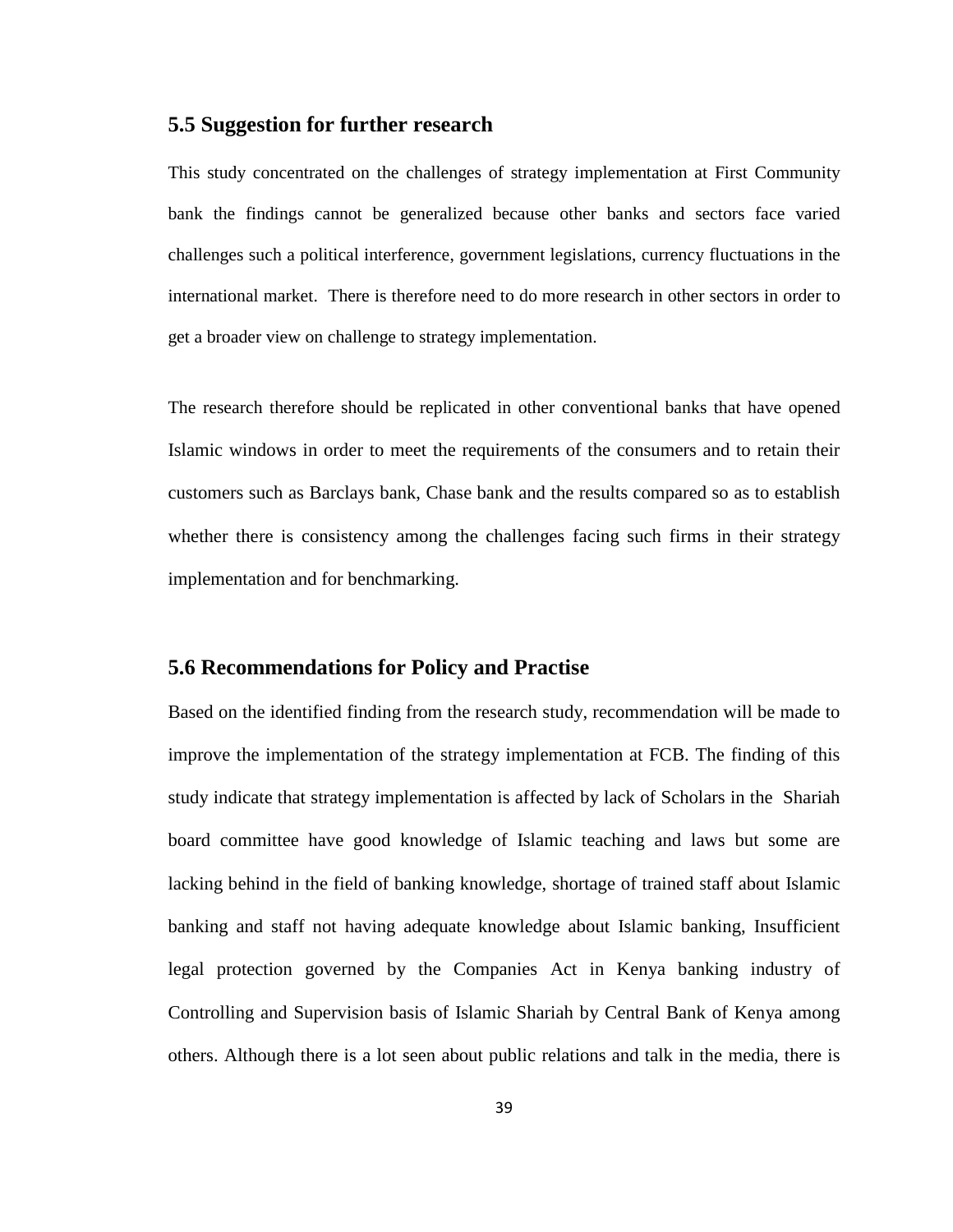#### <span id="page-46-0"></span>**5.5 Suggestion for further research**

This study concentrated on the challenges of strategy implementation at First Community bank the findings cannot be generalized because other banks and sectors face varied challenges such a political interference, government legislations, currency fluctuations in the international market. There is therefore need to do more research in other sectors in order to get a broader view on challenge to strategy implementation.

The research therefore should be replicated in other conventional banks that have opened Islamic windows in order to meet the requirements of the consumers and to retain their customers such as Barclays bank, Chase bank and the results compared so as to establish whether there is consistency among the challenges facing such firms in their strategy implementation and for benchmarking.

#### <span id="page-46-1"></span>**5.6 Recommendations for Policy and Practise**

Based on the identified finding from the research study, recommendation will be made to improve the implementation of the strategy implementation at FCB. The finding of this study indicate that strategy implementation is affected by lack of Scholars in the Shariah board committee have good knowledge of Islamic teaching and laws but some are lacking behind in the field of banking knowledge, shortage of trained staff about Islamic banking and staff not having adequate knowledge about Islamic banking, Insufficient legal protection governed by the Companies Act in Kenya banking industry of Controlling and Supervision basis of Islamic Shariah by Central Bank of Kenya among others. Although there is a lot seen about public relations and talk in the media, there is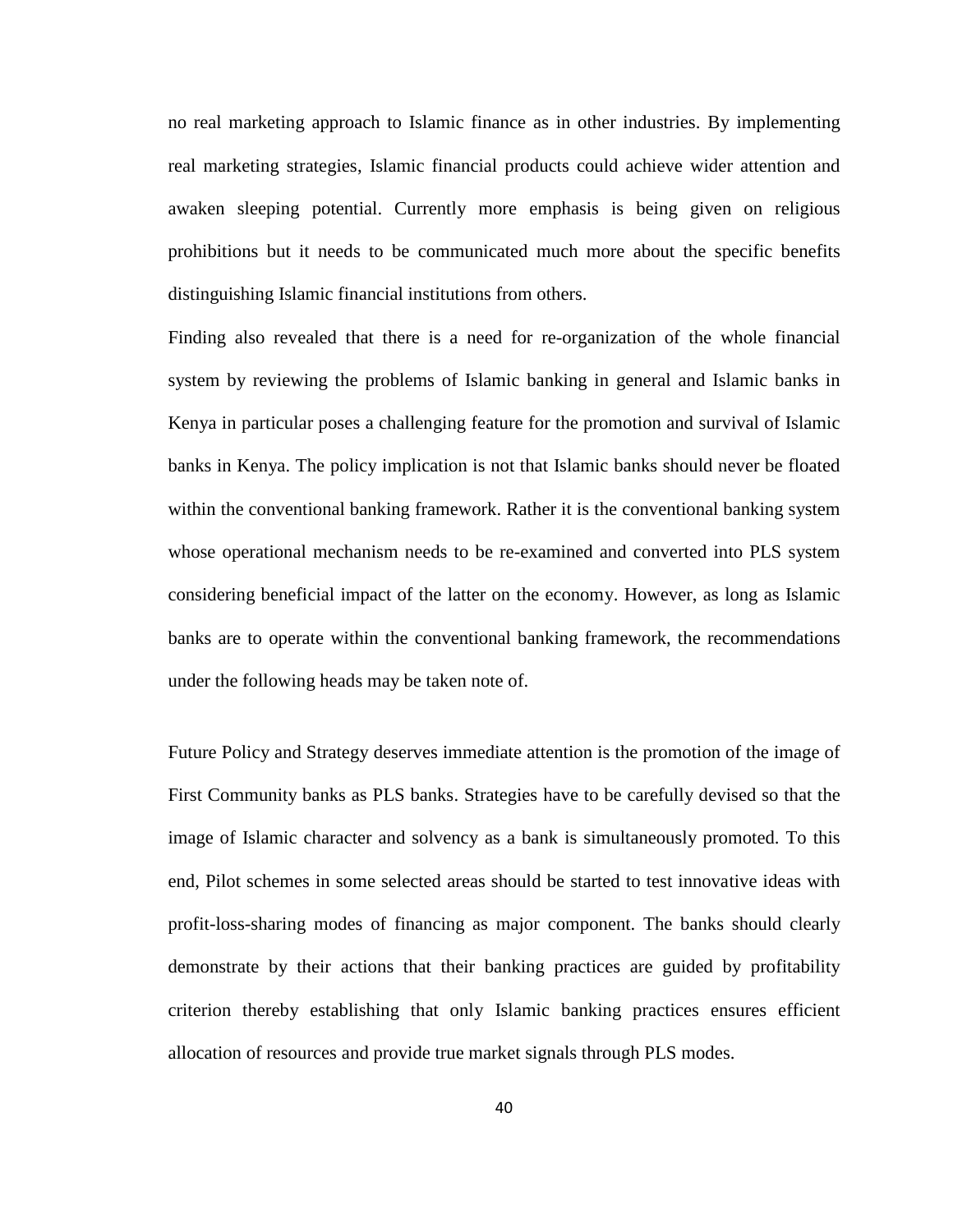no real marketing approach to Islamic finance as in other industries. By implementing real marketing strategies, Islamic financial products could achieve wider attention and awaken sleeping potential. Currently more emphasis is being given on religious prohibitions but it needs to be communicated much more about the specific benefits distinguishing Islamic financial institutions from others.

Finding also revealed that there is a need for re-organization of the whole financial system by reviewing the problems of Islamic banking in general and Islamic banks in Kenya in particular poses a challenging feature for the promotion and survival of Islamic banks in Kenya. The policy implication is not that Islamic banks should never be floated within the conventional banking framework. Rather it is the conventional banking system whose operational mechanism needs to be re-examined and converted into PLS system considering beneficial impact of the latter on the economy. However, as long as Islamic banks are to operate within the conventional banking framework, the recommendations under the following heads may be taken note of.

Future Policy and Strategy deserves immediate attention is the promotion of the image of First Community banks as PLS banks. Strategies have to be carefully devised so that the image of Islamic character and solvency as a bank is simultaneously promoted. To this end, Pilot schemes in some selected areas should be started to test innovative ideas with profit-loss-sharing modes of financing as major component. The banks should clearly demonstrate by their actions that their banking practices are guided by profitability criterion thereby establishing that only Islamic banking practices ensures efficient allocation of resources and provide true market signals through PLS modes.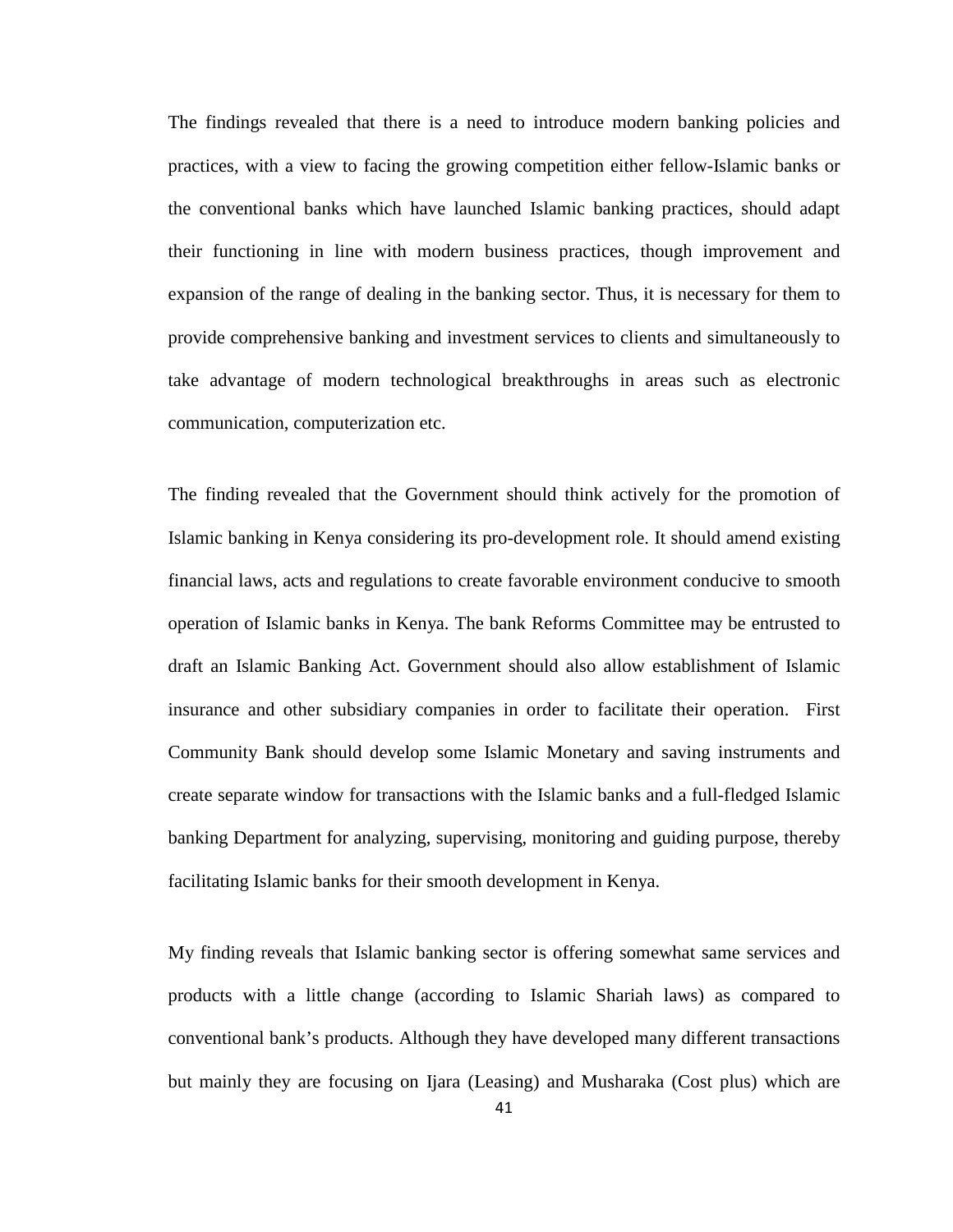The findings revealed that there is a need to introduce modern banking policies and practices, with a view to facing the growing competition either fellow-Islamic banks or the conventional banks which have launched Islamic banking practices, should adapt their functioning in line with modern business practices, though improvement and expansion of the range of dealing in the banking sector. Thus, it is necessary for them to provide comprehensive banking and investment services to clients and simultaneously to take advantage of modern technological breakthroughs in areas such as electronic communication, computerization etc.

The finding revealed that the Government should think actively for the promotion of Islamic banking in Kenya considering its pro-development role. It should amend existing financial laws, acts and regulations to create favorable environment conducive to smooth operation of Islamic banks in Kenya. The bank Reforms Committee may be entrusted to draft an Islamic Banking Act. Government should also allow establishment of Islamic insurance and other subsidiary companies in order to facilitate their operation. First Community Bank should develop some Islamic Monetary and saving instruments and create separate window for transactions with the Islamic banks and a full-fledged Islamic banking Department for analyzing, supervising, monitoring and guiding purpose, thereby facilitating Islamic banks for their smooth development in Kenya.

My finding reveals that Islamic banking sector is offering somewhat same services and products with a little change (according to Islamic Shariah laws) as compared to conventional bank's products. Although they have developed many different transactions but mainly they are focusing on Ijara (Leasing) and Musharaka (Cost plus) which are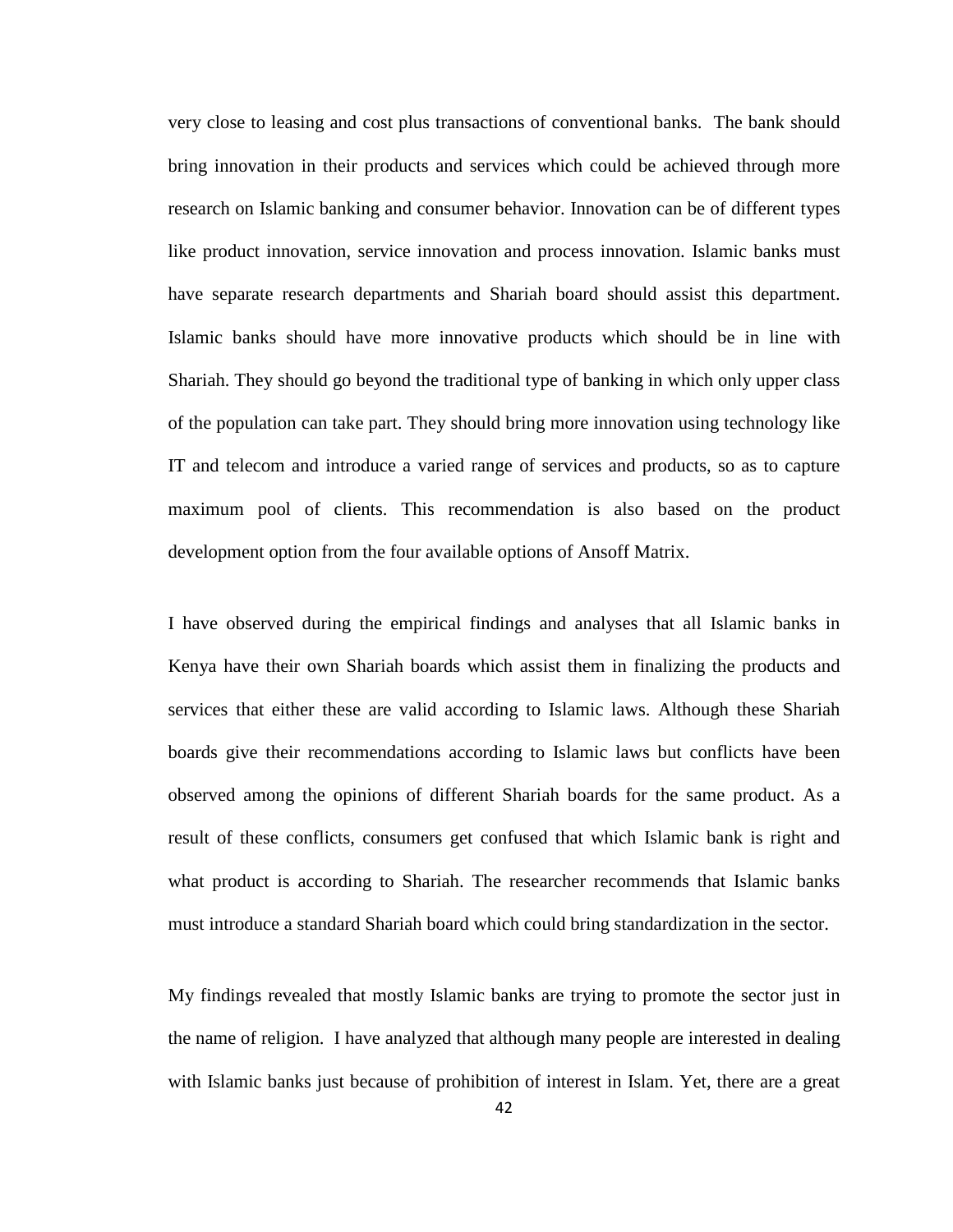very close to leasing and cost plus transactions of conventional banks. The bank should bring innovation in their products and services which could be achieved through more research on Islamic banking and consumer behavior. Innovation can be of different types like product innovation, service innovation and process innovation. Islamic banks must have separate research departments and Shariah board should assist this department. Islamic banks should have more innovative products which should be in line with Shariah. They should go beyond the traditional type of banking in which only upper class of the population can take part. They should bring more innovation using technology like IT and telecom and introduce a varied range of services and products, so as to capture maximum pool of clients. This recommendation is also based on the product development option from the four available options of Ansoff Matrix.

I have observed during the empirical findings and analyses that all Islamic banks in Kenya have their own Shariah boards which assist them in finalizing the products and services that either these are valid according to Islamic laws. Although these Shariah boards give their recommendations according to Islamic laws but conflicts have been observed among the opinions of different Shariah boards for the same product. As a result of these conflicts, consumers get confused that which Islamic bank is right and what product is according to Shariah. The researcher recommends that Islamic banks must introduce a standard Shariah board which could bring standardization in the sector.

My findings revealed that mostly Islamic banks are trying to promote the sector just in the name of religion. I have analyzed that although many people are interested in dealing with Islamic banks just because of prohibition of interest in Islam. Yet, there are a great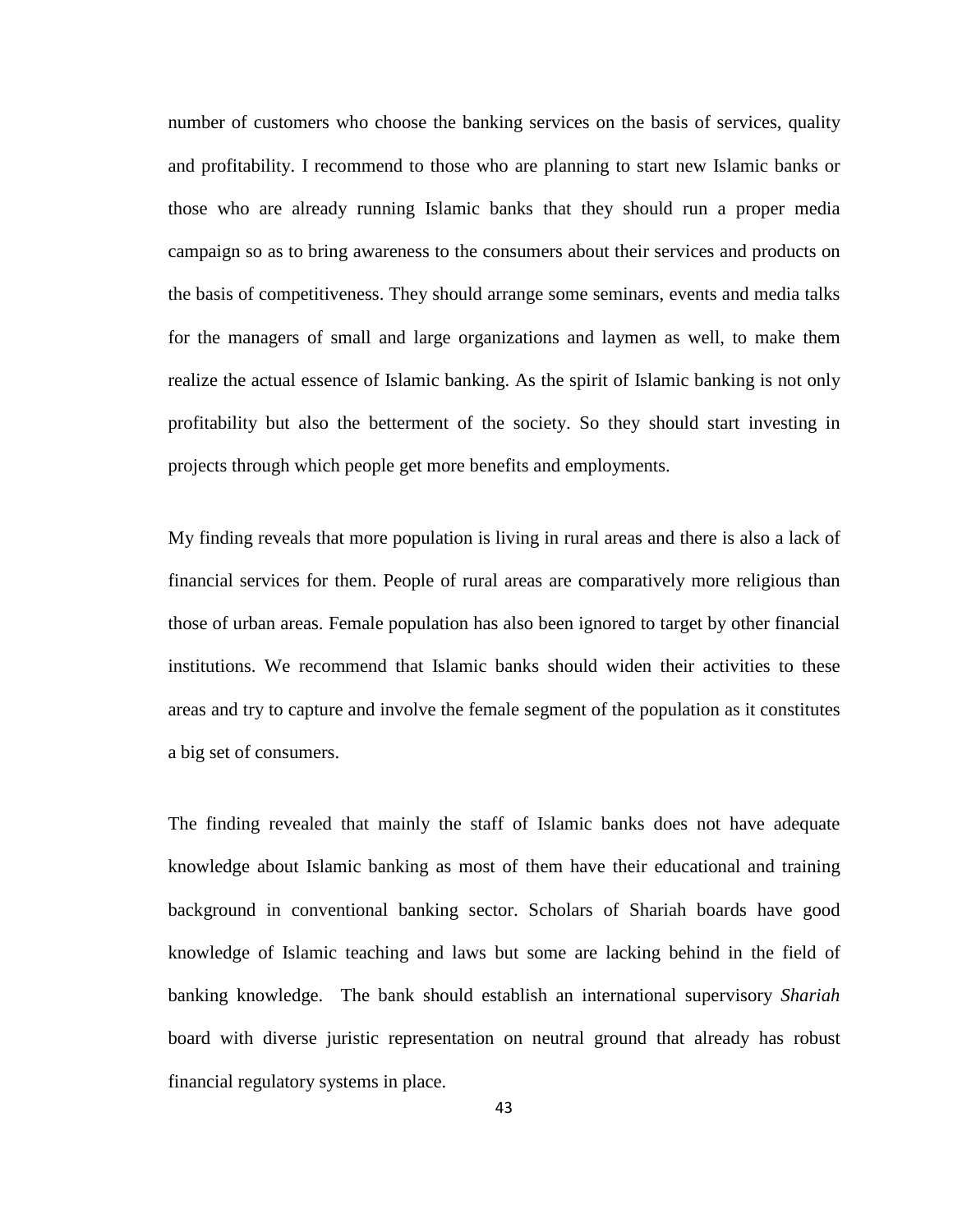number of customers who choose the banking services on the basis of services, quality and profitability. I recommend to those who are planning to start new Islamic banks or those who are already running Islamic banks that they should run a proper media campaign so as to bring awareness to the consumers about their services and products on the basis of competitiveness. They should arrange some seminars, events and media talks for the managers of small and large organizations and laymen as well, to make them realize the actual essence of Islamic banking. As the spirit of Islamic banking is not only profitability but also the betterment of the society. So they should start investing in projects through which people get more benefits and employments.

My finding reveals that more population is living in rural areas and there is also a lack of financial services for them. People of rural areas are comparatively more religious than those of urban areas. Female population has also been ignored to target by other financial institutions. We recommend that Islamic banks should widen their activities to these areas and try to capture and involve the female segment of the population as it constitutes a big set of consumers.

The finding revealed that mainly the staff of Islamic banks does not have adequate knowledge about Islamic banking as most of them have their educational and training background in conventional banking sector. Scholars of Shariah boards have good knowledge of Islamic teaching and laws but some are lacking behind in the field of banking knowledge. The bank should establish an international supervisory *Shariah*  board with diverse juristic representation on neutral ground that already has robust financial regulatory systems in place.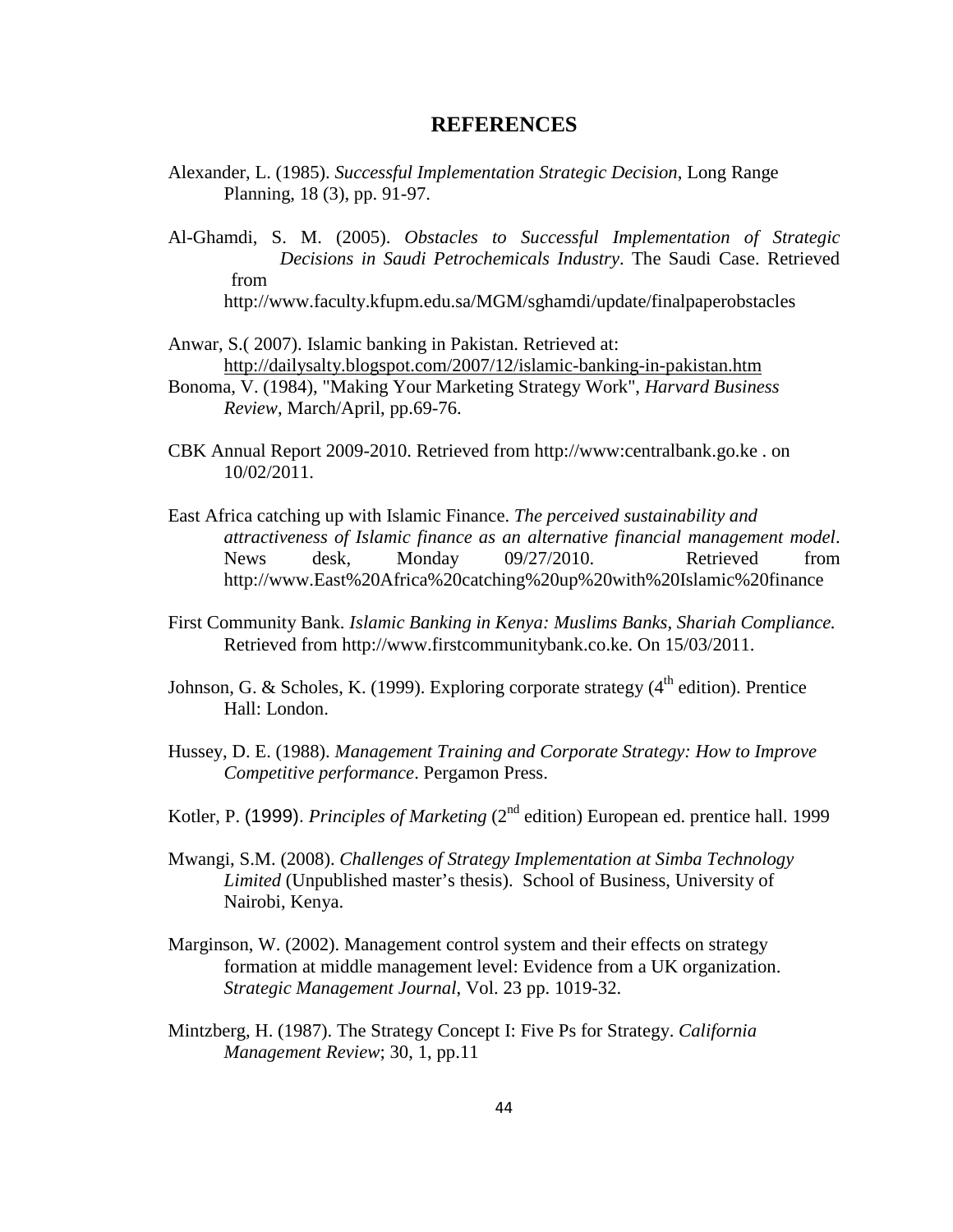#### **REFERENCES**

- <span id="page-51-0"></span>Alexander, L. (1985). *Successful Implementation Strategic Decision*, Long Range Planning, 18 (3), pp. 91-97.
- Al-Ghamdi, S. M. (2005). *Obstacles to Successful Implementation of Strategic Decisions in Saudi Petrochemicals Industry*. The Saudi Case. Retrieved from <http://www.faculty.kfupm.edu.sa/MGM/sghamdi/update/finalpaperobstacles>
- Anwar, S.( 2007). Islamic banking in Pakistan. Retrieved at: <http://dailysalty.blogspot.com/2007/12/islamic-banking-in-pakistan.htm>
- Bonoma, V. (1984), "Making Your Marketing Strategy Work", *Harvard Business Review*, March/April, pp.69-76.
- CBK Annual Report 2009-2010. Retrieved from [http://www:centralbank.go.ke](http://www:centralbank.go.ke/) . on 10/02/2011.
- East Africa catching up with Islamic Finance. *The perceived sustainability and attractiveness of Islamic finance as an alternative financial management model*. News desk, Monday 09/27/2010. Retrieved from http://www.East%20Africa%20catching%20up%20with%20Islamic%20finance
- First Community Bank. *Islamic Banking in Kenya: Muslims Banks, Shariah Compliance.* Retrieved from http:/[/www.firstcommunitybank.co.ke.](http://www.firstcommunitybank.co.ke/) On 15/03/2011.
- Johnson, G. & Scholes, K. (1999). Exploring corporate strategy  $(4<sup>th</sup>$  edition). Prentice Hall: London.
- Hussey, D. E. (1988). *Management Training and Corporate Strategy: How to Improve Competitive performance*. Pergamon Press.
- Kotler, P. (1999). *Principles of Marketing* (2<sup>nd</sup> edition) European ed. prentice hall. 1999
- Mwangi, S.M. (2008). *Challenges of Strategy Implementation at Simba Technology Limited* (Unpublished master's thesis). School of Business, University of Nairobi, Kenya.
- Marginson, W. (2002). Management control system and their effects on strategy formation at middle management level: Evidence from a UK organization. *Strategic Management Journal*, Vol. 23 pp. 1019-32.
- Mintzberg, H. (1987). The Strategy Concept I: Five Ps for Strategy. *California Management Review*; 30, 1, pp.11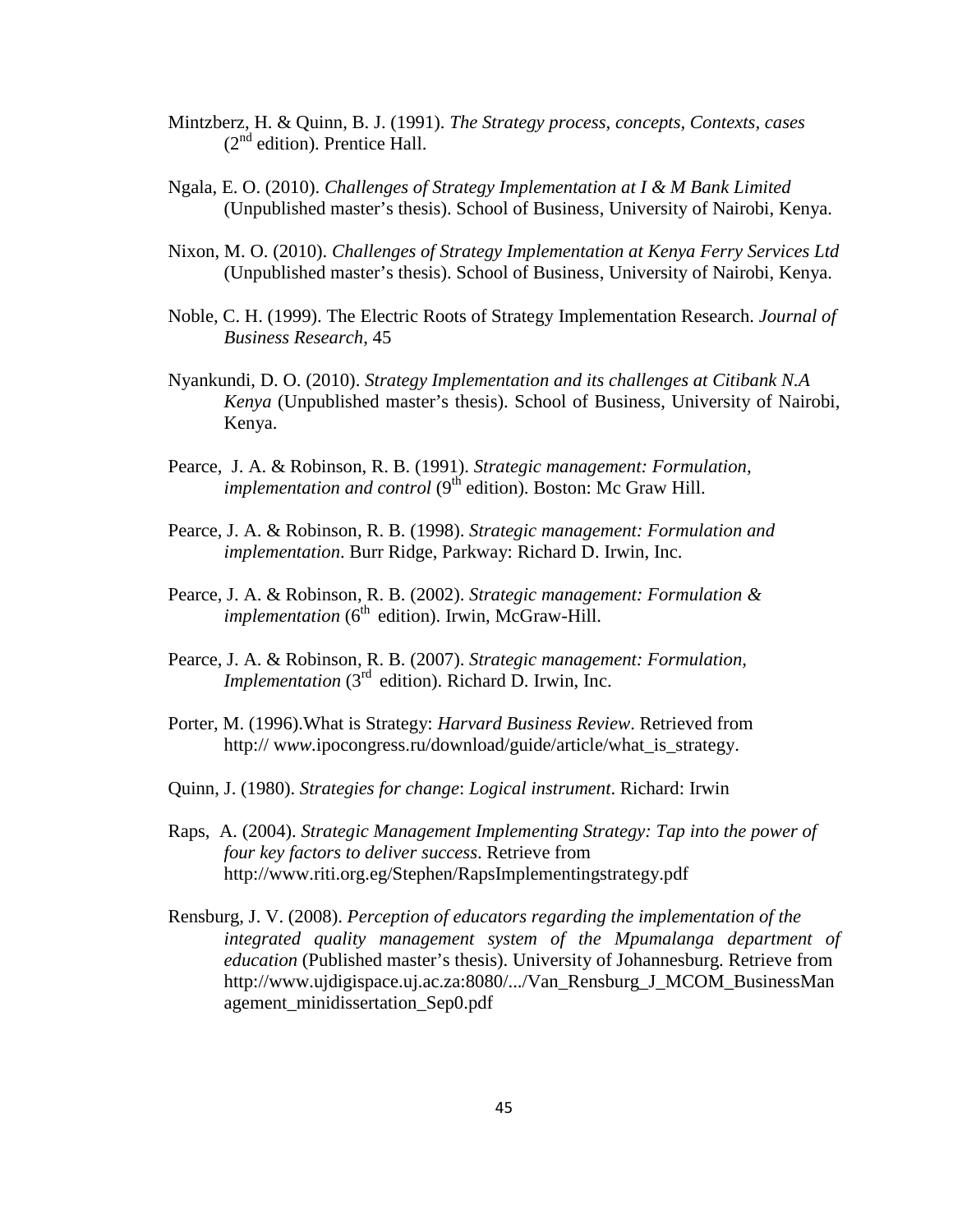- Mintzberz, H. & Quinn, B. J. (1991). *The Strategy process, concepts, Contexts, cases*  $(2<sup>nd</sup>$  edition). Prentice Hall.
- Ngala, E. O. (2010). *Challenges of Strategy Implementation at I & M Bank Limited* (Unpublished master's thesis). School of Business, University of Nairobi, Kenya.
- Nixon, M. O. (2010). *Challenges of Strategy Implementation at Kenya Ferry Services Ltd* (Unpublished master's thesis). School of Business, University of Nairobi, Kenya.
- Noble, C. H. (1999). The Electric Roots of Strategy Implementation Research. *Journal of Business Research*, 45
- Nyankundi, D. O. (2010). *Strategy Implementation and its challenges at Citibank N.A Kenya* (Unpublished master's thesis). School of Business, University of Nairobi, Kenya.
- Pearce, J. A. & Robinson, R. B. (1991). *Strategic management: Formulation, implementation and control* (9<sup>th</sup> edition). Boston: Mc Graw Hill.
- Pearce, J. A. & Robinson, R. B. (1998). *Strategic management: Formulation and implementation*. Burr Ridge, Parkway: Richard D. Irwin, Inc.
- Pearce, J. A. & Robinson, R. B. (2002). *Strategic management: Formulation & implementation* (6<sup>th</sup> edition). Irwin, McGraw-Hill.
- Pearce, J. A. & Robinson, R. B. (2007). *Strategic management: Formulation, Implementation* (3<sup>rd</sup> edition). Richard D. Irwin, Inc.
- Porter, M. (1996).What is Strategy: *Harvard Business Review*. Retrieved from http://www.ipocongress.ru/download/guide/article/what is strategy.
- Quinn, J. (1980). *Strategies for change*: *Logical instrument*. Richard: Irwin
- Raps, A. (2004). *Strategic Management Implementing Strategy: Tap into the power of four key factors to deliver success*. Retrieve from <http://www.riti.org.eg/Stephen/RapsImplementingstrategy.pdf>
- Rensburg, J. V. (2008). *Perception of educators regarding the implementation of the integrated quality management system of the Mpumalanga department of education* (Published master's thesis). University of Johannesburg. Retrieve from http://www.ujdigispace.uj.ac.za:8080/.../Van\_Rensburg\_J\_MCOM\_BusinessMan agement\_minidissertation\_Sep0.pdf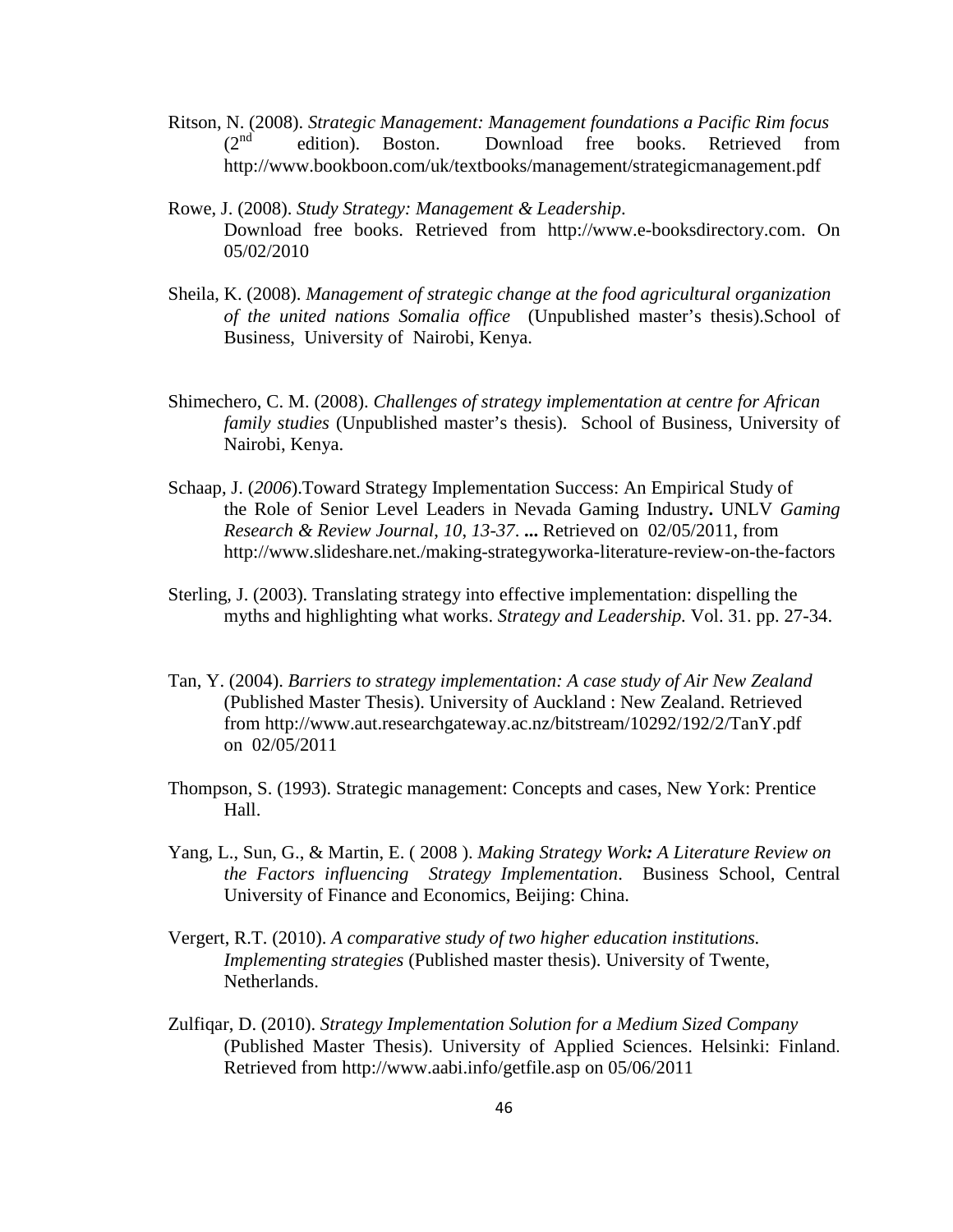- Ritson, N. (2008). *Strategic Management: Management foundations a Pacific Rim focus*   $(2<sup>nd</sup>)$  edition). Boston. Download free books. Retrieved from http://www.bookboon.com/uk/textbooks/management/strategicmanagement.pdf
- Download free books. Retrieved from [http://www.e-booksdirectory.com](http://www.e-booksdirectory.com/) . On Rowe, J. (2008). *Study Strategy: Management & Leadership*. 05/02/2010
- Sheila, K. (2008). *Management of strategic change at the food agricultural organization of the united nations Somalia office* (Unpublished master's thesis).School of Business, University of Nairobi, Kenya.
- Shimechero, C. M. (2008). *Challenges of strategy implementation at centre for African family studies* (Unpublished master's thesis). School of Business, University of Nairobi, Kenya.
- Schaap, J. (*2006*).Toward Strategy Implementation Success: An Empirical Study of the Role of Senior Level Leaders in Nevada Gaming Industry**.** UNLV *Gaming Research & Review Journal*, *10*, *13-37*. **...** Retrieved on 02/05/2011, from http://www.slideshare.net./making-strategyworka-literature-review-on-the-factors
- Sterling, J. (2003). Translating strategy into effective implementation: dispelling the myths and highlighting what works. *Strategy and Leadership.* Vol. 31. pp. 27-34.
- from <http://www.aut.researchgateway.ac.nz/bitstream/10292/192/2/TanY.pdf> Tan, Y. (2004). *Barriers to strategy implementation: A case study of Air New Zealand* (Published Master Thesis). University of Auckland : New Zealand. Retrieved on 02/05/2011
- Thompson, S. (1993). Strategic management: Concepts and cases, New York: Prentice Hall.
- Yang, L., Sun, G., & Martin, E. ( 2008 ). *Making Strategy Work: A Literature Review on the Factors influencing Strategy Implementation*. Business School, Central University of Finance and Economics, Beijing: China.
- Vergert, R.T. (2010). *A comparative study of two higher education institutions. Implementing strategies* (Published master thesis). University of Twente, Netherlands.
- Zulfiqar, D. (2010). *Strategy Implementation Solution for a Medium Sized Company* (Published Master Thesis). University of Applied Sciences. Helsinki: Finland. Retrieved from<http://www.aabi.info/getfile.asp> on 05/06/2011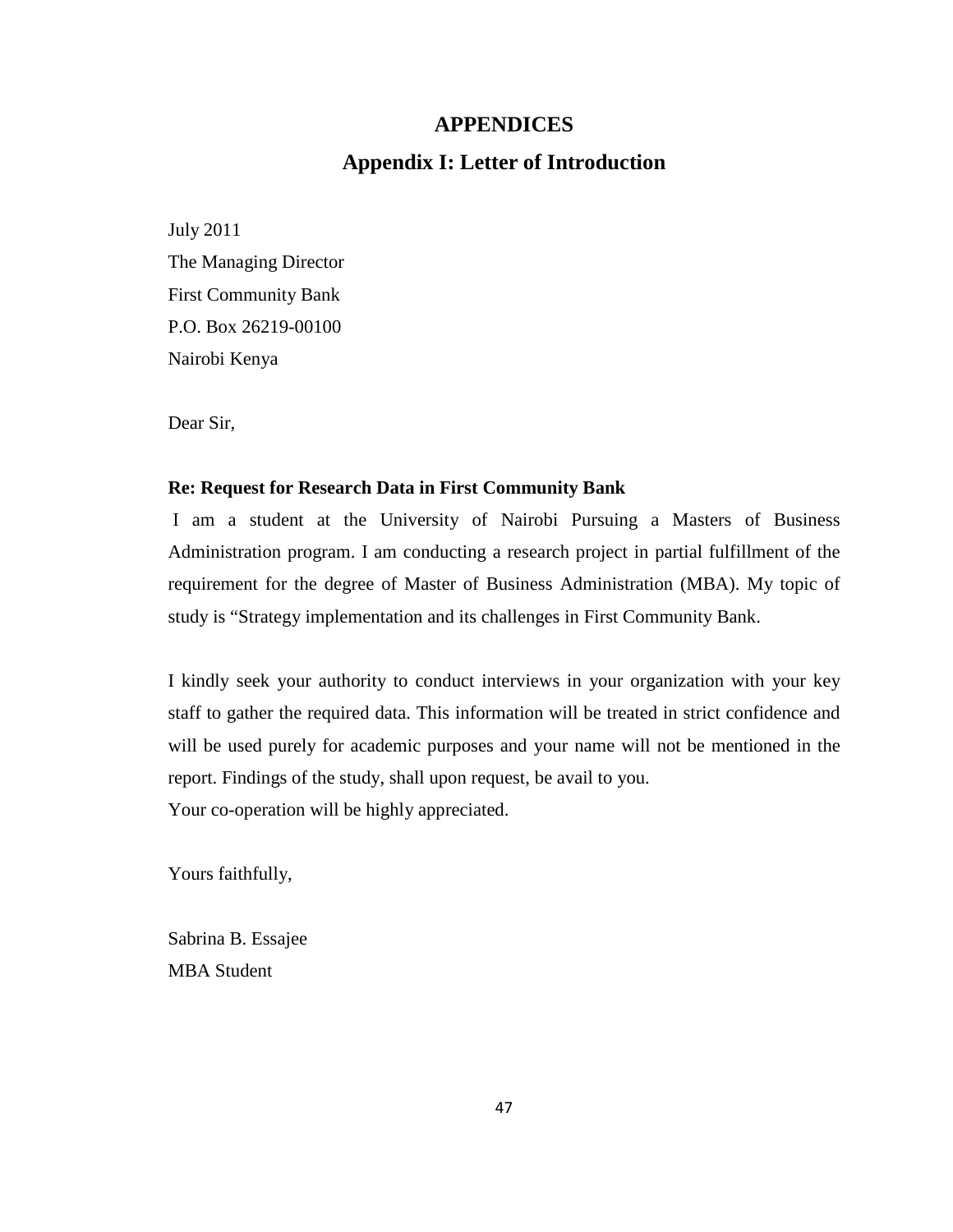#### **APPENDICES**

## **Appendix I: Letter of Introduction**

<span id="page-54-1"></span><span id="page-54-0"></span>July 2011 The Managing Director First Community Bank P.O. Box 26219-00100 Nairobi Kenya

Dear Sir,

#### **Re: Request for Research Data in First Community Bank**

I am a student at the University of Nairobi Pursuing a Masters of Business Administration program. I am conducting a research project in partial fulfillment of the requirement for the degree of Master of Business Administration (MBA). My topic of study is "Strategy implementation and its challenges in First Community Bank.

I kindly seek your authority to conduct interviews in your organization with your key staff to gather the required data. This information will be treated in strict confidence and will be used purely for academic purposes and your name will not be mentioned in the report. Findings of the study, shall upon request, be avail to you. Your co-operation will be highly appreciated.

Yours faithfully,

Sabrina B. Essajee MBA Student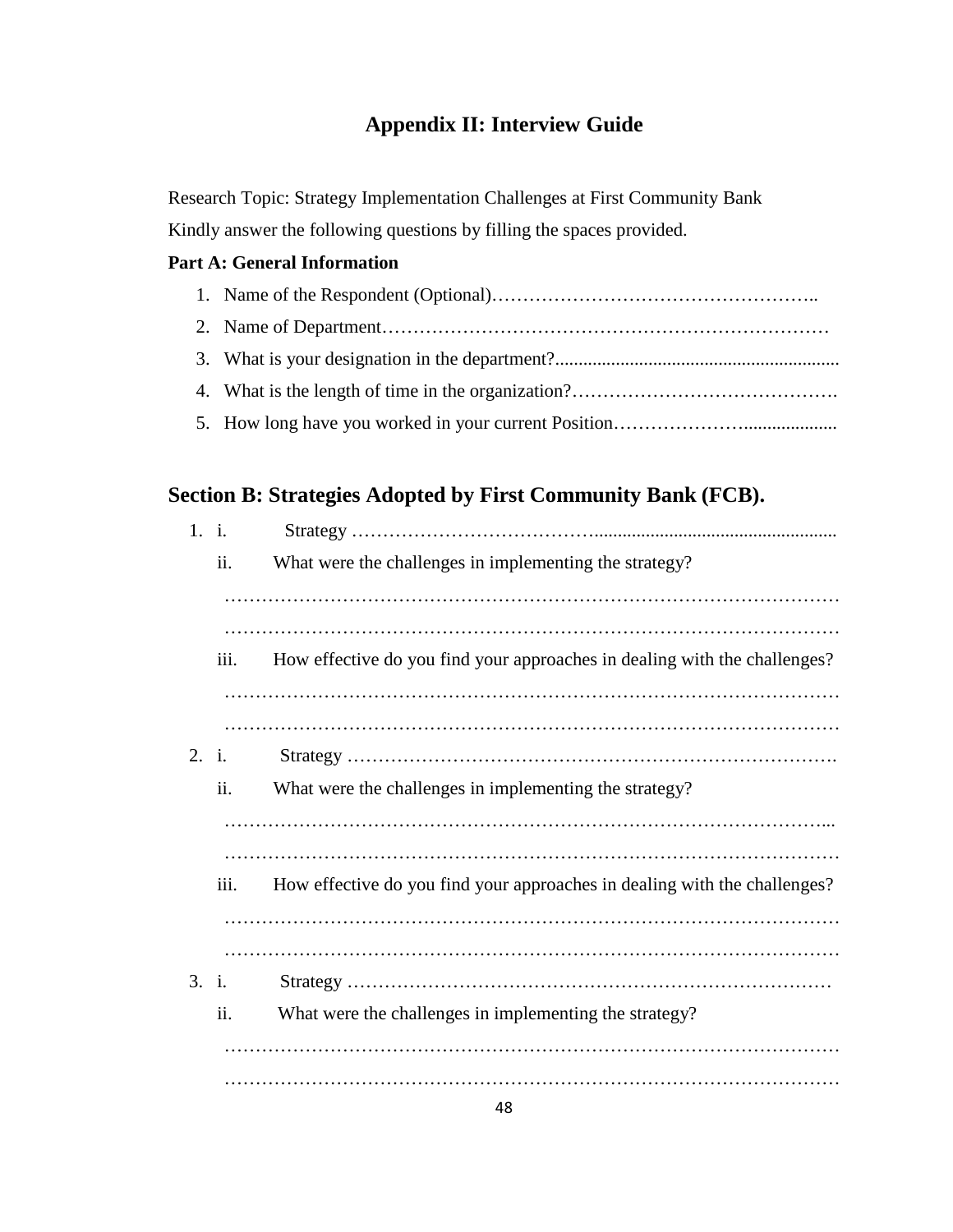## **Appendix II: Interview Guide**

<span id="page-55-0"></span>Research Topic: Strategy Implementation Challenges at First Community Bank Kindly answer the following questions by filling the spaces provided.

## **Part A: General Information**

## **Section B: Strategies Adopted by First Community Bank (FCB).**

| 1. i. |      |                                                                           |
|-------|------|---------------------------------------------------------------------------|
|       | ii.  | What were the challenges in implementing the strategy?                    |
|       |      |                                                                           |
|       | iii. | How effective do you find your approaches in dealing with the challenges? |
|       |      |                                                                           |
| 2. i. |      |                                                                           |
|       | ii.  | What were the challenges in implementing the strategy?                    |
|       |      |                                                                           |
|       | iii. | How effective do you find your approaches in dealing with the challenges? |
|       |      |                                                                           |
| 3. i. |      |                                                                           |
|       | ii.  | What were the challenges in implementing the strategy?                    |
|       |      |                                                                           |
|       |      |                                                                           |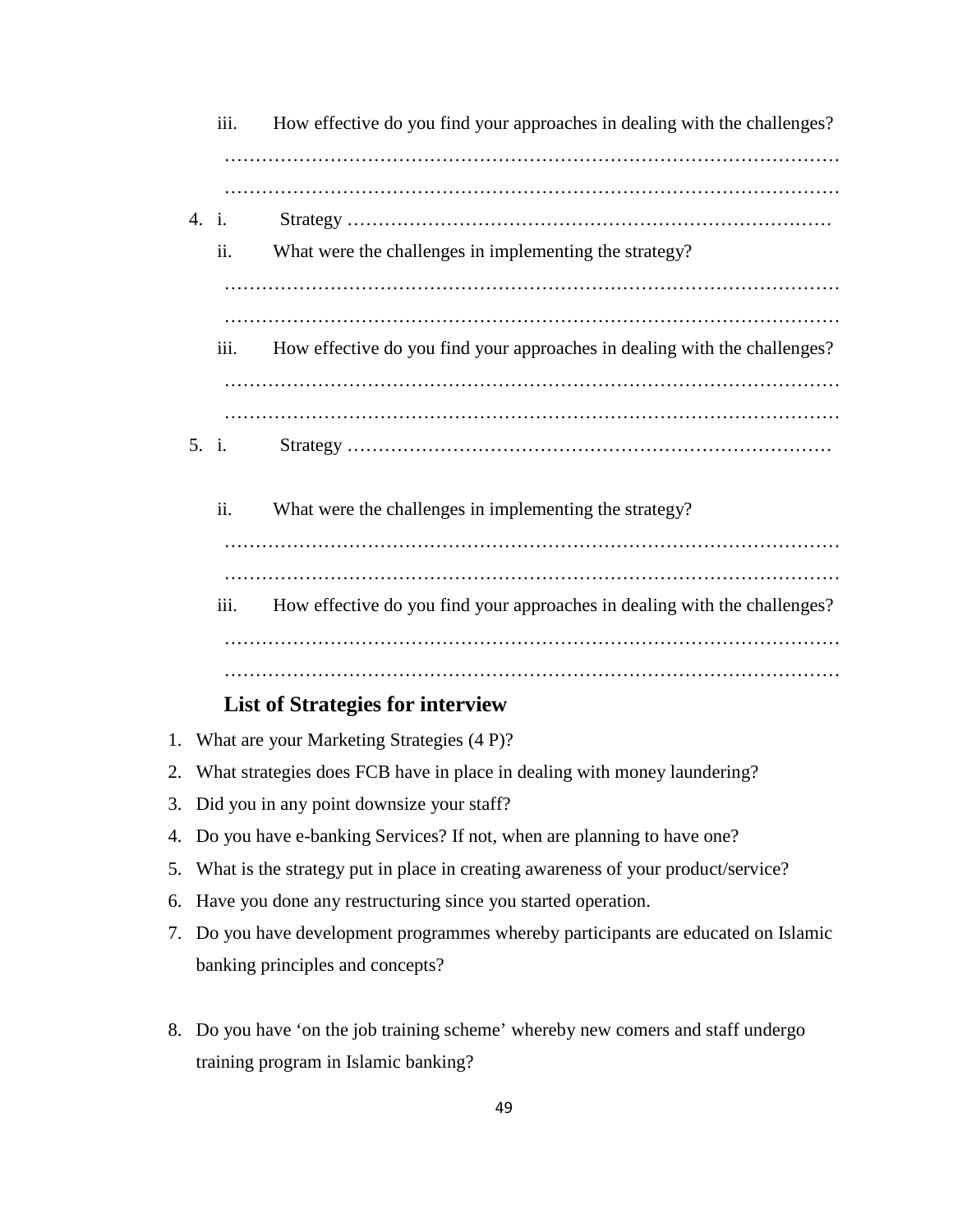|    |                                                                                    | iii.  | How effective do you find your approaches in dealing with the challenges? |
|----|------------------------------------------------------------------------------------|-------|---------------------------------------------------------------------------|
|    | 4. i.                                                                              | ii.   | What were the challenges in implementing the strategy?                    |
|    |                                                                                    | iii.  | How effective do you find your approaches in dealing with the challenges? |
|    |                                                                                    | 5. i. |                                                                           |
|    |                                                                                    | ii.   | What were the challenges in implementing the strategy?                    |
|    |                                                                                    | iii.  | How effective do you find your approaches in dealing with the challenges? |
|    |                                                                                    |       | <b>List of Strategies for interview</b>                                   |
| 1. |                                                                                    |       | What are your Marketing Strategies (4 P)?                                 |
| 2. | What strategies does FCB have in place in dealing with money laundering?           |       |                                                                           |
|    | 3. Did you in any point downsize your staff?                                       |       |                                                                           |
|    | 4. Do you have e-banking Services? If not, when are planning to have one?          |       |                                                                           |
| 5. | What is the strategy put in place in creating awareness of your product/service?   |       |                                                                           |
|    | 6. Have you done any restructuring since you started operation.                    |       |                                                                           |
|    | 7. Do you have development programmes whereby participants are educated on Islamic |       |                                                                           |
|    |                                                                                    |       | banking principles and concepts?                                          |
|    |                                                                                    |       |                                                                           |

8. Do you have 'on the job training scheme' whereby new comers and staff undergo training program in Islamic banking?